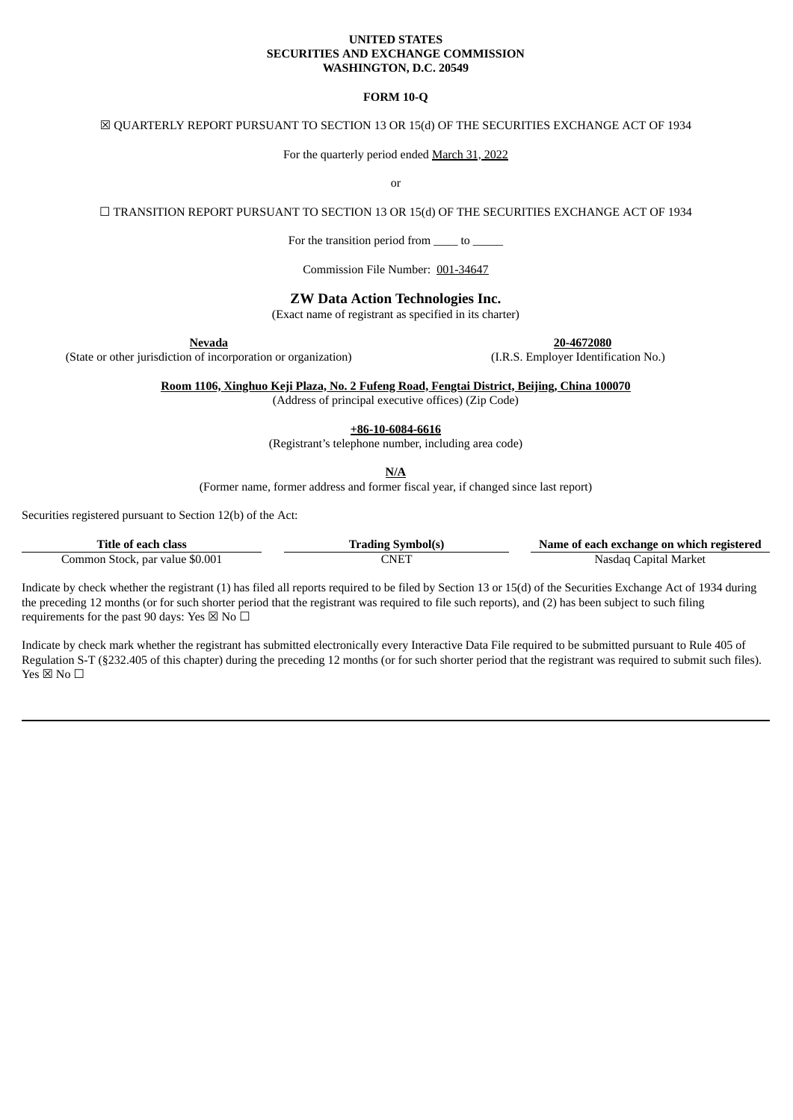#### **UNITED STATES SECURITIES AND EXCHANGE COMMISSION WASHINGTON, D.C. 20549**

### **FORM 10-Q**

## ☒ QUARTERLY REPORT PURSUANT TO SECTION 13 OR 15(d) OF THE SECURITIES EXCHANGE ACT OF 1934

For the quarterly period ended March 31, 2022

or

☐ TRANSITION REPORT PURSUANT TO SECTION 13 OR 15(d) OF THE SECURITIES EXCHANGE ACT OF 1934

For the transition period from \_\_\_\_\_ to \_\_\_\_\_

Commission File Number: 001-34647

# **ZW Data Action Technologies Inc.**

(Exact name of registrant as specified in its charter)

(State or other jurisdiction of incorporation or organization) (I.R.S. Employer Identification No.)

**Nevada 20-4672080**

**Room 1106, Xinghuo Keji Plaza, No. 2 Fufeng Road, Fengtai District, Beijing, China 100070** (Address of principal executive offices) (Zip Code)

**+86-10-6084-6616**

(Registrant's telephone number, including area code)

**N/A**

(Former name, former address and former fiscal year, if changed since last report)

Securities registered pursuant to Section 12(b) of the Act:

| Title of each class             | Trading Symbolls | Name of each exchange on which registered |  |  |  |  |  |  |
|---------------------------------|------------------|-------------------------------------------|--|--|--|--|--|--|
| Common Stock, par value \$0.001 | 7NET             | Capital Market<br>Nasdad t                |  |  |  |  |  |  |

Indicate by check whether the registrant (1) has filed all reports required to be filed by Section 13 or 15(d) of the Securities Exchange Act of 1934 during the preceding 12 months (or for such shorter period that the registrant was required to file such reports), and (2) has been subject to such filing requirements for the past 90 days: Yes  $\boxtimes$  No  $\Box$ 

Indicate by check mark whether the registrant has submitted electronically every Interactive Data File required to be submitted pursuant to Rule 405 of Regulation S-T (§232.405 of this chapter) during the preceding 12 months (or for such shorter period that the registrant was required to submit such files). Yes  $\boxtimes$  No  $\Box$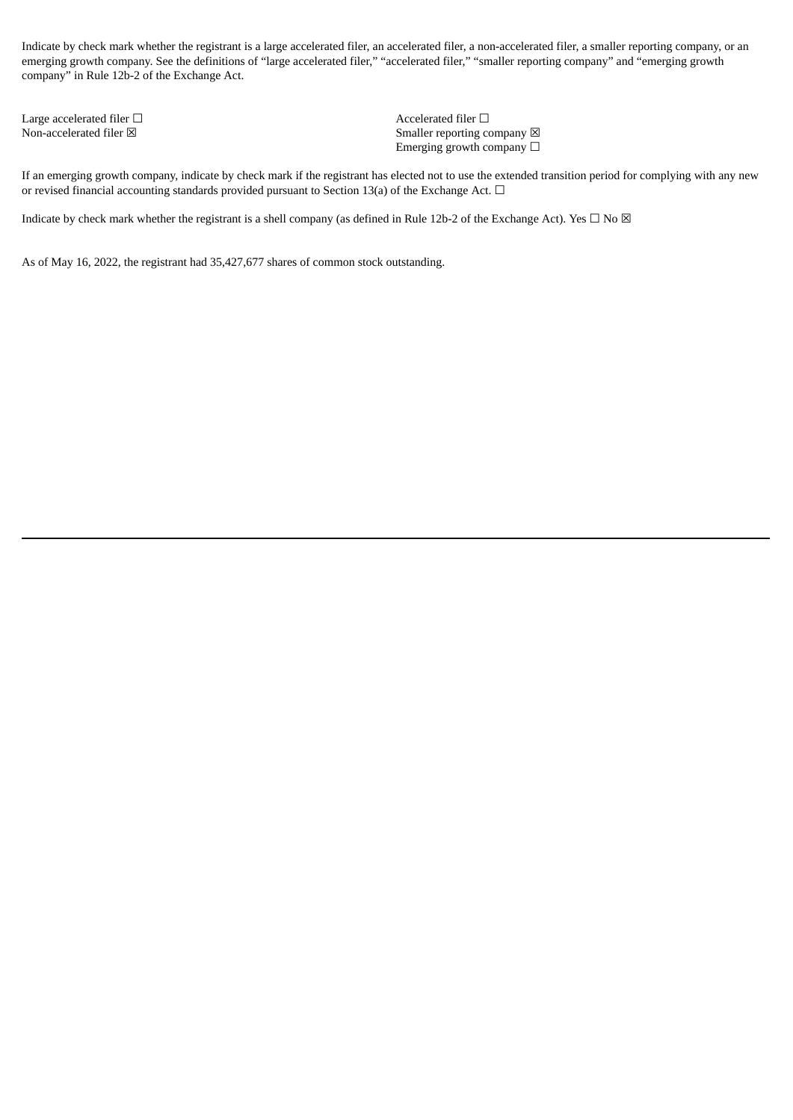Indicate by check mark whether the registrant is a large accelerated filer, an accelerated filer, a non-accelerated filer, a smaller reporting company, or an emerging growth company. See the definitions of "large accelerated filer," "accelerated filer," "smaller reporting company" and "emerging growth company" in Rule 12b-2 of the Exchange Act.

Large accelerated filer □ <br>
Accelerated filer □

Non-accelerated filer  $\boxtimes$  Smaller reporting company  $\boxtimes$ Emerging growth company  $\Box$ 

If an emerging growth company, indicate by check mark if the registrant has elected not to use the extended transition period for complying with any new or revised financial accounting standards provided pursuant to Section 13(a) of the Exchange Act.  $\Box$ 

Indicate by check mark whether the registrant is a shell company (as defined in Rule 12b-2 of the Exchange Act). Yes  $\Box$  No  $\boxtimes$ 

As of May 16, 2022, the registrant had 35,427,677 shares of common stock outstanding.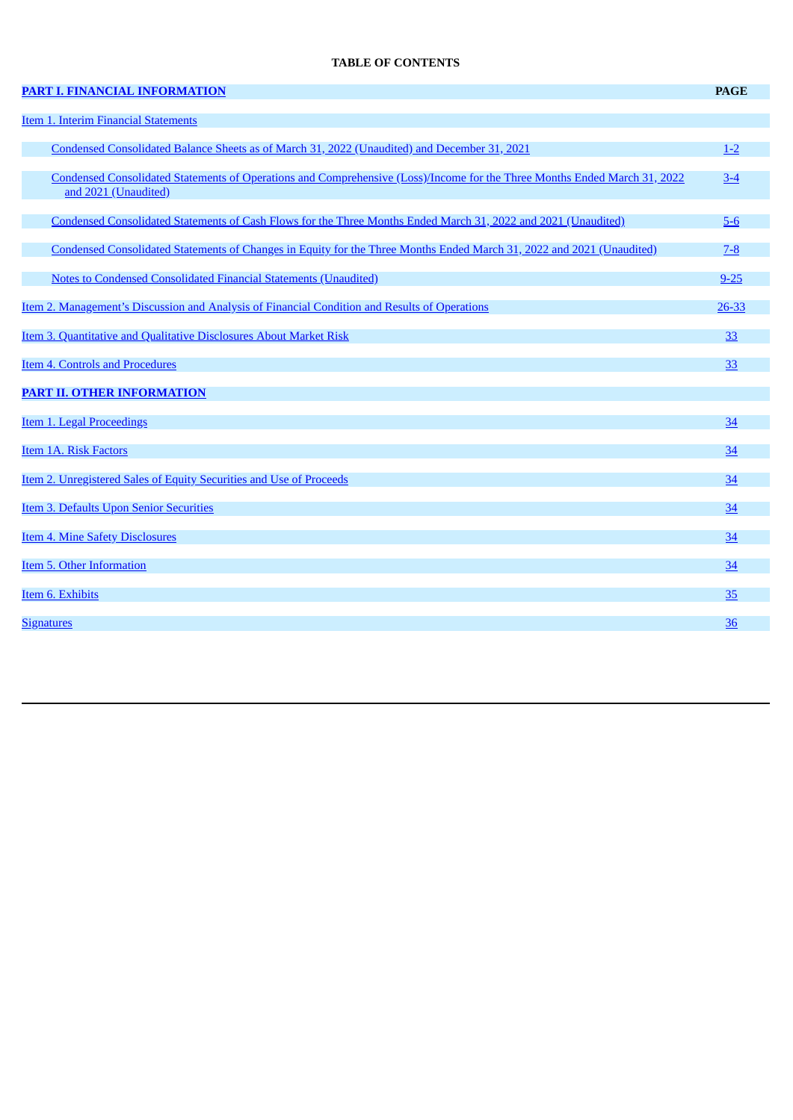# **TABLE OF CONTENTS**

| <b>PART I. FINANCIAL INFORMATION</b>                                                                                                              | <b>PAGE</b>     |
|---------------------------------------------------------------------------------------------------------------------------------------------------|-----------------|
| <b>Item 1. Interim Financial Statements</b>                                                                                                       |                 |
| Condensed Consolidated Balance Sheets as of March 31, 2022 (Unaudited) and December 31, 2021                                                      | $1 - 2$         |
| Condensed Consolidated Statements of Operations and Comprehensive (Loss)/Income for the Three Months Ended March 31, 2022<br>and 2021 (Unaudited) | $3 - 4$         |
| Condensed Consolidated Statements of Cash Flows for the Three Months Ended March 31, 2022 and 2021 (Unaudited)                                    | $5-6$           |
| Condensed Consolidated Statements of Changes in Equity for the Three Months Ended March 31, 2022 and 2021 (Unaudited)                             | $7 - 8$         |
| <b>Notes to Condensed Consolidated Financial Statements (Unaudited)</b>                                                                           | $9 - 25$        |
| <u>Item 2. Management's Discussion and Analysis of Financial Condition and Results of Operations</u>                                              | 26-33           |
| Item 3. Quantitative and Qualitative Disclosures About Market Risk                                                                                | 33              |
| <b>Item 4. Controls and Procedures</b>                                                                                                            | 33              |
| <b>PART II. OTHER INFORMATION</b>                                                                                                                 |                 |
| Item 1. Legal Proceedings                                                                                                                         | 34              |
| <b>Item 1A. Risk Factors</b>                                                                                                                      | 34              |
| <b>Item 2. Unregistered Sales of Equity Securities and Use of Proceeds</b>                                                                        | $\overline{34}$ |
| Item 3. Defaults Upon Senior Securities                                                                                                           | 34              |
| <b>Item 4. Mine Safety Disclosures</b>                                                                                                            | 34              |
| Item 5. Other Information                                                                                                                         | 34              |
| Item 6. Exhibits                                                                                                                                  | 35              |
| <b>Signatures</b>                                                                                                                                 | 36              |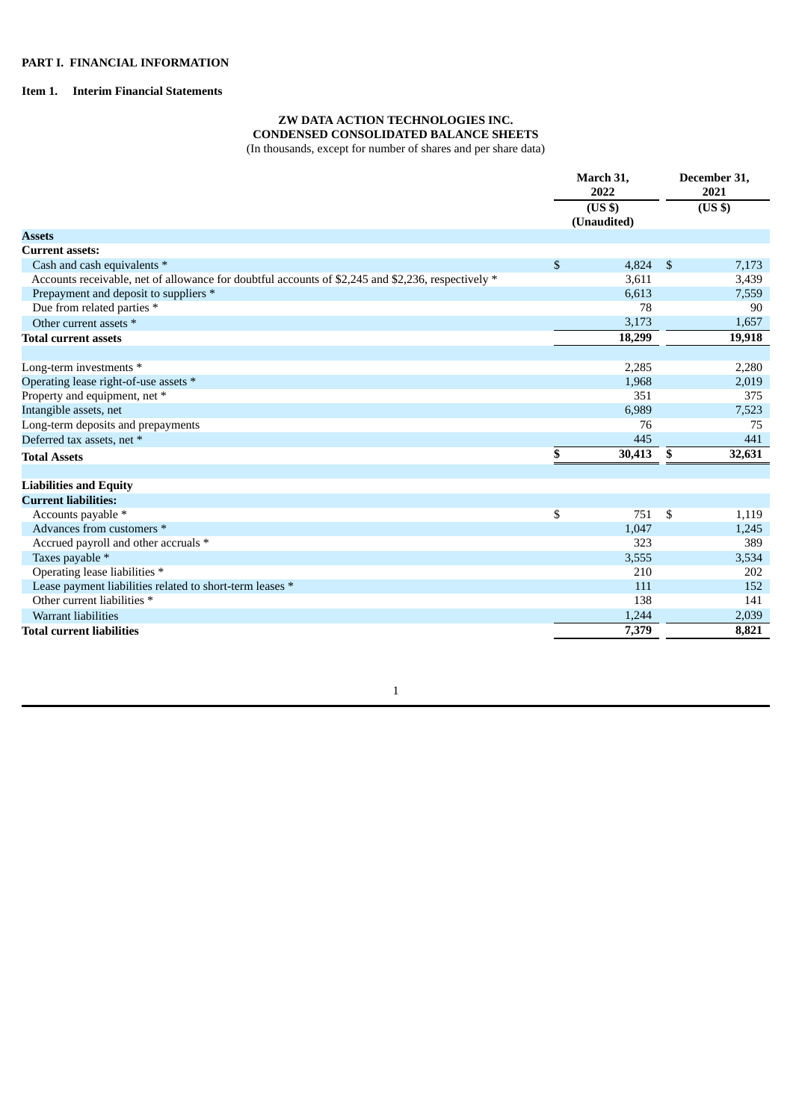# <span id="page-3-2"></span><span id="page-3-1"></span><span id="page-3-0"></span>**Item 1. Interim Financial Statements**

# **ZW DATA ACTION TECHNOLOGIES INC. CONDENSED CONSOLIDATED BALANCE SHEETS**

(In thousands, except for number of shares and per share data)

|                                                                                                    |                           | March 31,<br>2022<br>(US \$)<br>(Unaudited) |                    | December 31,<br>2021<br>(US \$) |
|----------------------------------------------------------------------------------------------------|---------------------------|---------------------------------------------|--------------------|---------------------------------|
| <b>Assets</b>                                                                                      |                           |                                             |                    |                                 |
| <b>Current assets:</b>                                                                             |                           |                                             |                    |                                 |
| Cash and cash equivalents *                                                                        | $\boldsymbol{\mathsf{S}}$ | 4,824                                       | $\mathbf{\hat{S}}$ | 7,173                           |
| Accounts receivable, net of allowance for doubtful accounts of \$2,245 and \$2,236, respectively * |                           | 3,611                                       |                    | 3,439                           |
| Prepayment and deposit to suppliers *                                                              |                           | 6.613                                       |                    | 7,559                           |
| Due from related parties *                                                                         |                           | 78                                          |                    | 90                              |
| Other current assets *                                                                             |                           | 3,173                                       |                    | 1,657                           |
| <b>Total current assets</b>                                                                        |                           | 18,299                                      |                    | 19,918                          |
|                                                                                                    |                           |                                             |                    |                                 |
| Long-term investments *                                                                            |                           | 2,285                                       |                    | 2,280                           |
| Operating lease right-of-use assets *                                                              |                           | 1,968                                       |                    | 2,019                           |
| Property and equipment, net *                                                                      |                           | 351                                         |                    | 375                             |
| Intangible assets, net                                                                             |                           | 6,989                                       |                    | 7,523                           |
| Long-term deposits and prepayments                                                                 |                           | 76                                          |                    | 75                              |
| Deferred tax assets, net *                                                                         |                           | 445                                         |                    | 441                             |
| <b>Total Assets</b>                                                                                | \$                        | 30,413                                      | \$                 | 32,631                          |
|                                                                                                    |                           |                                             |                    |                                 |
| <b>Liabilities and Equity</b>                                                                      |                           |                                             |                    |                                 |
| <b>Current liabilities:</b>                                                                        |                           |                                             |                    |                                 |
| Accounts payable *                                                                                 | \$                        | 751                                         | \$                 | 1,119                           |
| Advances from customers *                                                                          |                           | 1,047                                       |                    | 1,245                           |
| Accrued payroll and other accruals *                                                               |                           | 323                                         |                    | 389                             |
| Taxes payable *                                                                                    |                           | 3,555                                       |                    | 3,534                           |
| Operating lease liabilities *                                                                      |                           | 210                                         |                    | 202                             |
| Lease payment liabilities related to short-term leases *                                           |                           | 111                                         |                    | 152                             |
| Other current liabilities *                                                                        |                           | 138                                         |                    | 141                             |
| <b>Warrant liabilities</b>                                                                         |                           | 1,244                                       |                    | 2,039                           |
| <b>Total current liabilities</b>                                                                   |                           | 7,379                                       |                    | 8,821                           |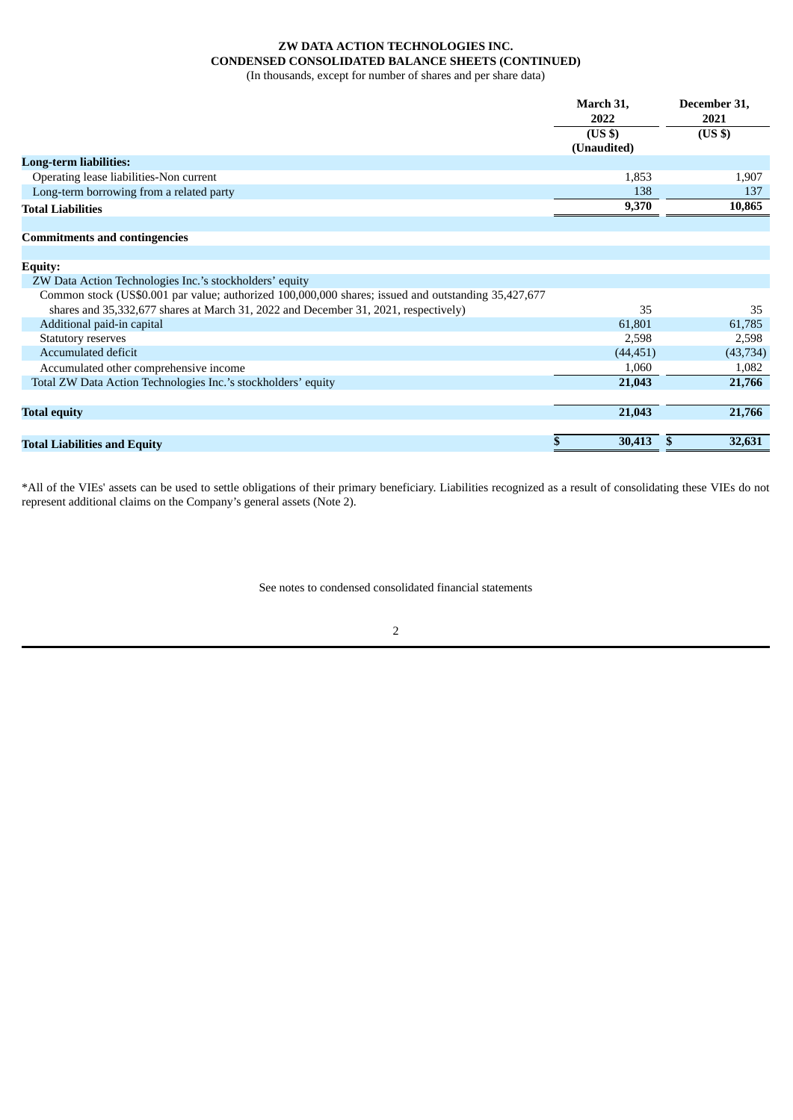# **ZW DATA ACTION TECHNOLOGIES INC. CONDENSED CONSOLIDATED BALANCE SHEETS (CONTINUED)**

(In thousands, except for number of shares and per share data)

|                                          | March 31,<br>2022 | December 31,<br>2021 |
|------------------------------------------|-------------------|----------------------|
|                                          | (USS)             | $(US \$              |
|                                          | (Unaudited)       |                      |
| <b>Long-term liabilities:</b>            |                   |                      |
| Operating lease liabilities-Non current  | 1,853             | 1,907                |
| Long-term borrowing from a related party | 138               | 137                  |
| <b>Total Liabilities</b>                 | 9,370             | 10,865               |
|                                          |                   |                      |

## **Commitments and contingencies**

| <b>Equity:</b>                                                                                      |           |           |
|-----------------------------------------------------------------------------------------------------|-----------|-----------|
| ZW Data Action Technologies Inc.'s stockholders' equity                                             |           |           |
| Common stock (US\$0.001 par value; authorized 100,000,000 shares; issued and outstanding 35,427,677 |           |           |
| shares and 35,332,677 shares at March 31, 2022 and December 31, 2021, respectively)                 | 35        | 35        |
| Additional paid-in capital                                                                          | 61,801    | 61,785    |
| <b>Statutory reserves</b>                                                                           | 2.598     | 2.598     |
| Accumulated deficit                                                                                 | (44, 451) | (43, 734) |
| Accumulated other comprehensive income                                                              | 1,060     | 1,082     |
| Total ZW Data Action Technologies Inc.'s stockholders' equity                                       | 21,043    | 21,766    |
|                                                                                                     |           |           |
| <b>Total equity</b>                                                                                 | 21,043    | 21,766    |
|                                                                                                     |           |           |
| <b>Total Liabilities and Equity</b>                                                                 | 30,413    | 32,631    |
|                                                                                                     |           |           |

\*All of the VIEs' assets can be used to settle obligations of their primary beneficiary. Liabilities recognized as a result of consolidating these VIEs do not represent additional claims on the Company's general assets (Note 2).

See notes to condensed consolidated financial statements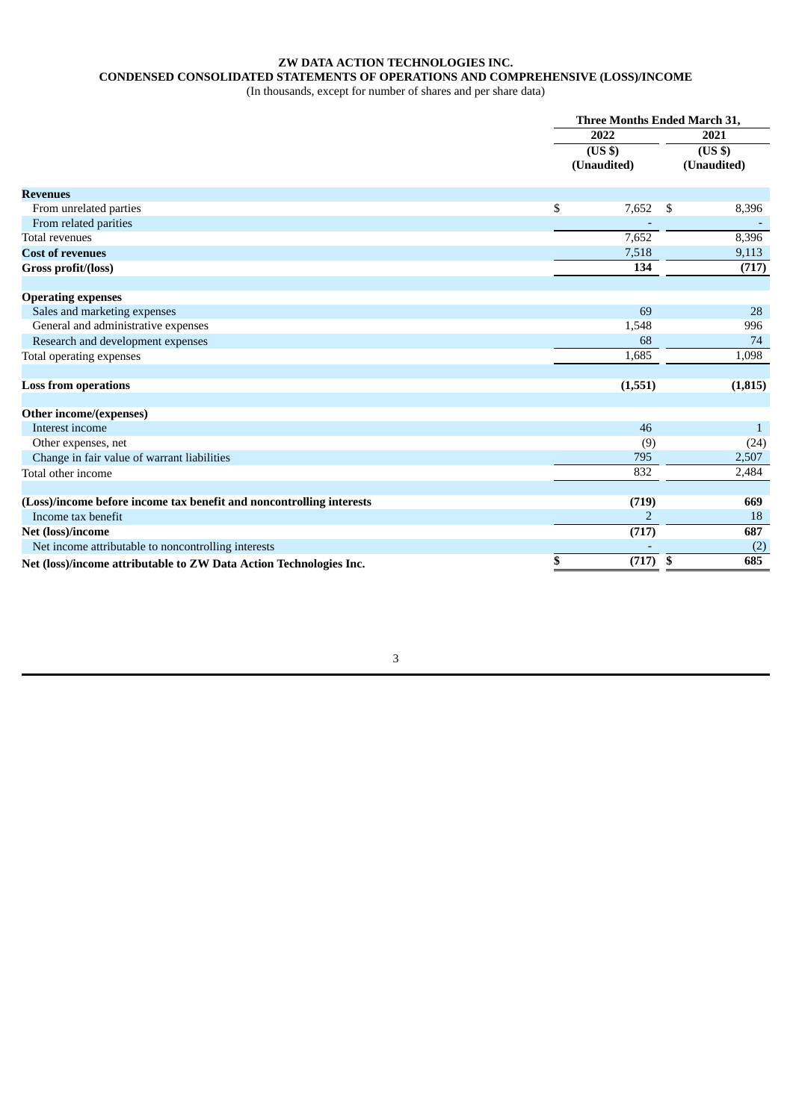# **ZW DATA ACTION TECHNOLOGIES INC.**

# **CONDENSED CONSOLIDATED STATEMENTS OF OPERATIONS AND COMPREHENSIVE (LOSS)/INCOME**

(In thousands, except for number of shares and per share data)

<span id="page-5-0"></span>

|                                                                      | Three Months Ended March 31, |     |                            |  |  |
|----------------------------------------------------------------------|------------------------------|-----|----------------------------|--|--|
|                                                                      | 2022                         |     | 2021                       |  |  |
|                                                                      | $($ US\$ $)$                 |     | $\overline{\text{(US S)}}$ |  |  |
|                                                                      | (Unaudited)                  |     | (Unaudited)                |  |  |
| <b>Revenues</b>                                                      |                              |     |                            |  |  |
| From unrelated parties                                               | \$<br>7,652                  | -\$ | 8,396                      |  |  |
| From related parities                                                |                              |     |                            |  |  |
| <b>Total revenues</b>                                                | 7,652                        |     | 8,396                      |  |  |
| <b>Cost of revenues</b>                                              | 7,518                        |     | 9,113                      |  |  |
| Gross profit/(loss)                                                  | 134                          |     | (717)                      |  |  |
|                                                                      |                              |     |                            |  |  |
| <b>Operating expenses</b>                                            |                              |     |                            |  |  |
| Sales and marketing expenses                                         | 69                           |     | 28                         |  |  |
| General and administrative expenses                                  | 1,548                        |     | 996                        |  |  |
| Research and development expenses                                    | 68                           |     | 74                         |  |  |
| Total operating expenses                                             | 1,685                        |     | 1,098                      |  |  |
|                                                                      |                              |     |                            |  |  |
| <b>Loss from operations</b>                                          | (1, 551)                     |     | (1, 815)                   |  |  |
| Other income/(expenses)                                              |                              |     |                            |  |  |
| Interest income                                                      | 46                           |     | 1                          |  |  |
| Other expenses, net                                                  | (9)                          |     | (24)                       |  |  |
| Change in fair value of warrant liabilities                          | 795                          |     | 2,507                      |  |  |
| Total other income                                                   | 832                          |     | 2,484                      |  |  |
|                                                                      |                              |     |                            |  |  |
| (Loss)/income before income tax benefit and noncontrolling interests | (719)                        |     | 669                        |  |  |
| Income tax benefit                                                   | $\overline{2}$               |     | 18                         |  |  |
| Net (loss)/income                                                    | (717)                        |     | 687                        |  |  |
| Net income attributable to noncontrolling interests                  |                              |     | (2)                        |  |  |
| Net (loss)/income attributable to ZW Data Action Technologies Inc.   | \$<br>(717)                  | \$  | 685                        |  |  |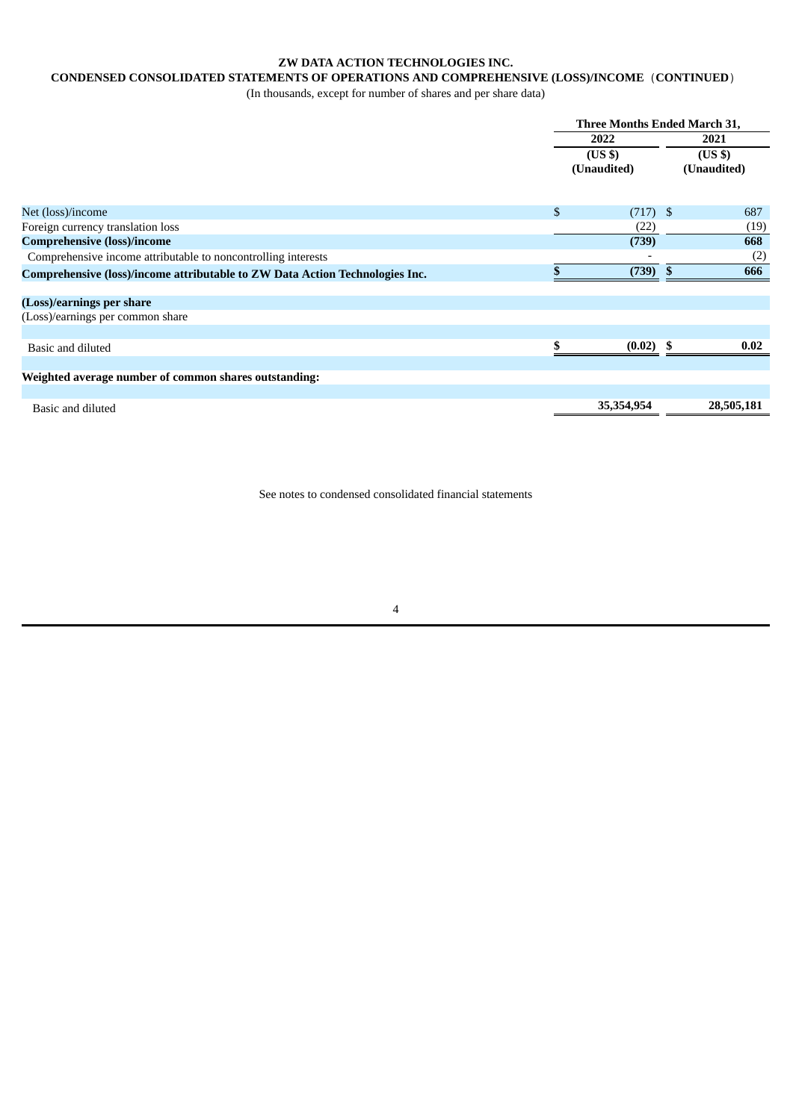# **ZW DATA ACTION TECHNOLOGIES INC.**

# **CONDENSED CONSOLIDATED STATEMENTS OF OPERATIONS AND COMPREHENSIVE (LOSS)/INCOME**(**CONTINUED**)

(In thousands, except for number of shares and per share data)

|                                                                              | Three Months Ended March 31, |                        |    |            |  |  |
|------------------------------------------------------------------------------|------------------------------|------------------------|----|------------|--|--|
|                                                                              |                              | 2022                   |    |            |  |  |
|                                                                              | (Unaudited)                  | $(US \$<br>(Unaudited) |    |            |  |  |
|                                                                              |                              |                        |    |            |  |  |
| Net (loss)/income                                                            | $\mathfrak{L}$               | $(717)$ \$             |    | 687        |  |  |
| Foreign currency translation loss                                            |                              | (22)                   |    | (19)       |  |  |
| <b>Comprehensive (loss)/income</b>                                           |                              | (739)                  |    | 668        |  |  |
| Comprehensive income attributable to noncontrolling interests                |                              |                        |    | (2)        |  |  |
| Comprehensive (loss)/income attributable to ZW Data Action Technologies Inc. |                              | (739)                  | -S | 666        |  |  |
| (Loss)/earnings per share                                                    |                              |                        |    |            |  |  |
| (Loss)/earnings per common share                                             |                              |                        |    |            |  |  |
|                                                                              |                              |                        |    |            |  |  |
| Basic and diluted                                                            |                              | $(0.02)$ \$            |    | 0.02       |  |  |
|                                                                              |                              |                        |    |            |  |  |
| Weighted average number of common shares outstanding:                        |                              |                        |    |            |  |  |
|                                                                              |                              |                        |    |            |  |  |
| Basic and diluted                                                            |                              | 35,354,954             |    | 28,505,181 |  |  |

See notes to condensed consolidated financial statements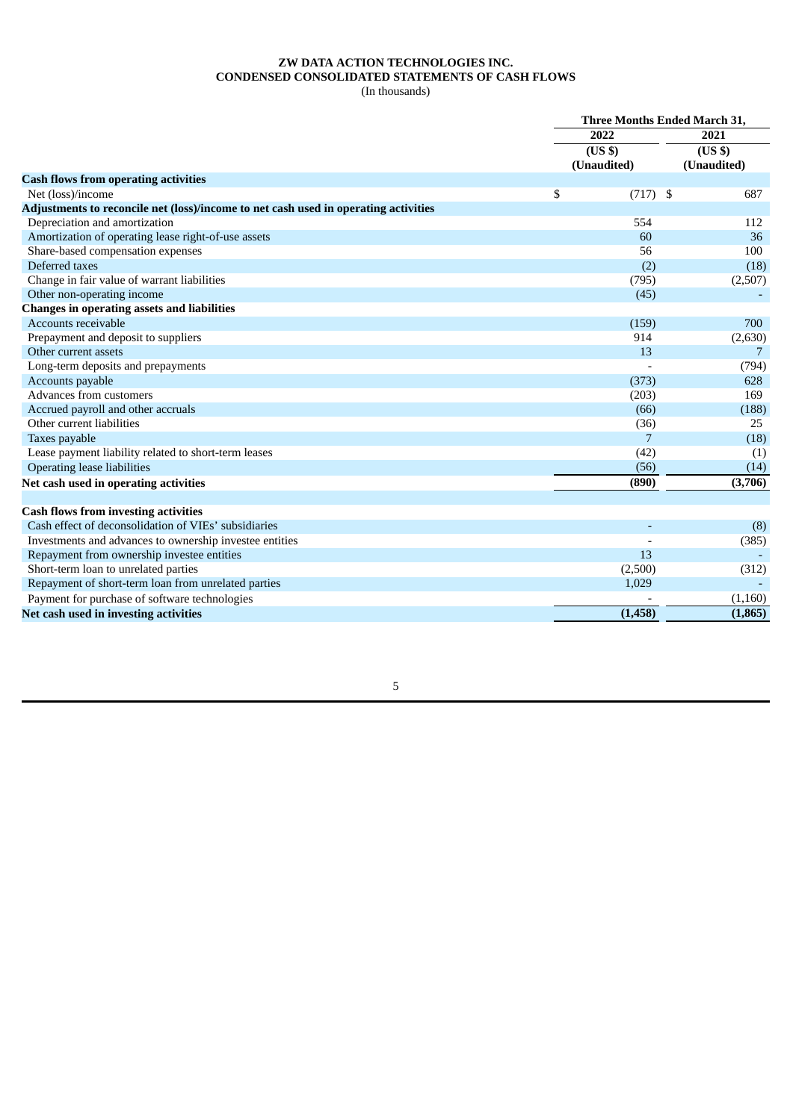# **ZW DATA ACTION TECHNOLOGIES INC. CONDENSED CONSOLIDATED STATEMENTS OF CASH FLOWS**

(In thousands)

<span id="page-7-0"></span>

|                                                                                     | Three Months Ended March 31, |                    |                            |  |  |
|-------------------------------------------------------------------------------------|------------------------------|--------------------|----------------------------|--|--|
|                                                                                     |                              | 2022               | 2021                       |  |  |
|                                                                                     |                              | (US <sub>3</sub> ) | $\overline{\text{(US S)}}$ |  |  |
|                                                                                     |                              | (Unaudited)        | (Unaudited)                |  |  |
| <b>Cash flows from operating activities</b>                                         |                              |                    |                            |  |  |
| Net (loss)/income                                                                   | \$                           | $(717)$ \$         | 687                        |  |  |
| Adjustments to reconcile net (loss)/income to net cash used in operating activities |                              |                    |                            |  |  |
| Depreciation and amortization                                                       |                              | 554                | 112                        |  |  |
| Amortization of operating lease right-of-use assets                                 |                              | 60                 | 36                         |  |  |
| Share-based compensation expenses                                                   |                              | 56                 | 100                        |  |  |
| Deferred taxes                                                                      |                              | (2)                | (18)                       |  |  |
| Change in fair value of warrant liabilities                                         |                              | (795)              | (2,507)                    |  |  |
| Other non-operating income                                                          |                              | (45)               |                            |  |  |
| <b>Changes in operating assets and liabilities</b>                                  |                              |                    |                            |  |  |
| Accounts receivable                                                                 |                              | (159)              | 700                        |  |  |
| Prepayment and deposit to suppliers                                                 |                              | 914                | (2,630)                    |  |  |
| Other current assets                                                                |                              | 13                 | 7                          |  |  |
| Long-term deposits and prepayments                                                  |                              |                    | (794)                      |  |  |
| Accounts payable                                                                    |                              | (373)              | 628                        |  |  |
| Advances from customers                                                             |                              | (203)              | 169                        |  |  |
| Accrued payroll and other accruals                                                  |                              | (66)               | (188)                      |  |  |
| Other current liabilities                                                           |                              | (36)               | 25                         |  |  |
| Taxes payable                                                                       |                              | 7                  | (18)                       |  |  |
| Lease payment liability related to short-term leases                                |                              | (42)               | (1)                        |  |  |
| <b>Operating lease liabilities</b>                                                  |                              | (56)               | (14)                       |  |  |
| Net cash used in operating activities                                               |                              | (890)              | (3,706)                    |  |  |
| <b>Cash flows from investing activities</b>                                         |                              |                    |                            |  |  |
| Cash effect of deconsolidation of VIEs' subsidiaries                                |                              |                    |                            |  |  |
| Investments and advances to ownership investee entities                             |                              |                    | (8)<br>(385)               |  |  |
| Repayment from ownership investee entities                                          |                              | 13                 |                            |  |  |
| Short-term loan to unrelated parties                                                |                              |                    |                            |  |  |
| Repayment of short-term loan from unrelated parties                                 |                              | (2,500)<br>1,029   | (312)                      |  |  |
|                                                                                     |                              |                    |                            |  |  |
| Payment for purchase of software technologies                                       |                              |                    | (1,160)                    |  |  |
| Net cash used in investing activities                                               |                              | (1, 458)           | (1,865)                    |  |  |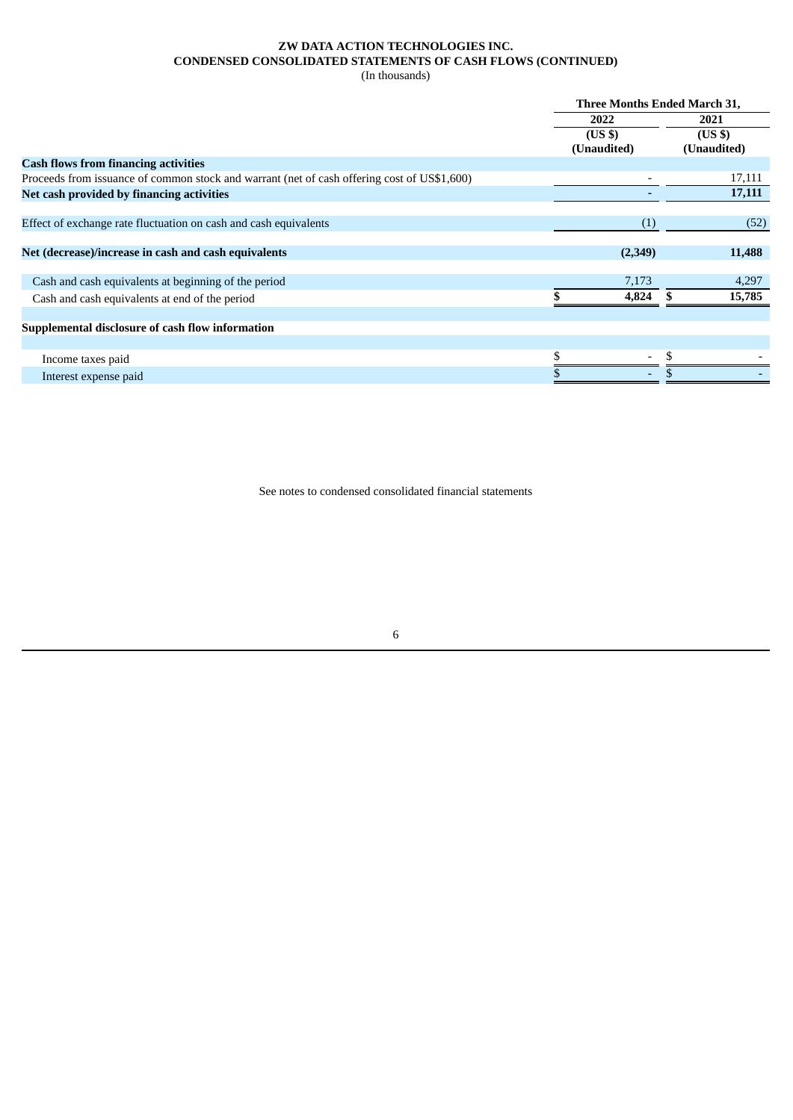# **ZW DATA ACTION TECHNOLOGIES INC. CONDENSED CONSOLIDATED STATEMENTS OF CASH FLOWS (CONTINUED)**

(In thousands)

| <b>Three Months Ended March 31,</b> |                    |  |  |  |
|-------------------------------------|--------------------|--|--|--|
| 2022                                | 2021               |  |  |  |
| (US <sub>3</sub> )                  | (US <sub>5</sub> ) |  |  |  |
| (Unaudited)                         | (Unaudited)        |  |  |  |
|                                     |                    |  |  |  |
|                                     | 17,111             |  |  |  |
|                                     | 17,111             |  |  |  |
|                                     |                    |  |  |  |
| (1)                                 | (52)               |  |  |  |
|                                     |                    |  |  |  |
| (2,349)                             | 11,488             |  |  |  |
|                                     |                    |  |  |  |
| 7,173                               | 4,297              |  |  |  |
| 4,824                               | 15,785             |  |  |  |
|                                     |                    |  |  |  |
|                                     |                    |  |  |  |
|                                     |                    |  |  |  |
|                                     |                    |  |  |  |
|                                     |                    |  |  |  |
|                                     |                    |  |  |  |

See notes to condensed consolidated financial statements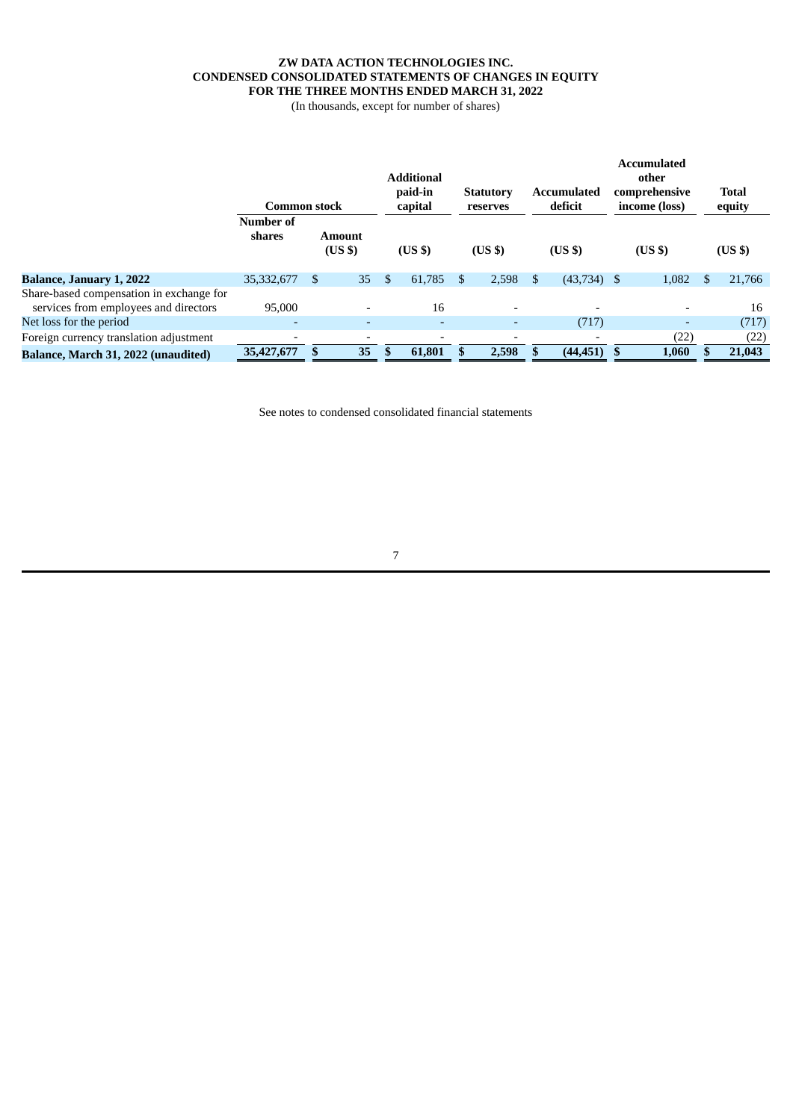# **ZW DATA ACTION TECHNOLOGIES INC. CONDENSED CONSOLIDATED STATEMENTS OF CHANGES IN EQUITY FOR THE THREE MONTHS ENDED MARCH 31, 2022**

(In thousands, except for number of shares)

<span id="page-9-0"></span>

|                                                                                   | <b>Common stock</b> |                              |    |               | <b>Additional</b><br>paid-in<br><b>Statutory</b><br>capital<br>reserves |    |                          |                    | Accumulated<br>deficit |       | <b>Accumulated</b><br>other<br>comprehensive<br>income (loss) | <b>Total</b><br>equity |        |  |
|-----------------------------------------------------------------------------------|---------------------|------------------------------|----|---------------|-------------------------------------------------------------------------|----|--------------------------|--------------------|------------------------|-------|---------------------------------------------------------------|------------------------|--------|--|
|                                                                                   | Number of<br>shares | Amount<br>(US <sub>5</sub> ) |    |               | $(US \$                                                                 |    | (US <sub>5</sub> )       | (US <sub>3</sub> ) |                        | (USS) |                                                               | (US <sub>3</sub> )     |        |  |
| <b>Balance, January 1, 2022</b>                                                   | 35,332,677          | <sup>\$</sup>                | 35 | <sup>\$</sup> | 61.785                                                                  | \$ | 2,598                    | \$.                | $(43,734)$ \$          |       | 1,082                                                         | \$.                    | 21,766 |  |
| Share-based compensation in exchange for<br>services from employees and directors | 95,000              |                              |    |               | 16                                                                      |    | $\overline{\phantom{a}}$ |                    |                        |       | $\overline{\phantom{0}}$                                      |                        | 16     |  |
| Net loss for the period                                                           | $\overline{a}$      |                              |    |               |                                                                         |    | -                        |                    | (717)                  |       | $\overline{a}$                                                |                        | (717)  |  |
| Foreign currency translation adjustment                                           |                     |                              |    |               |                                                                         |    |                          |                    |                        |       | (22)                                                          |                        | (22)   |  |
| Balance, March 31, 2022 (unaudited)                                               | 35,427,677          |                              | 35 |               | 61,801                                                                  |    | 2,598                    |                    | (44, 451)              | - \$  | 1,060                                                         |                        | 21,043 |  |

See notes to condensed consolidated financial statements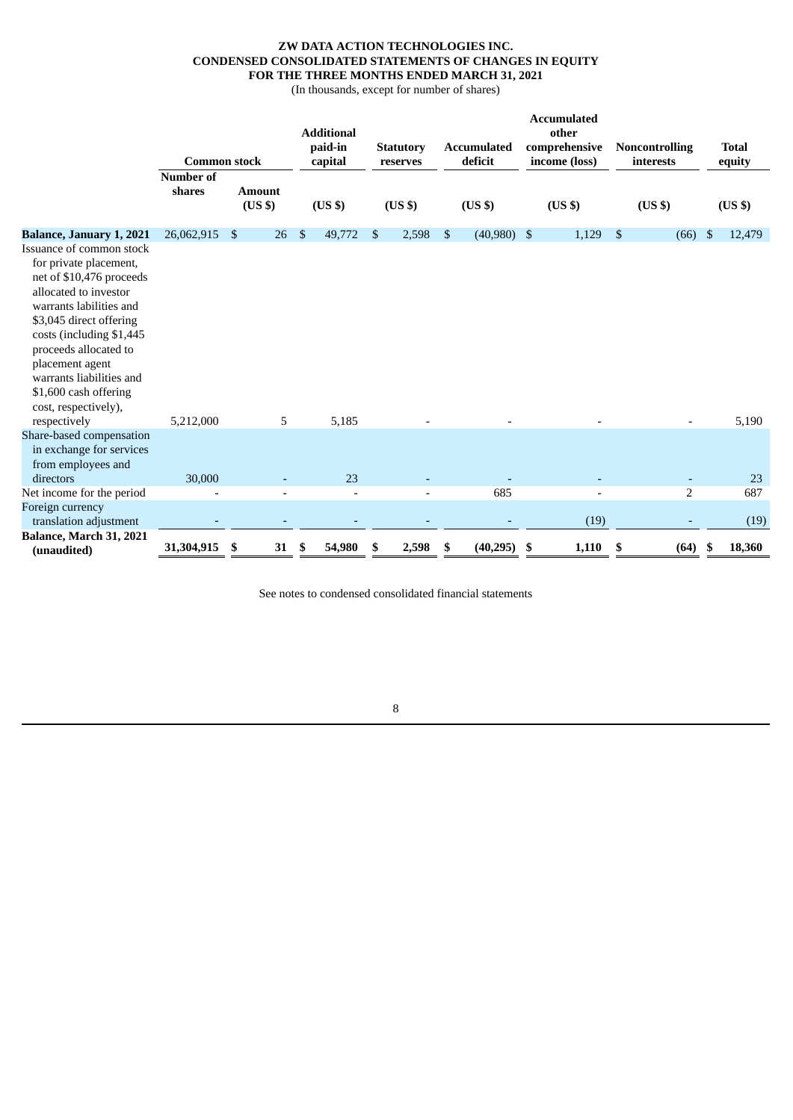# **ZW DATA ACTION TECHNOLOGIES INC. CONDENSED CONSOLIDATED STATEMENTS OF CHANGES IN EQUITY FOR THE THREE MONTHS ENDED MARCH 31, 2021**

(In thousands, except for number of shares)

|                                                                                                                                                                                                                                                                                                                                                |                                                   |                                     |               | <b>Additional</b><br>paid-in  | <b>Statutory</b>               |      | <b>Accumulated</b>            | <b>Accumulated</b><br>other<br>comprehensive |      | <b>Noncontrolling</b>           |     | <b>Total</b>                 |
|------------------------------------------------------------------------------------------------------------------------------------------------------------------------------------------------------------------------------------------------------------------------------------------------------------------------------------------------|---------------------------------------------------|-------------------------------------|---------------|-------------------------------|--------------------------------|------|-------------------------------|----------------------------------------------|------|---------------------------------|-----|------------------------------|
|                                                                                                                                                                                                                                                                                                                                                | <b>Common stock</b><br><b>Number of</b><br>shares | <b>Amount</b><br>(US <sub>3</sub> ) |               | capital<br>(US <sub>3</sub> ) | reserves<br>(US <sub>3</sub> ) |      | deficit<br>(US <sub>3</sub> ) | income (loss)<br>(US \$)                     |      | interests<br>(US <sub>3</sub> ) |     | equity<br>(US <sub>3</sub> ) |
| Balance, January 1, 2021<br>Issuance of common stock<br>for private placement,<br>net of \$10,476 proceeds<br>allocated to investor<br>warrants labilities and<br>\$3,045 direct offering<br>costs (including \$1,445<br>proceeds allocated to<br>placement agent<br>warrants liabilities and<br>\$1,600 cash offering<br>cost, respectively), | 26,062,915                                        | 26<br>\$                            | <sup>\$</sup> | 49,772                        | \$<br>2,598                    | - \$ | $(40,980)$ \$                 | 1,129                                        | - \$ | (66)                            | -\$ | 12,479                       |
| respectively                                                                                                                                                                                                                                                                                                                                   | 5,212,000                                         | 5                                   |               | 5,185                         |                                |      |                               |                                              |      |                                 |     | 5,190                        |
| Share-based compensation<br>in exchange for services<br>from employees and<br>directors                                                                                                                                                                                                                                                        | 30,000                                            |                                     |               | 23                            |                                |      |                               |                                              |      |                                 |     | 23                           |
| Net income for the period                                                                                                                                                                                                                                                                                                                      |                                                   | $\overline{\phantom{0}}$            |               | $\overline{a}$                | $\overline{a}$                 |      | 685                           |                                              |      | $\overline{2}$                  |     | 687                          |
| Foreign currency<br>translation adjustment                                                                                                                                                                                                                                                                                                     |                                                   |                                     |               |                               |                                |      |                               | (19)                                         |      |                                 |     | (19)                         |
| Balance, March 31, 2021<br>(unaudited)                                                                                                                                                                                                                                                                                                         | 31,304,915                                        | \$<br>31                            | \$            | 54,980                        | \$<br>2,598                    | \$   | (40, 295)                     | \$<br>1,110                                  | \$   | (64)                            | \$  | 18,360                       |

See notes to condensed consolidated financial statements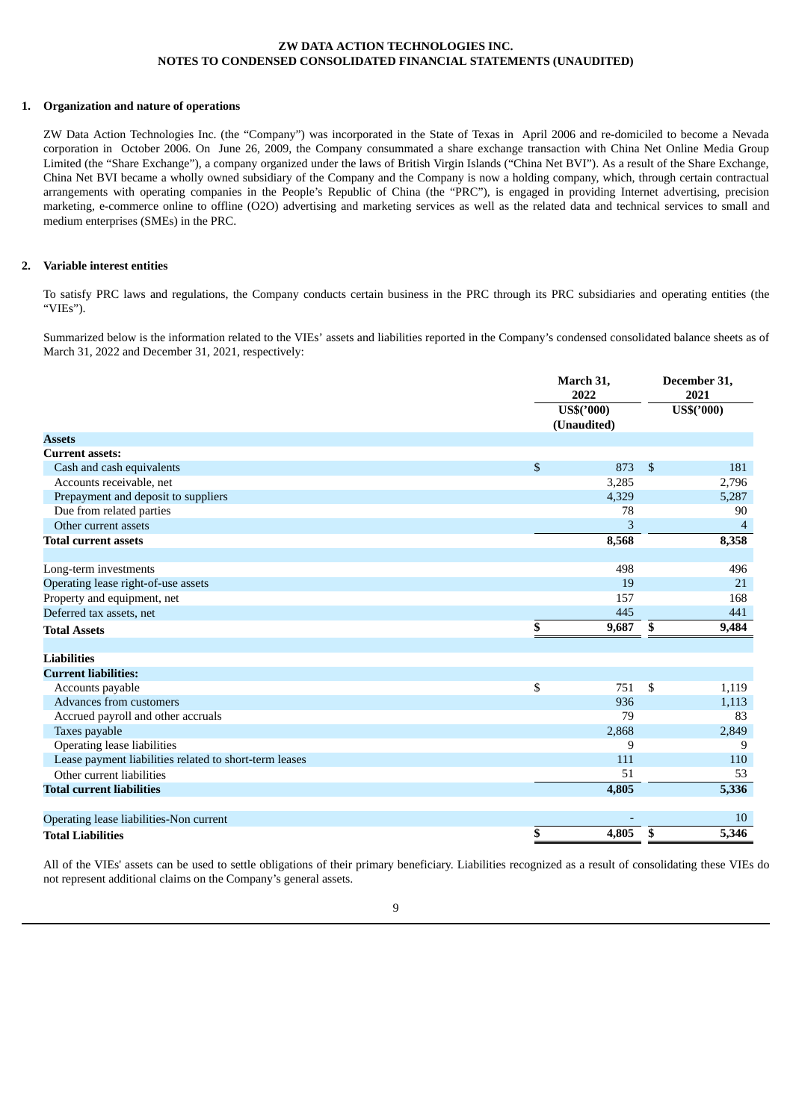### <span id="page-11-0"></span>**1. Organization and nature of operations**

ZW Data Action Technologies Inc. (the "Company") was incorporated in the State of Texas in April 2006 and re-domiciled to become a Nevada corporation in October 2006. On June 26, 2009, the Company consummated a share exchange transaction with China Net Online Media Group Limited (the "Share Exchange"), a company organized under the laws of British Virgin Islands ("China Net BVI"). As a result of the Share Exchange, China Net BVI became a wholly owned subsidiary of the Company and the Company is now a holding company, which, through certain contractual arrangements with operating companies in the People's Republic of China (the "PRC"), is engaged in providing Internet advertising, precision marketing, e-commerce online to offline (O2O) advertising and marketing services as well as the related data and technical services to small and medium enterprises (SMEs) in the PRC.

### **2. Variable interest entities**

To satisfy PRC laws and regulations, the Company conducts certain business in the PRC through its PRC subsidiaries and operating entities (the "VIEs").

Summarized below is the information related to the VIEs' assets and liabilities reported in the Company's condensed consolidated balance sheets as of March 31, 2022 and December 31, 2021, respectively:

|                                                        | March 31,<br>2022         |              | December 31,<br>2021 |
|--------------------------------------------------------|---------------------------|--------------|----------------------|
|                                                        | US\$('000)<br>(Unaudited) |              | US\$('000)           |
| <b>Assets</b>                                          |                           |              |                      |
| <b>Current assets:</b>                                 |                           |              |                      |
| Cash and cash equivalents                              | \$<br>873                 | $\mathbb{S}$ | 181                  |
| Accounts receivable, net                               | 3,285                     |              | 2,796                |
| Prepayment and deposit to suppliers                    | 4,329                     |              | 5,287                |
| Due from related parties                               | 78                        |              | 90                   |
| Other current assets                                   | 3                         |              | 4                    |
| <b>Total current assets</b>                            | 8,568                     |              | 8,358                |
| Long-term investments                                  | 498                       |              | 496                  |
| Operating lease right-of-use assets                    | 19                        |              | 21                   |
| Property and equipment, net                            | 157                       |              | 168                  |
| Deferred tax assets, net                               | 445                       |              | 441                  |
| <b>Total Assets</b>                                    | \$<br>9,687               | \$           | 9,484                |
| <b>Liabilities</b>                                     |                           |              |                      |
| <b>Current liabilities:</b>                            |                           |              |                      |
| Accounts payable                                       | \$<br>751                 | \$           | 1,119                |
| Advances from customers                                | 936                       |              | 1,113                |
| Accrued payroll and other accruals                     | 79                        |              | 83                   |
| Taxes payable                                          | 2,868                     |              | 2,849                |
| <b>Operating lease liabilities</b>                     | 9                         |              | 9                    |
| Lease payment liabilities related to short-term leases | 111                       |              | 110                  |
| Other current liabilities                              | 51                        |              | 53                   |
| <b>Total current liabilities</b>                       | 4,805                     |              | 5,336                |
|                                                        |                           |              | 10                   |
| Operating lease liabilities-Non current                |                           |              |                      |
| <b>Total Liabilities</b>                               | \$<br>4,805               | \$           | 5,346                |

All of the VIEs' assets can be used to settle obligations of their primary beneficiary. Liabilities recognized as a result of consolidating these VIEs do not represent additional claims on the Company's general assets.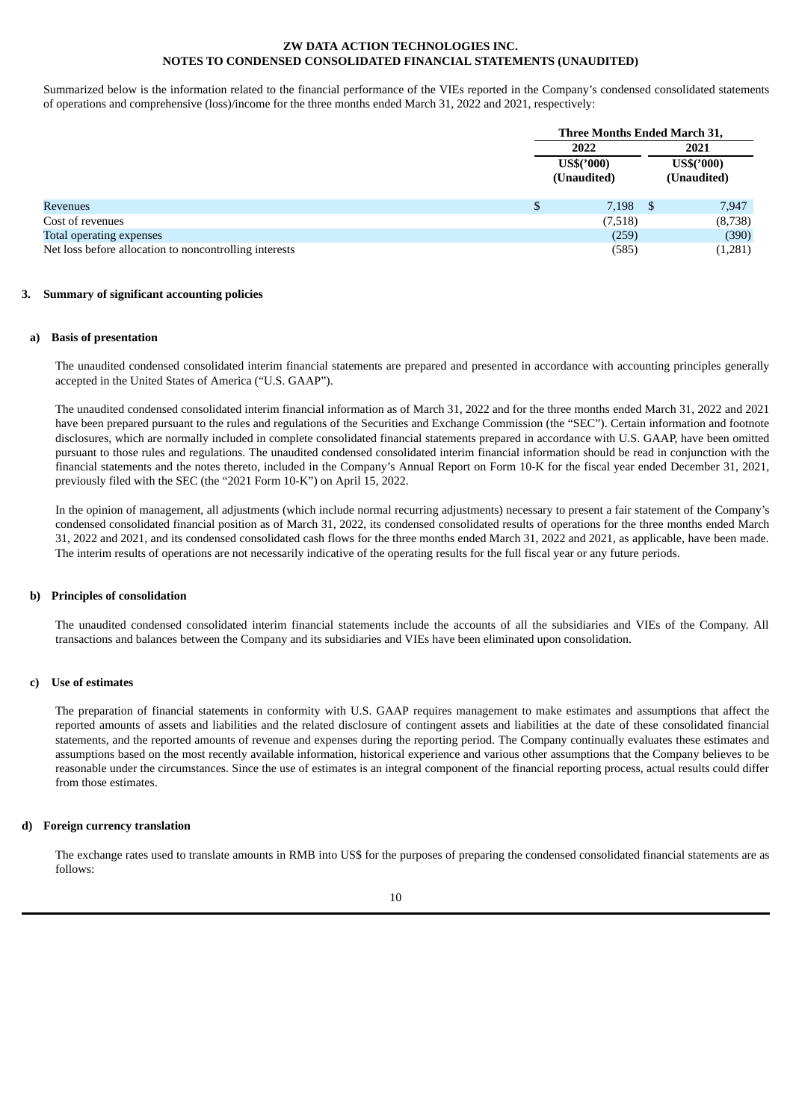Summarized below is the information related to the financial performance of the VIEs reported in the Company's condensed consolidated statements of operations and comprehensive (loss)/income for the three months ended March 31, 2022 and 2021, respectively:

|                                                        |     | Three Months Ended March 31, |  |                           |
|--------------------------------------------------------|-----|------------------------------|--|---------------------------|
|                                                        |     | 2022                         |  | 2021                      |
|                                                        |     | US\$('000)<br>(Unaudited)    |  | US\$('000)<br>(Unaudited) |
| Revenues                                               | \$. | $7,198$ \$                   |  | 7,947                     |
| Cost of revenues                                       |     | (7,518)                      |  | (8,738)                   |
| Total operating expenses                               |     | (259)                        |  | (390)                     |
| Net loss before allocation to noncontrolling interests |     | (585)                        |  | (1,281)                   |

#### **3. Summary of significant accounting policies**

## **a) Basis of presentation**

The unaudited condensed consolidated interim financial statements are prepared and presented in accordance with accounting principles generally accepted in the United States of America ("U.S. GAAP").

The unaudited condensed consolidated interim financial information as of March 31, 2022 and for the three months ended March 31, 2022 and 2021 have been prepared pursuant to the rules and regulations of the Securities and Exchange Commission (the "SEC"). Certain information and footnote disclosures, which are normally included in complete consolidated financial statements prepared in accordance with U.S. GAAP, have been omitted pursuant to those rules and regulations. The unaudited condensed consolidated interim financial information should be read in conjunction with the financial statements and the notes thereto, included in the Company's Annual Report on Form 10-K for the fiscal year ended December 31, 2021, previously filed with the SEC (the "2021 Form 10-K") on April 15, 2022.

In the opinion of management, all adjustments (which include normal recurring adjustments) necessary to present a fair statement of the Company's condensed consolidated financial position as of March 31, 2022, its condensed consolidated results of operations for the three months ended March 31, 2022 and 2021, and its condensed consolidated cash flows for the three months ended March 31, 2022 and 2021, as applicable, have been made. The interim results of operations are not necessarily indicative of the operating results for the full fiscal year or any future periods.

#### **b) Principles of consolidation**

The unaudited condensed consolidated interim financial statements include the accounts of all the subsidiaries and VIEs of the Company. All transactions and balances between the Company and its subsidiaries and VIEs have been eliminated upon consolidation.

#### **c) Use of estimates**

The preparation of financial statements in conformity with U.S. GAAP requires management to make estimates and assumptions that affect the reported amounts of assets and liabilities and the related disclosure of contingent assets and liabilities at the date of these consolidated financial statements, and the reported amounts of revenue and expenses during the reporting period. The Company continually evaluates these estimates and assumptions based on the most recently available information, historical experience and various other assumptions that the Company believes to be reasonable under the circumstances. Since the use of estimates is an integral component of the financial reporting process, actual results could differ from those estimates.

#### **d) Foreign currency translation**

The exchange rates used to translate amounts in RMB into US\$ for the purposes of preparing the condensed consolidated financial statements are as follows:

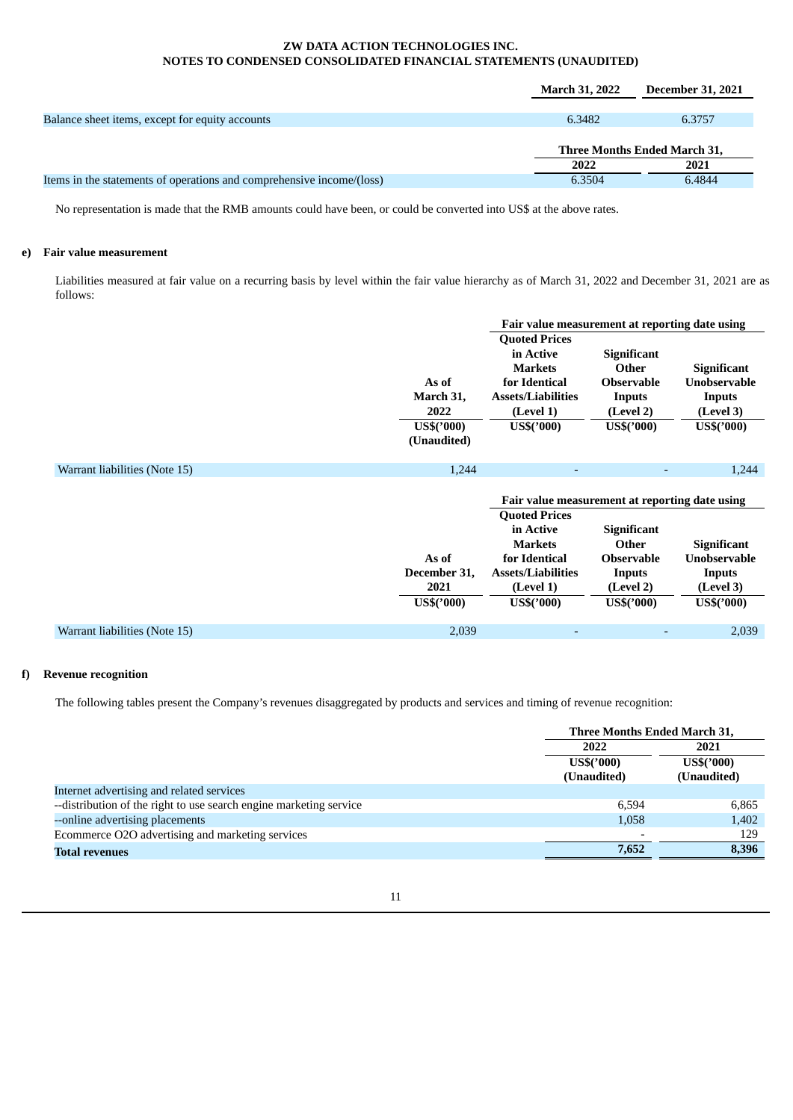|                                                                       | <b>March 31, 2022</b> | <b>December 31, 2021</b>     |
|-----------------------------------------------------------------------|-----------------------|------------------------------|
|                                                                       |                       |                              |
| Balance sheet items, except for equity accounts                       | 6.3482                | 6.3757                       |
|                                                                       |                       |                              |
|                                                                       |                       | Three Months Ended March 31, |
|                                                                       | 2022                  | 2021                         |
| Items in the statements of operations and comprehensive income/(loss) | 6.3504                | 6.4844                       |

No representation is made that the RMB amounts could have been, or could be converted into US\$ at the above rates.

## **e) Fair value measurement**

Liabilities measured at fair value on a recurring basis by level within the fair value hierarchy as of March 31, 2022 and December 31, 2021 are as follows:

|                               |                                                                                                                                                                             | Fair value measurement at reporting date using                                                                                          |                                                                                       |  |
|-------------------------------|-----------------------------------------------------------------------------------------------------------------------------------------------------------------------------|-----------------------------------------------------------------------------------------------------------------------------------------|---------------------------------------------------------------------------------------|--|
|                               | <b>Quoted Prices</b><br>in Active<br><b>Markets</b><br>for Identical<br>As of<br>March 31,<br><b>Assets/Liabilities</b><br>2022<br>(Level 1)                                | <b>Significant</b><br>Other<br><b>Observable</b><br>Inputs<br>(Level 2)                                                                 | <b>Significant</b><br><b>Unobservable</b><br>Inputs<br>(Level 3)                      |  |
|                               | US\$('000)<br>$US\$('000)$<br>(Unaudited)                                                                                                                                   | US\$('000)                                                                                                                              | US\$('000)                                                                            |  |
| Warrant liabilities (Note 15) | 1,244                                                                                                                                                                       |                                                                                                                                         | 1,244                                                                                 |  |
|                               | <b>Quoted Prices</b><br>in Active<br><b>Markets</b><br>As of<br>for Identical<br>December 31,<br><b>Assets/Liabilities</b><br>2021<br>(Level 1)<br>US\$('000)<br>US\$('000) | Fair value measurement at reporting date using<br><b>Significant</b><br>Other<br><b>Observable</b><br>Inputs<br>(Level 2)<br>US\$('000) | <b>Significant</b><br><b>Unobservable</b><br><b>Inputs</b><br>(Level 3)<br>US\$('000) |  |
| Warrant liabilities (Note 15) | 2,039                                                                                                                                                                       |                                                                                                                                         | 2,039                                                                                 |  |
|                               |                                                                                                                                                                             |                                                                                                                                         |                                                                                       |  |

# **f) Revenue recognition**

The following tables present the Company's revenues disaggregated by products and services and timing of revenue recognition:

|                                                                    | Three Months Ended March 31, |             |
|--------------------------------------------------------------------|------------------------------|-------------|
|                                                                    | 2022                         | 2021        |
|                                                                    | <b>US\$('000)</b>            | US\$('000)  |
|                                                                    | (Unaudited)                  | (Unaudited) |
| Internet advertising and related services                          |                              |             |
| --distribution of the right to use search engine marketing service | 6.594                        | 6.865       |
| --online advertising placements                                    | 1,058                        | 1,402       |
| Ecommerce O2O advertising and marketing services                   |                              | 129         |
| <b>Total revenues</b>                                              | 7,652                        | 8,396       |

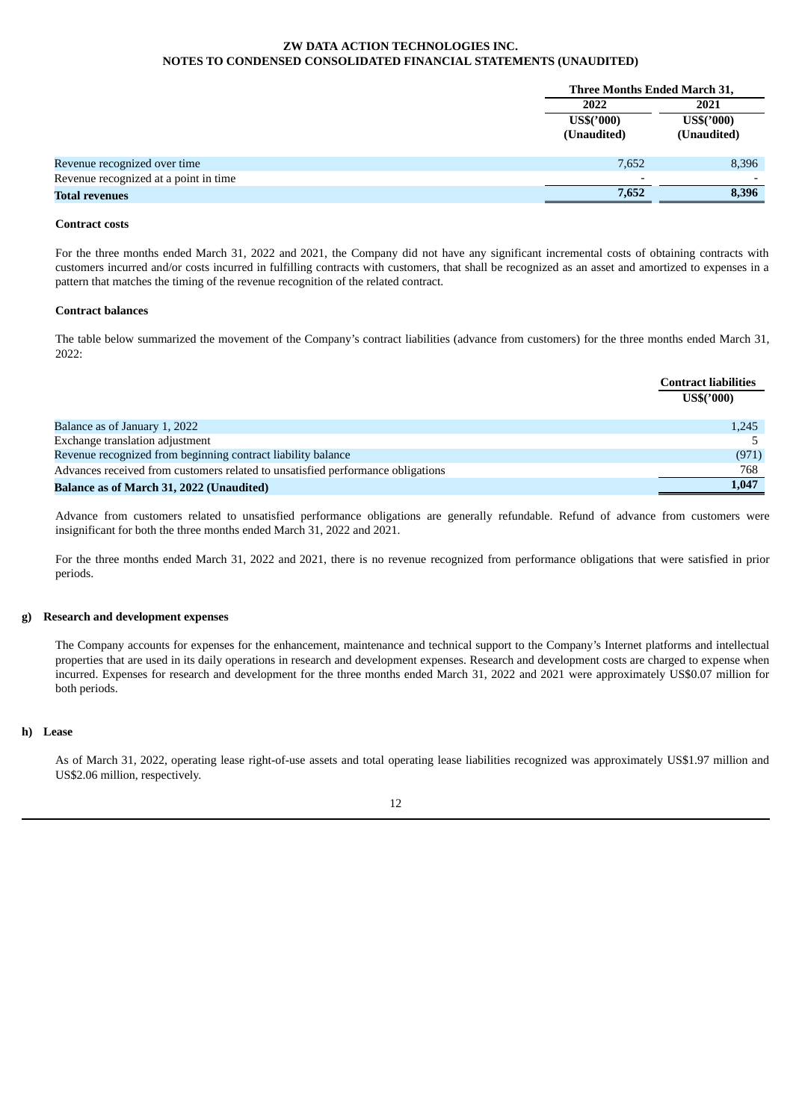|                                       | Three Months Ended March 31, |             |
|---------------------------------------|------------------------------|-------------|
|                                       | 2022                         | 2021        |
|                                       | $US\$('000)$                 | US\$('000)  |
|                                       | (Unaudited)                  | (Unaudited) |
|                                       |                              |             |
| Revenue recognized over time          | 7,652                        | 8,396       |
| Revenue recognized at a point in time |                              |             |
| <b>Total revenues</b>                 | 7,652                        | 8,396       |

## **Contract costs**

For the three months ended March 31, 2022 and 2021, the Company did not have any significant incremental costs of obtaining contracts with customers incurred and/or costs incurred in fulfilling contracts with customers, that shall be recognized as an asset and amortized to expenses in a pattern that matches the timing of the revenue recognition of the related contract.

### **Contract balances**

The table below summarized the movement of the Company's contract liabilities (advance from customers) for the three months ended March 31, 2022:

|                                                                                 | <b>Contract liabilities</b><br><b>US\$('000)</b> |
|---------------------------------------------------------------------------------|--------------------------------------------------|
| Balance as of January 1, 2022                                                   | 1,245                                            |
| Exchange translation adjustment                                                 |                                                  |
| Revenue recognized from beginning contract liability balance                    | (971)                                            |
| Advances received from customers related to unsatisfied performance obligations | 768                                              |
| Balance as of March 31, 2022 (Unaudited)                                        | 1,047                                            |

Advance from customers related to unsatisfied performance obligations are generally refundable. Refund of advance from customers were insignificant for both the three months ended March 31, 2022 and 2021.

For the three months ended March 31, 2022 and 2021, there is no revenue recognized from performance obligations that were satisfied in prior periods.

## **g) Research and development expenses**

The Company accounts for expenses for the enhancement, maintenance and technical support to the Company's Internet platforms and intellectual properties that are used in its daily operations in research and development expenses. Research and development costs are charged to expense when incurred. Expenses for research and development for the three months ended March 31, 2022 and 2021 were approximately US\$0.07 million for both periods.

#### **h) Lease**

As of March 31, 2022, operating lease right-of-use assets and total operating lease liabilities recognized was approximately US\$1.97 million and US\$2.06 million, respectively.

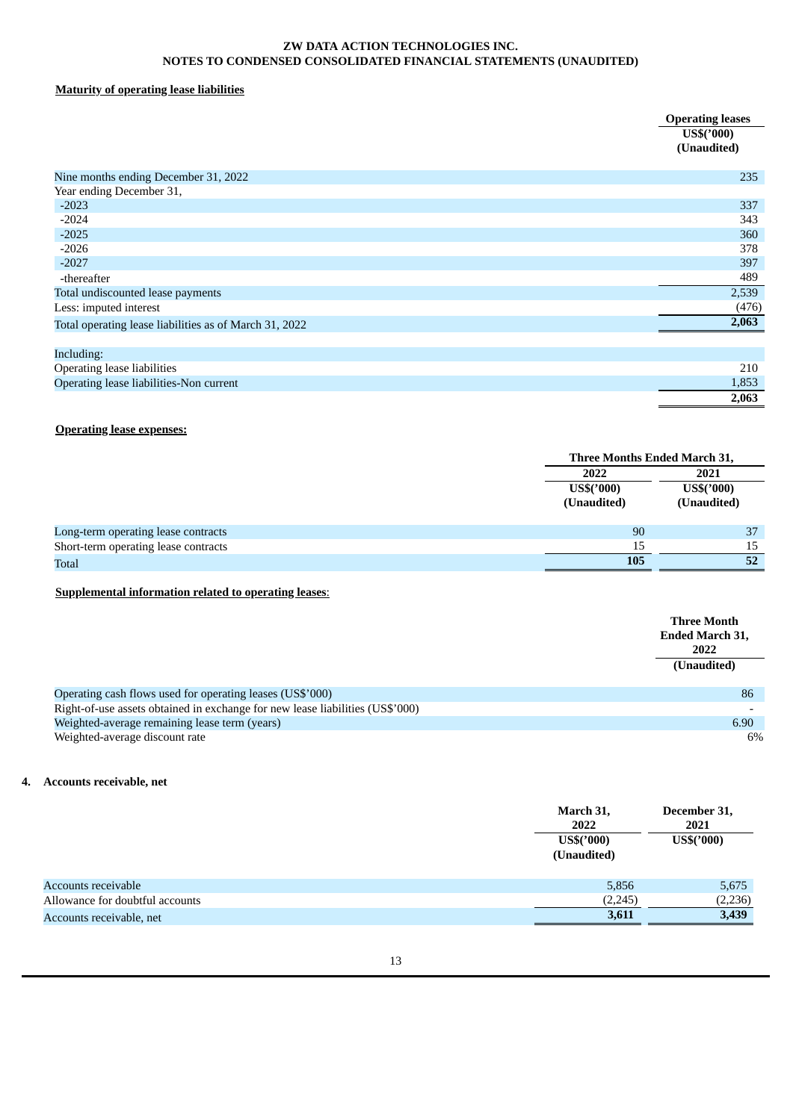# **Maturity of operating lease liabilities**

|                                                        | <b>Operating leases</b><br>US\$('000)<br>(Unaudited) |
|--------------------------------------------------------|------------------------------------------------------|
| Nine months ending December 31, 2022                   | 235                                                  |
| Year ending December 31,                               |                                                      |
| $-2023$                                                | 337                                                  |
| $-2024$                                                | 343                                                  |
| $-2025$                                                | 360                                                  |
| $-2026$                                                | 378                                                  |
| $-2027$                                                | 397                                                  |
| -thereafter                                            | 489                                                  |
| Total undiscounted lease payments                      | 2,539                                                |
| Less: imputed interest                                 | (476)                                                |
| Total operating lease liabilities as of March 31, 2022 | 2,063                                                |
| Including:                                             |                                                      |
| Operating lease liabilities                            | 210                                                  |
| Operating lease liabilities-Non current                | 1,853                                                |
|                                                        | 2,063                                                |

# **Operating lease expenses:**

|                                      |                                     | Three Months Ended March 31,        |  |
|--------------------------------------|-------------------------------------|-------------------------------------|--|
|                                      | 2022<br>$US\$('000)$<br>(Unaudited) | 2021<br>$US\$('000)$<br>(Unaudited) |  |
| Long-term operating lease contracts  | 90                                  | 37                                  |  |
| Short-term operating lease contracts | 15                                  | 15                                  |  |
| <b>Total</b>                         | 105                                 | 52                                  |  |

# **Supplemental information related to operating leases**:

|                                                                               | Three Month<br><b>Ended March 31,</b><br>2022<br>(Unaudited) |
|-------------------------------------------------------------------------------|--------------------------------------------------------------|
| Operating cash flows used for operating leases (US\$'000)                     | 86                                                           |
| Right-of-use assets obtained in exchange for new lease liabilities (US\$'000) |                                                              |
| Weighted-average remaining lease term (years)                                 | 6.90                                                         |
| Weighted-average discount rate                                                | 6%                                                           |

# **4. Accounts receivable, net**

|                                 | March 31,<br>2022<br>$US\$('000)$<br>(Unaudited) | December 31,<br>2021<br>$US\$('000)$ |
|---------------------------------|--------------------------------------------------|--------------------------------------|
| Accounts receivable             | 5,856                                            | 5,675                                |
| Allowance for doubtful accounts | (2,245)                                          | (2, 236)                             |
| Accounts receivable, net        | 3,611                                            | 3,439                                |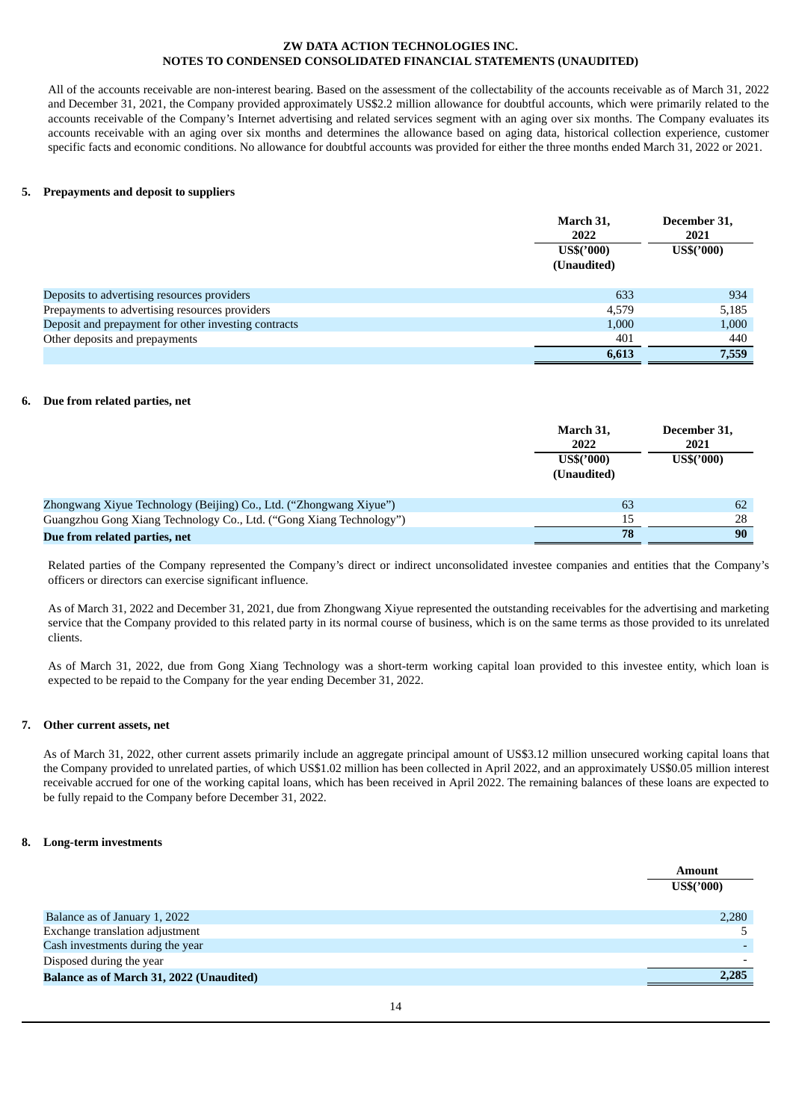All of the accounts receivable are non-interest bearing. Based on the assessment of the collectability of the accounts receivable as of March 31, 2022 and December 31, 2021, the Company provided approximately US\$2.2 million allowance for doubtful accounts, which were primarily related to the accounts receivable of the Company's Internet advertising and related services segment with an aging over six months. The Company evaluates its accounts receivable with an aging over six months and determines the allowance based on aging data, historical collection experience, customer specific facts and economic conditions. No allowance for doubtful accounts was provided for either the three months ended March 31, 2022 or 2021.

## **5. Prepayments and deposit to suppliers**

|                                                      | March 31,<br>2022<br>$US\$('000)$<br>(Unaudited) | December 31,<br>2021<br>$US\$('000)$ |
|------------------------------------------------------|--------------------------------------------------|--------------------------------------|
| Deposits to advertising resources providers          | 633                                              | 934                                  |
| Prepayments to advertising resources providers       | 4.579                                            | 5,185                                |
| Deposit and prepayment for other investing contracts | 1,000                                            | 1,000                                |
| Other deposits and prepayments                       | 401                                              | 440                                  |
|                                                      | 6,613                                            | 7,559                                |

#### **6. Due from related parties, net**

|                                                                     | March 31,<br>2022<br>US\$('000)<br>(Unaudited) | December 31,<br>2021<br>US\$('000) |
|---------------------------------------------------------------------|------------------------------------------------|------------------------------------|
| Zhongwang Xiyue Technology (Beijing) Co., Ltd. ("Zhongwang Xiyue")  | 63                                             | 62                                 |
| Guangzhou Gong Xiang Technology Co., Ltd. ("Gong Xiang Technology") | 15                                             | 28                                 |
| Due from related parties, net                                       | 78                                             | 90                                 |

Related parties of the Company represented the Company's direct or indirect unconsolidated investee companies and entities that the Company's officers or directors can exercise significant influence.

As of March 31, 2022 and December 31, 2021, due from Zhongwang Xiyue represented the outstanding receivables for the advertising and marketing service that the Company provided to this related party in its normal course of business, which is on the same terms as those provided to its unrelated clients.

As of March 31, 2022, due from Gong Xiang Technology was a short-term working capital loan provided to this investee entity, which loan is expected to be repaid to the Company for the year ending December 31, 2022.

### **7. Other current assets, net**

As of March 31, 2022, other current assets primarily include an aggregate principal amount of US\$3.12 million unsecured working capital loans that the Company provided to unrelated parties, of which US\$1.02 million has been collected in April 2022, and an approximately US\$0.05 million interest receivable accrued for one of the working capital loans, which has been received in April 2022. The remaining balances of these loans are expected to be fully repaid to the Company before December 31, 2022.

#### **8. Long-term investments**

|                                          | <b>Amount</b><br>$US\$('000)$ |
|------------------------------------------|-------------------------------|
| Balance as of January 1, 2022            | 2,280                         |
| Exchange translation adjustment          |                               |
| Cash investments during the year         |                               |
| Disposed during the year                 |                               |
| Balance as of March 31, 2022 (Unaudited) | 2,285                         |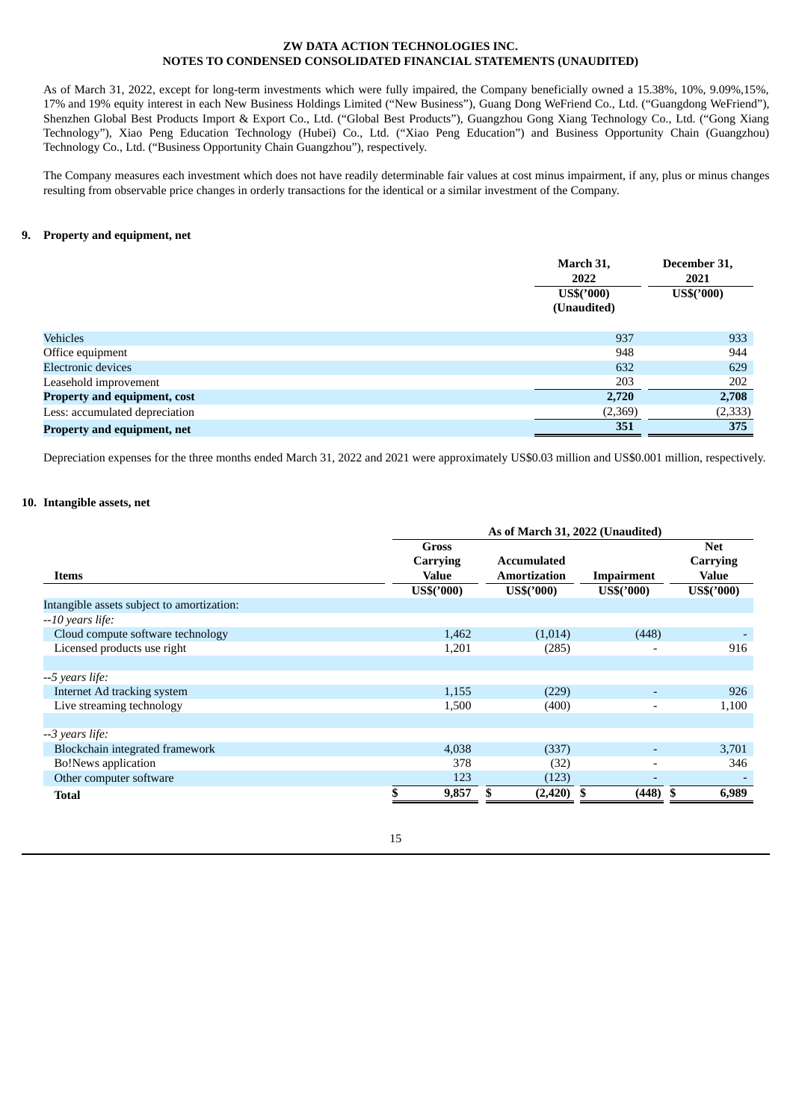As of March 31, 2022, except for long-term investments which were fully impaired, the Company beneficially owned a 15.38%, 10%, 9.09%,15%, 17% and 19% equity interest in each New Business Holdings Limited ("New Business"), Guang Dong WeFriend Co., Ltd. ("Guangdong WeFriend"), Shenzhen Global Best Products Import & Export Co., Ltd. ("Global Best Products"), Guangzhou Gong Xiang Technology Co., Ltd. ("Gong Xiang Technology"), Xiao Peng Education Technology (Hubei) Co., Ltd. ("Xiao Peng Education") and Business Opportunity Chain (Guangzhou) Technology Co., Ltd. ("Business Opportunity Chain Guangzhou"), respectively.

The Company measures each investment which does not have readily determinable fair values at cost minus impairment, if any, plus or minus changes resulting from observable price changes in orderly transactions for the identical or a similar investment of the Company.

## **9. Property and equipment, net**

|                                     | March 31,<br>2022           | December 31,<br>2021 |
|-------------------------------------|-----------------------------|----------------------|
|                                     | $US\$('000)$<br>(Unaudited) | US\$('000)           |
| <b>Vehicles</b>                     | 937                         | 933                  |
| Office equipment                    | 948                         | 944                  |
| <b>Electronic devices</b>           | 632                         | 629                  |
| Leasehold improvement               | 203                         | 202                  |
| <b>Property and equipment, cost</b> | 2,720                       | 2,708                |
| Less: accumulated depreciation      | (2,369)                     | (2, 333)             |
| Property and equipment, net         | 351                         | 375                  |

Depreciation expenses for the three months ended March 31, 2022 and 2021 were approximately US\$0.03 million and US\$0.001 million, respectively.

## **10. Intangible assets, net**

|                                            | As of March 31, 2022 (Unaudited) |            |                     |                          |              |  |  |
|--------------------------------------------|----------------------------------|------------|---------------------|--------------------------|--------------|--|--|
|                                            |                                  | Gross      |                     |                          | <b>Net</b>   |  |  |
|                                            |                                  | Carrying   | <b>Accumulated</b>  |                          | Carrying     |  |  |
| <b>Items</b>                               |                                  | Value      | <b>Amortization</b> | <b>Impairment</b>        | <b>Value</b> |  |  |
|                                            |                                  | US\$('000) | US\$('000)          | US\$('000)               | US\$('000)   |  |  |
| Intangible assets subject to amortization: |                                  |            |                     |                          |              |  |  |
| $-10$ years life:                          |                                  |            |                     |                          |              |  |  |
| Cloud compute software technology          |                                  | 1,462      | (1,014)             | (448)                    |              |  |  |
| Licensed products use right                |                                  | 1,201      | (285)               | $\overline{\phantom{a}}$ | 916          |  |  |
|                                            |                                  |            |                     |                          |              |  |  |
| --5 years life:                            |                                  |            |                     |                          |              |  |  |
| Internet Ad tracking system                |                                  | 1,155      | (229)               |                          | 926          |  |  |
| Live streaming technology                  |                                  | 1,500      | (400)               | $\overline{\phantom{0}}$ | 1,100        |  |  |
|                                            |                                  |            |                     |                          |              |  |  |
| --3 years life:                            |                                  |            |                     |                          |              |  |  |
| Blockchain integrated framework            |                                  | 4,038      | (337)               | ٠                        | 3,701        |  |  |
| <b>Bo!News</b> application                 |                                  | 378        | (32)                | $\overline{\phantom{a}}$ | 346          |  |  |
| Other computer software                    |                                  | 123        | (123)               | -                        |              |  |  |
| <b>Total</b>                               |                                  | 9,857      | $(2,420)$ \$<br>\$  | $(448)$ \$               | 6,989        |  |  |
|                                            |                                  |            |                     |                          |              |  |  |

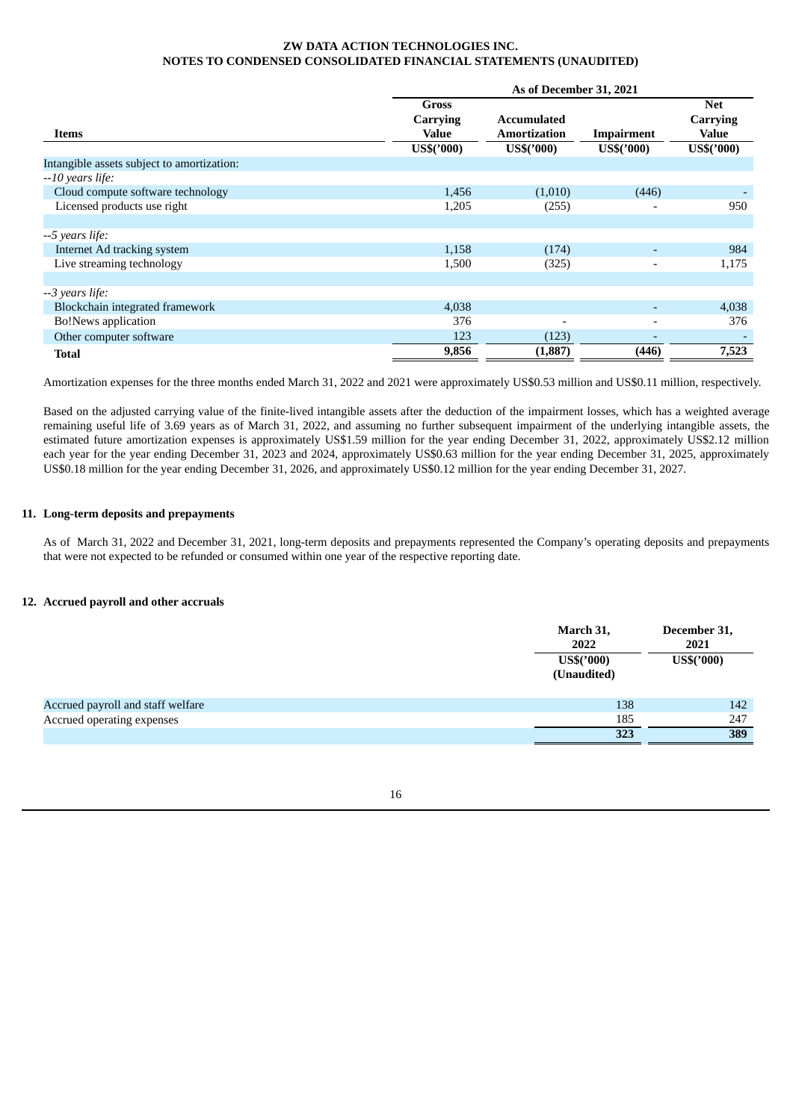|                                            | As of December 31, 2021 |                     |                          |                        |  |  |  |
|--------------------------------------------|-------------------------|---------------------|--------------------------|------------------------|--|--|--|
|                                            | Gross<br>Carrying       | <b>Accumulated</b>  |                          | <b>Net</b><br>Carrying |  |  |  |
| Items                                      | Value                   | <b>Amortization</b> | Impairment               | Value                  |  |  |  |
|                                            | US\$('000)              | US\$('000)          | US\$('000)               | US\$('000)             |  |  |  |
| Intangible assets subject to amortization: |                         |                     |                          |                        |  |  |  |
| $-10$ years life:                          |                         |                     |                          |                        |  |  |  |
| Cloud compute software technology          | 1,456                   | (1,010)             | (446)                    |                        |  |  |  |
| Licensed products use right                | 1,205                   | (255)               |                          | 950                    |  |  |  |
|                                            |                         |                     |                          |                        |  |  |  |
| --5 years life:                            |                         |                     |                          |                        |  |  |  |
| Internet Ad tracking system                | 1,158                   | (174)               | $\overline{\phantom{a}}$ | 984                    |  |  |  |
| Live streaming technology                  | 1,500                   | (325)               | $\overline{\phantom{a}}$ | 1,175                  |  |  |  |
|                                            |                         |                     |                          |                        |  |  |  |
| --3 years life:                            |                         |                     |                          |                        |  |  |  |
| Blockchain integrated framework            | 4,038                   |                     | ٠                        | 4,038                  |  |  |  |
| <b>Bo!News</b> application                 | 376                     |                     | $\overline{\phantom{a}}$ | 376                    |  |  |  |
| Other computer software                    | 123                     | (123)               | $\overline{\phantom{a}}$ |                        |  |  |  |
| Total                                      | 9,856                   | (1, 887)            | (446)                    | 7,523                  |  |  |  |

Amortization expenses for the three months ended March 31, 2022 and 2021 were approximately US\$0.53 million and US\$0.11 million, respectively.

Based on the adjusted carrying value of the finite-lived intangible assets after the deduction of the impairment losses, which has a weighted average remaining useful life of 3.69 years as of March 31, 2022, and assuming no further subsequent impairment of the underlying intangible assets, the estimated future amortization expenses is approximately US\$1.59 million for the year ending December 31, 2022, approximately US\$2.12 million each year for the year ending December 31, 2023 and 2024, approximately US\$0.63 million for the year ending December 31, 2025, approximately US\$0.18 million for the year ending December 31, 2026, and approximately US\$0.12 million for the year ending December 31, 2027.

## **11. Long-term deposits and prepayments**

As of March 31, 2022 and December 31, 2021, long-term deposits and prepayments represented the Company's operating deposits and prepayments that were not expected to be refunded or consumed within one year of the respective reporting date.

## **12. Accrued payroll and other accruals**

|                                   | March 31,<br>2022<br>US\$('000)<br>(Unaudited) | December 31,<br>2021<br>$US\$('000)$ |
|-----------------------------------|------------------------------------------------|--------------------------------------|
| Accrued payroll and staff welfare | 138                                            | 142                                  |
| Accrued operating expenses        | 185                                            | 247                                  |
|                                   | 323                                            | 389                                  |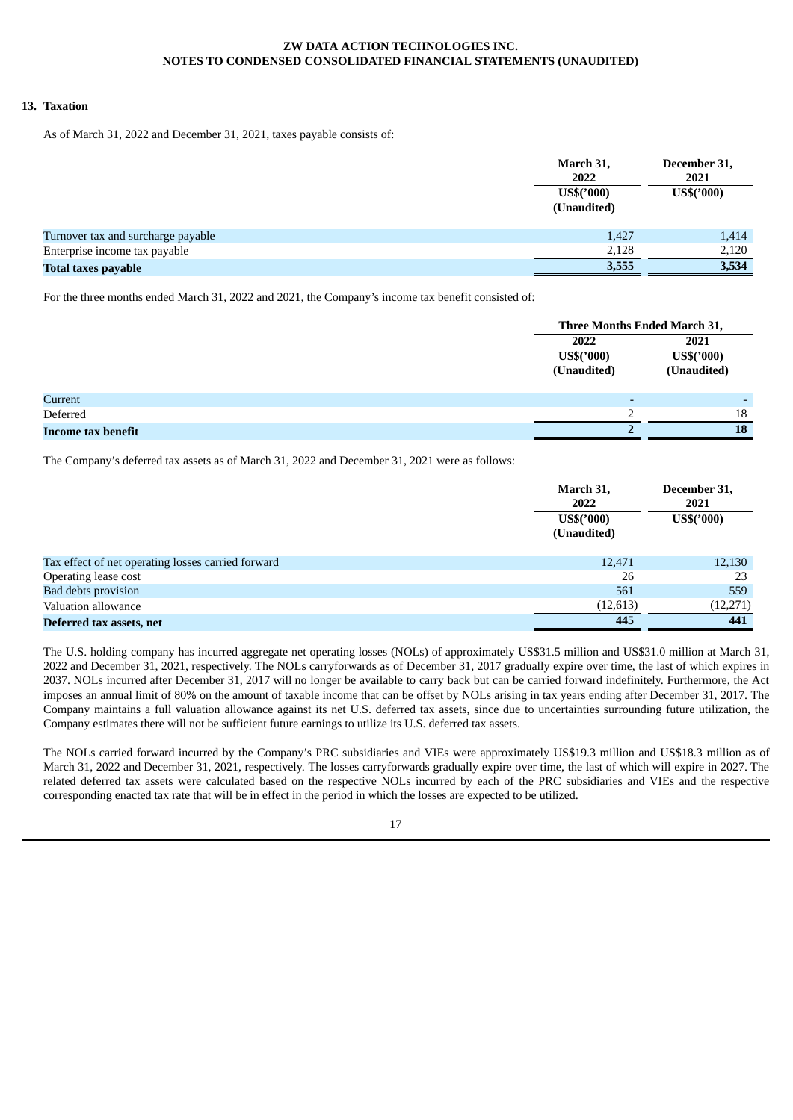### **13. Taxation**

As of March 31, 2022 and December 31, 2021, taxes payable consists of:

|                                    | March 31,<br>2022           | December 31,<br>2021 |
|------------------------------------|-----------------------------|----------------------|
|                                    | $US\$('000)$<br>(Unaudited) | US\$('000)           |
| Turnover tax and surcharge payable | 1,427                       | 1,414                |
| Enterprise income tax payable      | 2,128                       | 2,120                |
| <b>Total taxes payable</b>         | 3,555                       | 3,534                |

For the three months ended March 31, 2022 and 2021, the Company's income tax benefit consisted of:

|                    | Three Months Ended March 31, |             |
|--------------------|------------------------------|-------------|
|                    | 2022                         | 2021        |
|                    | $US\$(000)$                  | US\$('000)  |
|                    | (Unaudited)                  | (Unaudited) |
|                    |                              |             |
| Current            | -                            |             |
| Deferred           |                              | 18          |
| Income tax benefit |                              | 18          |

The Company's deferred tax assets as of March 31, 2022 and December 31, 2021 were as follows:

|                                                    | March 31,<br>2022<br>US\$('000)<br>(Unaudited) | December 31,<br>2021<br>US\$('000) |
|----------------------------------------------------|------------------------------------------------|------------------------------------|
| Tax effect of net operating losses carried forward | 12,471                                         | 12,130                             |
| Operating lease cost                               | 26                                             | 23                                 |
| <b>Bad debts provision</b>                         | 561                                            | 559                                |
| Valuation allowance                                | (12, 613)                                      | (12, 271)                          |
| Deferred tax assets, net                           | 445                                            | 441                                |

The U.S. holding company has incurred aggregate net operating losses (NOLs) of approximately US\$31.5 million and US\$31.0 million at March 31, 2022 and December 31, 2021, respectively. The NOLs carryforwards as of December 31, 2017 gradually expire over time, the last of which expires in 2037. NOLs incurred after December 31, 2017 will no longer be available to carry back but can be carried forward indefinitely. Furthermore, the Act imposes an annual limit of 80% on the amount of taxable income that can be offset by NOLs arising in tax years ending after December 31, 2017. The Company maintains a full valuation allowance against its net U.S. deferred tax assets, since due to uncertainties surrounding future utilization, the Company estimates there will not be sufficient future earnings to utilize its U.S. deferred tax assets.

The NOLs carried forward incurred by the Company's PRC subsidiaries and VIEs were approximately US\$19.3 million and US\$18.3 million as of March 31, 2022 and December 31, 2021, respectively. The losses carryforwards gradually expire over time, the last of which will expire in 2027. The related deferred tax assets were calculated based on the respective NOLs incurred by each of the PRC subsidiaries and VIEs and the respective corresponding enacted tax rate that will be in effect in the period in which the losses are expected to be utilized.

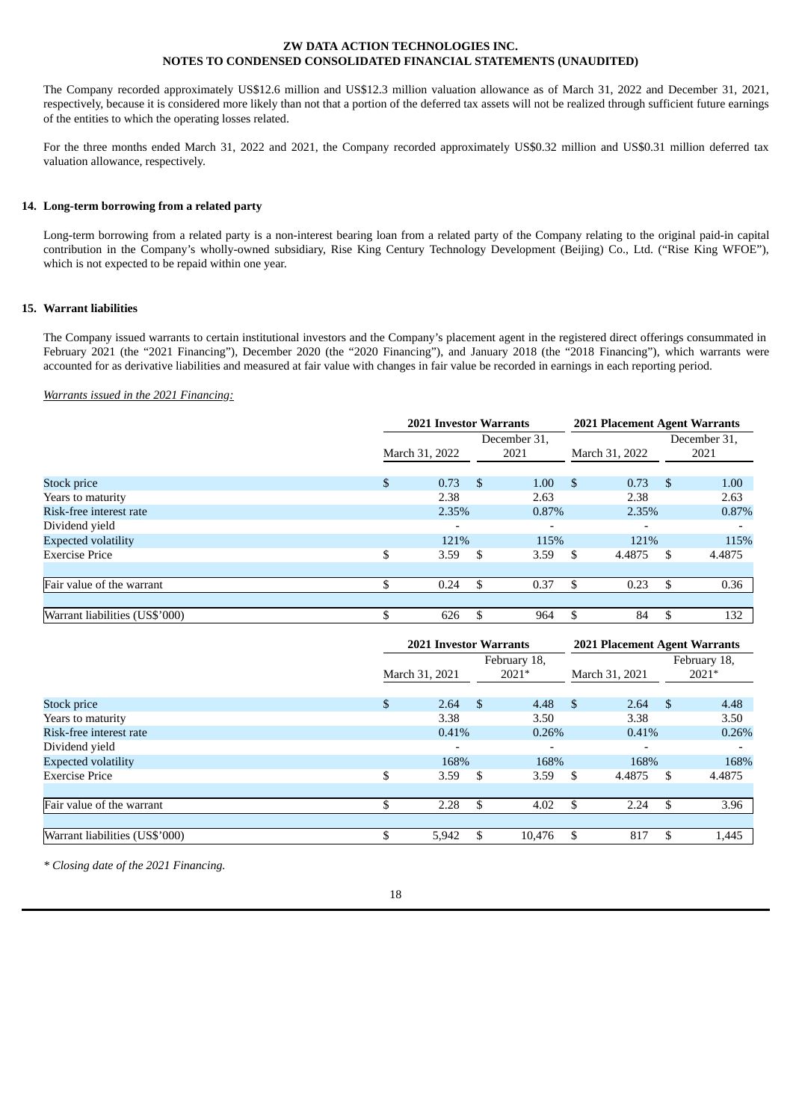The Company recorded approximately US\$12.6 million and US\$12.3 million valuation allowance as of March 31, 2022 and December 31, 2021, respectively, because it is considered more likely than not that a portion of the deferred tax assets will not be realized through sufficient future earnings of the entities to which the operating losses related.

For the three months ended March 31, 2022 and 2021, the Company recorded approximately US\$0.32 million and US\$0.31 million deferred tax valuation allowance, respectively.

## **14. Long-term borrowing from a related party**

Long-term borrowing from a related party is a non-interest bearing loan from a related party of the Company relating to the original paid-in capital contribution in the Company's wholly-owned subsidiary, Rise King Century Technology Development (Beijing) Co., Ltd. ("Rise King WFOE"), which is not expected to be repaid within one year.

## **15. Warrant liabilities**

The Company issued warrants to certain institutional investors and the Company's placement agent in the registered direct offerings consummated in February 2021 (the "2021 Financing"), December 2020 (the "2020 Financing"), and January 2018 (the "2018 Financing"), which warrants were accounted for as derivative liabilities and measured at fair value with changes in fair value be recorded in earnings in each reporting period.

#### *Warrants issued in the 2021 Financing:*

|                                | <b>2021 Investor Warrants</b> |      |              |     | 2021 Placement Agent Warrants |     |              |  |
|--------------------------------|-------------------------------|------|--------------|-----|-------------------------------|-----|--------------|--|
|                                |                               |      | December 31, |     |                               |     | December 31, |  |
|                                | March 31, 2022                |      | 2021         |     | March 31, 2022                |     | 2021         |  |
| Stock price                    | \$<br>0.73                    | - \$ | 1.00         | -S  | 0.73                          | -\$ | 1.00         |  |
| Years to maturity              | 2.38                          |      | 2.63         |     | 2.38                          |     | 2.63         |  |
| Risk-free interest rate        | 2.35%                         |      | 0.87%        |     | 2.35%                         |     | 0.87%        |  |
| Dividend yield                 |                               |      |              |     |                               |     |              |  |
| <b>Expected volatility</b>     | 121%                          |      | 115%         |     | 121%                          |     | 115%         |  |
| <b>Exercise Price</b>          | \$<br>3.59                    | - \$ | 3.59         | S   | 4.4875                        | S   | 4.4875       |  |
|                                |                               |      |              |     |                               |     |              |  |
| Fair value of the warrant      | 0.24                          | -\$  | 0.37         | \$. | 0.23                          | \$. | 0.36         |  |
|                                |                               |      |              |     |                               |     |              |  |
| Warrant liabilities (US\$'000) | 626                           | \$   | 964          | S   | 84                            | \$  | 132          |  |

|                                | <b>2021 Investor Warrants</b> |                          |      |                          |                | 2021 Placement Agent Warrants |    |                         |
|--------------------------------|-------------------------------|--------------------------|------|--------------------------|----------------|-------------------------------|----|-------------------------|
|                                | March 31, 2021                |                          |      | February 18,<br>2021*    | March 31, 2021 |                               |    | February 18,<br>$2021*$ |
| Stock price                    | $\mathbb{S}$                  | 2.64                     | -\$  | 4.48                     | - \$           | 2.64                          | \$ | 4.48                    |
| Years to maturity              |                               | 3.38                     |      | 3.50                     |                | 3.38                          |    | 3.50                    |
| Risk-free interest rate        |                               | 0.41%                    |      | 0.26%                    |                | 0.41%                         |    | 0.26%                   |
| Dividend yield                 |                               | $\overline{\phantom{0}}$ |      | $\overline{\phantom{0}}$ |                | $\overline{\phantom{0}}$      |    |                         |
| <b>Expected volatility</b>     |                               | 168%                     |      | 168%                     |                | 168%                          |    | 168%                    |
| <b>Exercise Price</b>          | \$                            | 3.59                     | - \$ | 3.59                     | \$             | 4.4875                        | \$ | 4.4875                  |
|                                |                               |                          |      |                          |                |                               |    |                         |
| Fair value of the warrant      |                               | 2.28                     | \$   | 4.02                     | \$             | 2.24                          | \$ | 3.96                    |
|                                |                               |                          |      |                          |                |                               |    |                         |
| Warrant liabilities (US\$'000) |                               | 5,942                    | \$.  | 10,476                   | \$             | 817                           | -S | 1,445                   |

*\* Closing date of the 2021 Financing.*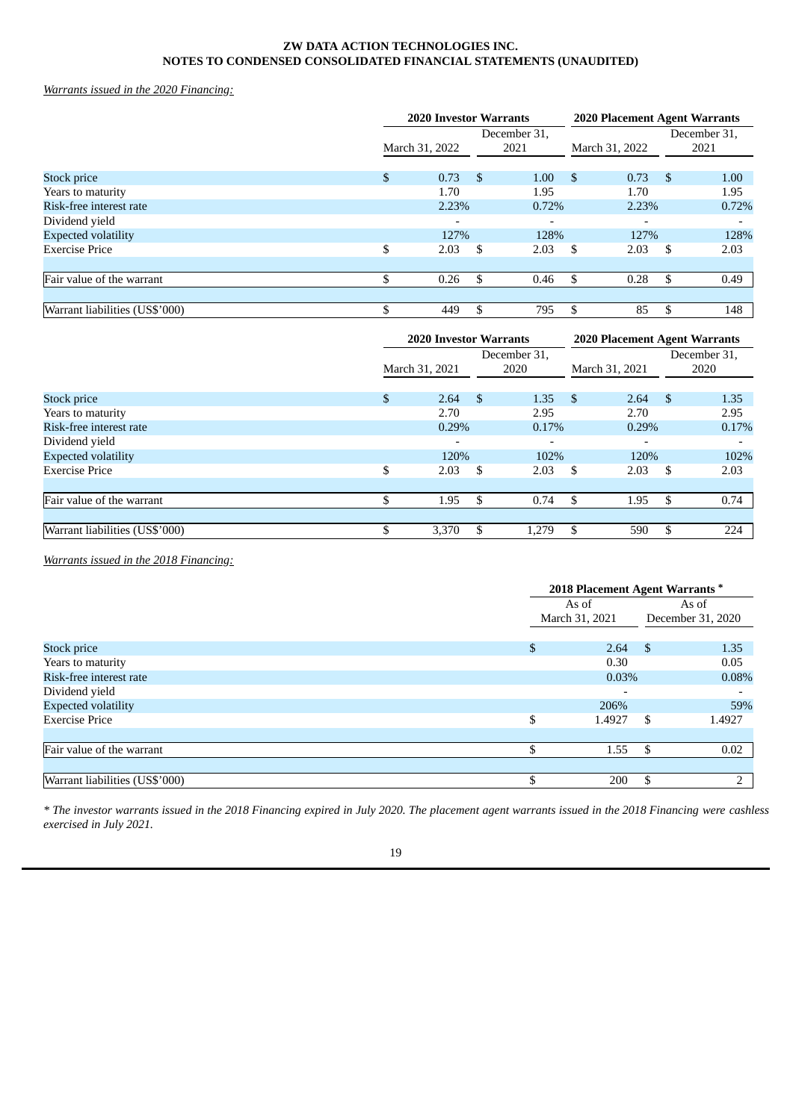*Warrants issued in the 2020 Financing:*

|                                | <b>2020 Investor Warrants</b> |                          |      |              | 2020 Placement Agent Warrants |       |     |              |
|--------------------------------|-------------------------------|--------------------------|------|--------------|-------------------------------|-------|-----|--------------|
|                                |                               |                          |      | December 31, |                               |       |     | December 31, |
|                                | March 31, 2022                |                          |      | 2021         | March 31, 2022                |       |     | 2021         |
| Stock price                    | \$                            | 0.73                     | - \$ | 1.00         | -\$                           | 0.73  | -\$ | 1.00         |
| Years to maturity              |                               | 1.70                     |      | 1.95         |                               | 1.70  |     | 1.95         |
| Risk-free interest rate        |                               | 2.23%                    |      | 0.72%        |                               | 2.23% |     | 0.72%        |
| Dividend yield                 |                               | $\overline{\phantom{0}}$ |      |              |                               |       |     |              |
| <b>Expected volatility</b>     |                               | 127%                     |      | 128%         |                               | 127%  |     | 128%         |
| <b>Exercise Price</b>          | \$                            | 2.03                     | -\$  | 2.03         | -S                            | 2.03  | \$. | 2.03         |
|                                |                               |                          |      |              |                               |       |     |              |
| Fair value of the warrant      | \$                            | 0.26                     | \$   | 0.46         | \$.                           | 0.28  | \$. | 0.49         |
|                                |                               |                          |      |              |                               |       |     |              |
| Warrant liabilities (US\$'000) | \$                            | 449                      | \$   | 795          | -S                            | 85    | \$  | 148          |

|                                | <b>2020 Investor Warrants</b> |     |              |      | 2020 Placement Agent Warrants |     |              |  |
|--------------------------------|-------------------------------|-----|--------------|------|-------------------------------|-----|--------------|--|
|                                |                               |     | December 31, |      |                               |     | December 31. |  |
|                                | March 31, 2021                |     | 2020         |      | March 31, 2021                |     | 2020         |  |
| Stock price                    | \$<br>2.64                    | - S | 1.35         | - \$ | 2.64                          | \$  | 1.35         |  |
| Years to maturity              | 2.70                          |     | 2.95         |      | 2.70                          |     | 2.95         |  |
| Risk-free interest rate        | 0.29%                         |     | 0.17%        |      | 0.29%                         |     | 0.17%        |  |
| Dividend yield                 | -                             |     |              |      |                               |     |              |  |
| <b>Expected volatility</b>     | 120%                          |     | 102%         |      | 120%                          |     | 102%         |  |
| <b>Exercise Price</b>          | \$<br>2.03                    | -S  | 2.03         | - \$ | 2.03                          | S   | 2.03         |  |
|                                |                               |     |              |      |                               |     |              |  |
| Fair value of the warrant      | 1.95                          | \$  | 0.74         | \$   | 1.95                          | \$  | 0.74         |  |
|                                |                               |     |              |      |                               |     |              |  |
| Warrant liabilities (US\$'000) | 3,370                         | \$. | 1,279        | \$.  | 590                           | \$. | 224          |  |

*Warrants issued in the 2018 Financing:*

|                                | 2018 Placement Agent Warrants * |        |       |                   |
|--------------------------------|---------------------------------|--------|-------|-------------------|
|                                |                                 | As of  | As of |                   |
|                                | March 31, 2021                  |        |       | December 31, 2020 |
| <b>Stock price</b>             | \$                              | 2.64   | - \$  | 1.35              |
| Years to maturity              |                                 | 0.30   |       | 0.05              |
| Risk-free interest rate        |                                 | 0.03%  |       | 0.08%             |
| Dividend yield                 |                                 |        |       |                   |
| <b>Expected volatility</b>     |                                 | 206%   |       | 59%               |
| <b>Exercise Price</b>          | \$                              | 1.4927 | \$    | 1.4927            |
| Fair value of the warrant      |                                 | 1.55   | ß.    | 0.02              |
|                                |                                 |        |       |                   |
| Warrant liabilities (US\$'000) |                                 | 200    | \$.   | $\overline{2}$    |

\* The investor warrants issued in the 2018 Financing expired in July 2020. The placement agent warrants issued in the 2018 Financing were cashless *exercised in July 2021.*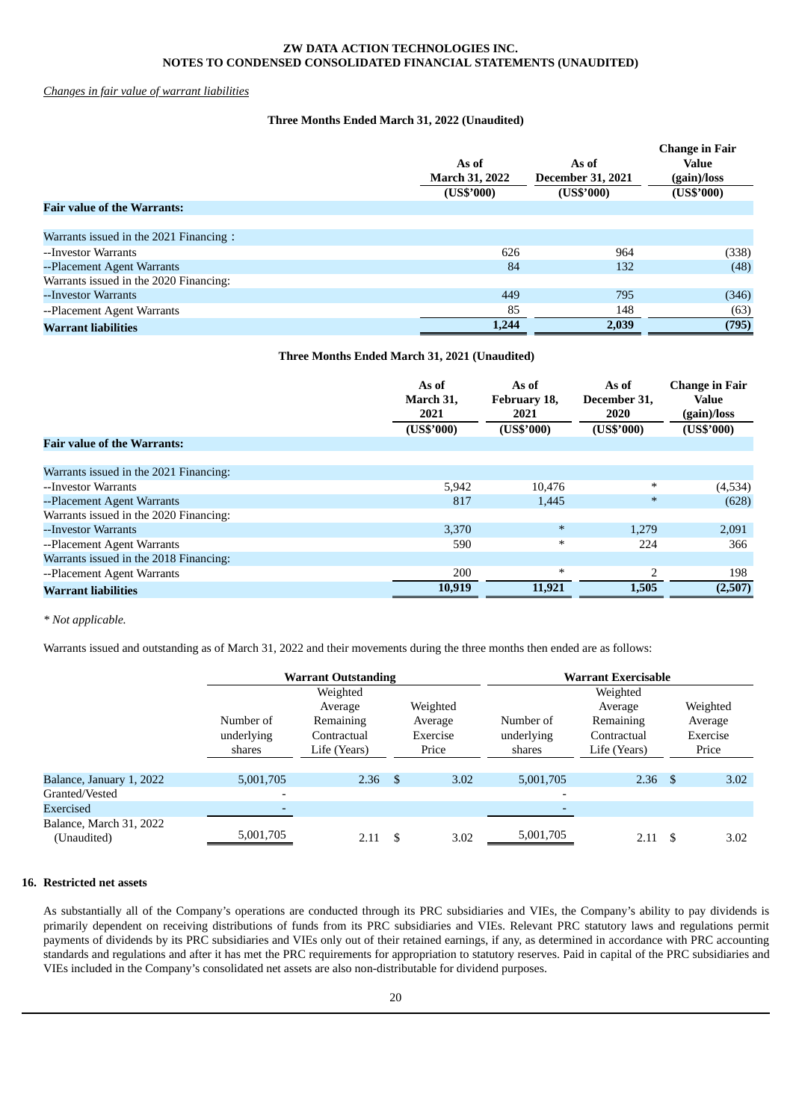## *Changes in fair value of warrant liabilities*

## **Three Months Ended March 31, 2022 (Unaudited)**

|                                        | As of<br><b>March 31, 2022</b><br>(US\$'000) | As of<br><b>December 31, 2021</b><br>(US\$'000) | <b>Change in Fair</b><br><b>Value</b><br>(gain)/loss<br>(US\$'000) |
|----------------------------------------|----------------------------------------------|-------------------------------------------------|--------------------------------------------------------------------|
| <b>Fair value of the Warrants:</b>     |                                              |                                                 |                                                                    |
|                                        |                                              |                                                 |                                                                    |
| Warrants issued in the 2021 Financing: |                                              |                                                 |                                                                    |
| --Investor Warrants                    | 626                                          | 964                                             | (338)                                                              |
| --Placement Agent Warrants             | 84                                           | 132                                             | (48)                                                               |
| Warrants issued in the 2020 Financing: |                                              |                                                 |                                                                    |
| --Investor Warrants                    | 449                                          | 795                                             | (346)                                                              |
| --Placement Agent Warrants             | 85                                           | 148                                             | (63)                                                               |
| <b>Warrant liabilities</b>             | 1,244                                        | 2,039                                           | (795)                                                              |

## **Three Months Ended March 31, 2021 (Unaudited)**

|                                        | As of<br>March 31,<br>2021 | As of<br>February 18,<br>2021 | As of<br>December 31,<br>2020 | <b>Change in Fair</b><br>Value<br>(gain)/loss |
|----------------------------------------|----------------------------|-------------------------------|-------------------------------|-----------------------------------------------|
|                                        | (US\$'000)                 | (US\$'000)                    | (US\$'000)                    | (US\$'000)                                    |
| <b>Fair value of the Warrants:</b>     |                            |                               |                               |                                               |
|                                        |                            |                               |                               |                                               |
| Warrants issued in the 2021 Financing: |                            |                               |                               |                                               |
| --Investor Warrants                    | 5,942                      | 10,476                        | $\ast$                        | (4,534)                                       |
| --Placement Agent Warrants             | 817                        | 1,445                         | $\ast$                        | (628)                                         |
| Warrants issued in the 2020 Financing: |                            |                               |                               |                                               |
| --Investor Warrants                    | 3.370                      | $\ast$                        | 1.279                         | 2,091                                         |
| --Placement Agent Warrants             | 590                        | $\ast$                        | 224                           | 366                                           |
| Warrants issued in the 2018 Financing: |                            |                               |                               |                                               |
| --Placement Agent Warrants             | 200                        | $\ast$                        | $\overline{2}$                | 198                                           |
| <b>Warrant liabilities</b>             | 10,919                     | 11,921                        | 1,505                         | (2,507)                                       |

### *\* Not applicable.*

Warrants issued and outstanding as of March 31, 2022 and their movements during the three months then ended are as follows:

|                                        |                          | <b>Warrant Outstanding</b> |              |          |                          | <b>Warrant Exercisable</b> |          |
|----------------------------------------|--------------------------|----------------------------|--------------|----------|--------------------------|----------------------------|----------|
|                                        |                          | Weighted                   |              |          |                          | Weighted                   |          |
|                                        |                          | Average                    |              | Weighted |                          | Average                    | Weighted |
|                                        | Number of                | Remaining                  |              | Average  | Number of                | Remaining                  | Average  |
|                                        | underlying               | Contractual                |              | Exercise | underlying               | Contractual                | Exercise |
|                                        | shares                   | Life (Years)               |              | Price    | shares                   | Life (Years)               | Price    |
|                                        |                          |                            |              |          |                          |                            |          |
| Balance, January 1, 2022               | 5,001,705                | 2.36                       | $\mathbf{s}$ | 3.02     | 5,001,705                | $2.36$ \$                  | 3.02     |
| Granted/Vested                         | $\overline{\phantom{a}}$ |                            |              |          | $\overline{\phantom{0}}$ |                            |          |
| Exercised                              |                          |                            |              |          |                          |                            |          |
| Balance, March 31, 2022<br>(Unaudited) | 5,001,705                | 2.11                       | \$           | 3.02     | 5,001,705                | $2.11 \quad$ \$            | 3.02     |

# **16. Restricted net assets**

As substantially all of the Company's operations are conducted through its PRC subsidiaries and VIEs, the Company's ability to pay dividends is primarily dependent on receiving distributions of funds from its PRC subsidiaries and VIEs. Relevant PRC statutory laws and regulations permit payments of dividends by its PRC subsidiaries and VIEs only out of their retained earnings, if any, as determined in accordance with PRC accounting standards and regulations and after it has met the PRC requirements for appropriation to statutory reserves. Paid in capital of the PRC subsidiaries and VIEs included in the Company's consolidated net assets are also non-distributable for dividend purposes.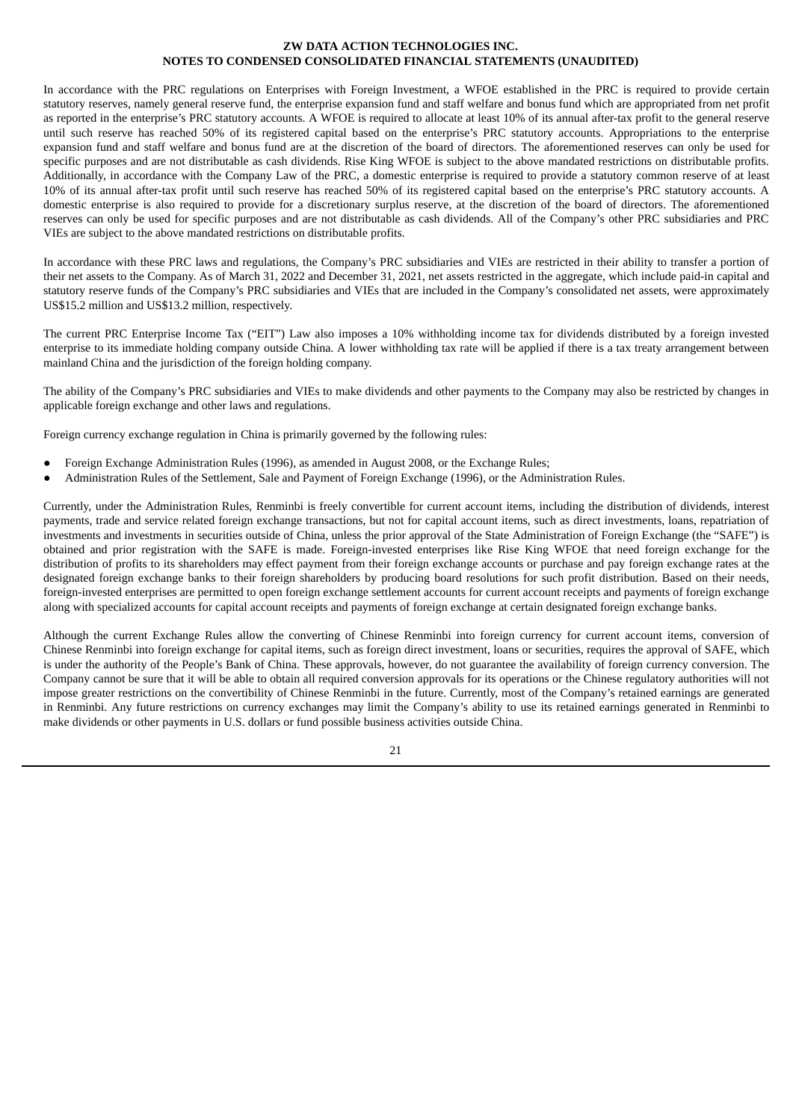In accordance with the PRC regulations on Enterprises with Foreign Investment, a WFOE established in the PRC is required to provide certain statutory reserves, namely general reserve fund, the enterprise expansion fund and staff welfare and bonus fund which are appropriated from net profit as reported in the enterprise's PRC statutory accounts. A WFOE is required to allocate at least 10% of its annual after-tax profit to the general reserve until such reserve has reached 50% of its registered capital based on the enterprise's PRC statutory accounts. Appropriations to the enterprise expansion fund and staff welfare and bonus fund are at the discretion of the board of directors. The aforementioned reserves can only be used for specific purposes and are not distributable as cash dividends. Rise King WFOE is subject to the above mandated restrictions on distributable profits. Additionally, in accordance with the Company Law of the PRC, a domestic enterprise is required to provide a statutory common reserve of at least 10% of its annual after-tax profit until such reserve has reached 50% of its registered capital based on the enterprise's PRC statutory accounts. A domestic enterprise is also required to provide for a discretionary surplus reserve, at the discretion of the board of directors. The aforementioned reserves can only be used for specific purposes and are not distributable as cash dividends. All of the Company's other PRC subsidiaries and PRC VIEs are subject to the above mandated restrictions on distributable profits.

In accordance with these PRC laws and regulations, the Company's PRC subsidiaries and VIEs are restricted in their ability to transfer a portion of their net assets to the Company. As of March 31, 2022 and December 31, 2021, net assets restricted in the aggregate, which include paid-in capital and statutory reserve funds of the Company's PRC subsidiaries and VIEs that are included in the Company's consolidated net assets, were approximately US\$15.2 million and US\$13.2 million, respectively.

The current PRC Enterprise Income Tax ("EIT") Law also imposes a 10% withholding income tax for dividends distributed by a foreign invested enterprise to its immediate holding company outside China. A lower withholding tax rate will be applied if there is a tax treaty arrangement between mainland China and the jurisdiction of the foreign holding company.

The ability of the Company's PRC subsidiaries and VIEs to make dividends and other payments to the Company may also be restricted by changes in applicable foreign exchange and other laws and regulations.

Foreign currency exchange regulation in China is primarily governed by the following rules:

- Foreign Exchange Administration Rules (1996), as amended in August 2008, or the Exchange Rules;
- Administration Rules of the Settlement, Sale and Payment of Foreign Exchange (1996), or the Administration Rules.

Currently, under the Administration Rules, Renminbi is freely convertible for current account items, including the distribution of dividends, interest payments, trade and service related foreign exchange transactions, but not for capital account items, such as direct investments, loans, repatriation of investments and investments in securities outside of China, unless the prior approval of the State Administration of Foreign Exchange (the "SAFE") is obtained and prior registration with the SAFE is made. Foreign-invested enterprises like Rise King WFOE that need foreign exchange for the distribution of profits to its shareholders may effect payment from their foreign exchange accounts or purchase and pay foreign exchange rates at the designated foreign exchange banks to their foreign shareholders by producing board resolutions for such profit distribution. Based on their needs, foreign-invested enterprises are permitted to open foreign exchange settlement accounts for current account receipts and payments of foreign exchange along with specialized accounts for capital account receipts and payments of foreign exchange at certain designated foreign exchange banks.

Although the current Exchange Rules allow the converting of Chinese Renminbi into foreign currency for current account items, conversion of Chinese Renminbi into foreign exchange for capital items, such as foreign direct investment, loans or securities, requires the approval of SAFE, which is under the authority of the People's Bank of China. These approvals, however, do not guarantee the availability of foreign currency conversion. The Company cannot be sure that it will be able to obtain all required conversion approvals for its operations or the Chinese regulatory authorities will not impose greater restrictions on the convertibility of Chinese Renminbi in the future. Currently, most of the Company's retained earnings are generated in Renminbi. Any future restrictions on currency exchanges may limit the Company's ability to use its retained earnings generated in Renminbi to make dividends or other payments in U.S. dollars or fund possible business activities outside China.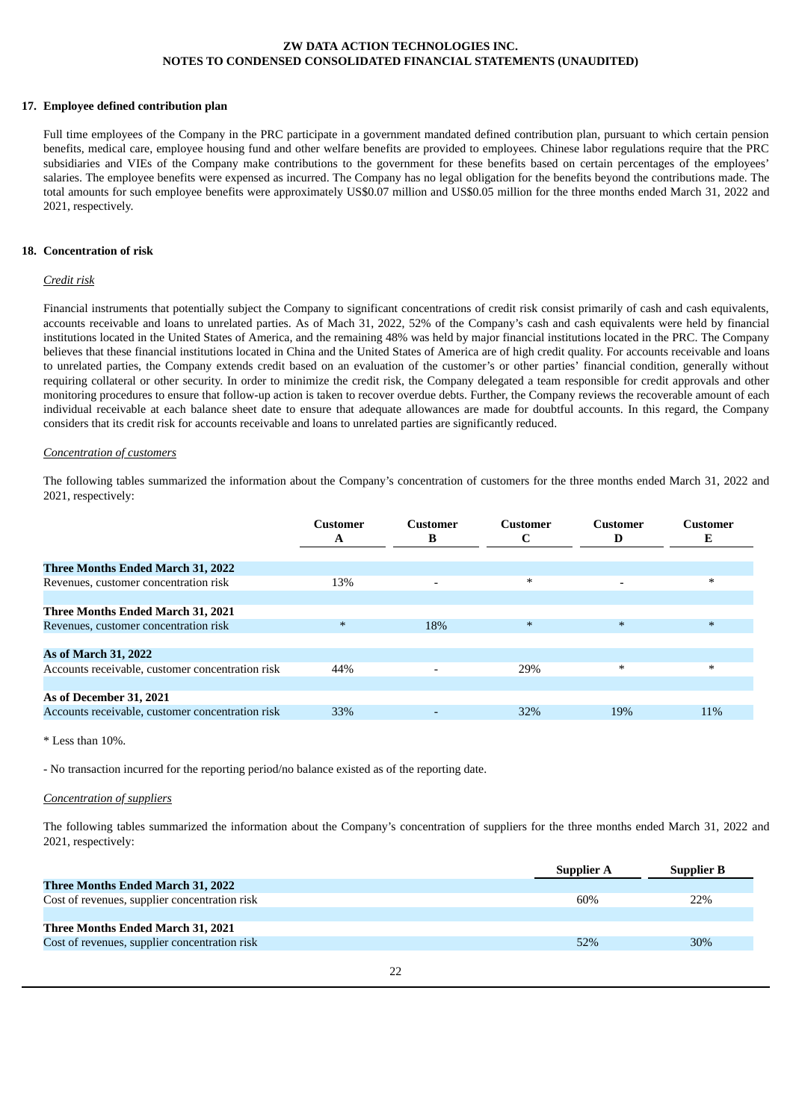### **17. Employee defined contribution plan**

Full time employees of the Company in the PRC participate in a government mandated defined contribution plan, pursuant to which certain pension benefits, medical care, employee housing fund and other welfare benefits are provided to employees. Chinese labor regulations require that the PRC subsidiaries and VIEs of the Company make contributions to the government for these benefits based on certain percentages of the employees' salaries. The employee benefits were expensed as incurred. The Company has no legal obligation for the benefits beyond the contributions made. The total amounts for such employee benefits were approximately US\$0.07 million and US\$0.05 million for the three months ended March 31, 2022 and 2021, respectively.

#### **18. Concentration of risk**

## *Credit risk*

Financial instruments that potentially subject the Company to significant concentrations of credit risk consist primarily of cash and cash equivalents, accounts receivable and loans to unrelated parties. As of Mach 31, 2022, 52% of the Company's cash and cash equivalents were held by financial institutions located in the United States of America, and the remaining 48% was held by major financial institutions located in the PRC. The Company believes that these financial institutions located in China and the United States of America are of high credit quality. For accounts receivable and loans to unrelated parties, the Company extends credit based on an evaluation of the customer's or other parties' financial condition, generally without requiring collateral or other security. In order to minimize the credit risk, the Company delegated a team responsible for credit approvals and other monitoring procedures to ensure that follow-up action is taken to recover overdue debts. Further, the Company reviews the recoverable amount of each individual receivable at each balance sheet date to ensure that adequate allowances are made for doubtful accounts. In this regard, the Company considers that its credit risk for accounts receivable and loans to unrelated parties are significantly reduced.

#### *Concentration of customers*

The following tables summarized the information about the Company's concentration of customers for the three months ended March 31, 2022 and 2021, respectively:

|                                                  | <b>Customer</b><br>A | <b>Customer</b><br>В     | Customer<br>C | Customer<br>D | Customer<br>Е |
|--------------------------------------------------|----------------------|--------------------------|---------------|---------------|---------------|
|                                                  |                      |                          |               |               |               |
| <b>Three Months Ended March 31, 2022</b>         |                      |                          |               |               |               |
| Revenues, customer concentration risk            | 13%                  | $\overline{\phantom{a}}$ | *             |               | $\ast$        |
|                                                  |                      |                          |               |               |               |
| Three Months Ended March 31, 2021                |                      |                          |               |               |               |
| Revenues, customer concentration risk            | $\ast$               | 18%                      | $\ast$        | $\ast$        | $\ast$        |
|                                                  |                      |                          |               |               |               |
| <b>As of March 31, 2022</b>                      |                      |                          |               |               |               |
| Accounts receivable, customer concentration risk | 44%                  | $\overline{\phantom{a}}$ | 29%           | $\ast$        | $\ast$        |
|                                                  |                      |                          |               |               |               |
| As of December 31, 2021                          |                      |                          |               |               |               |
| Accounts receivable, customer concentration risk | 33%                  |                          | 32%           | 19%           | $11\%$        |
|                                                  |                      |                          |               |               |               |

\* Less than 10%.

- No transaction incurred for the reporting period/no balance existed as of the reporting date.

#### *Concentration of suppliers*

The following tables summarized the information about the Company's concentration of suppliers for the three months ended March 31, 2022 and 2021, respectively:

|                                               | Supplier A | Supplier B |
|-----------------------------------------------|------------|------------|
| <b>Three Months Ended March 31, 2022</b>      |            |            |
| Cost of revenues, supplier concentration risk | 60%        | 22%        |
|                                               |            |            |
| Three Months Ended March 31, 2021             |            |            |
| Cost of revenues, supplier concentration risk | 52%        | 30%        |
|                                               |            |            |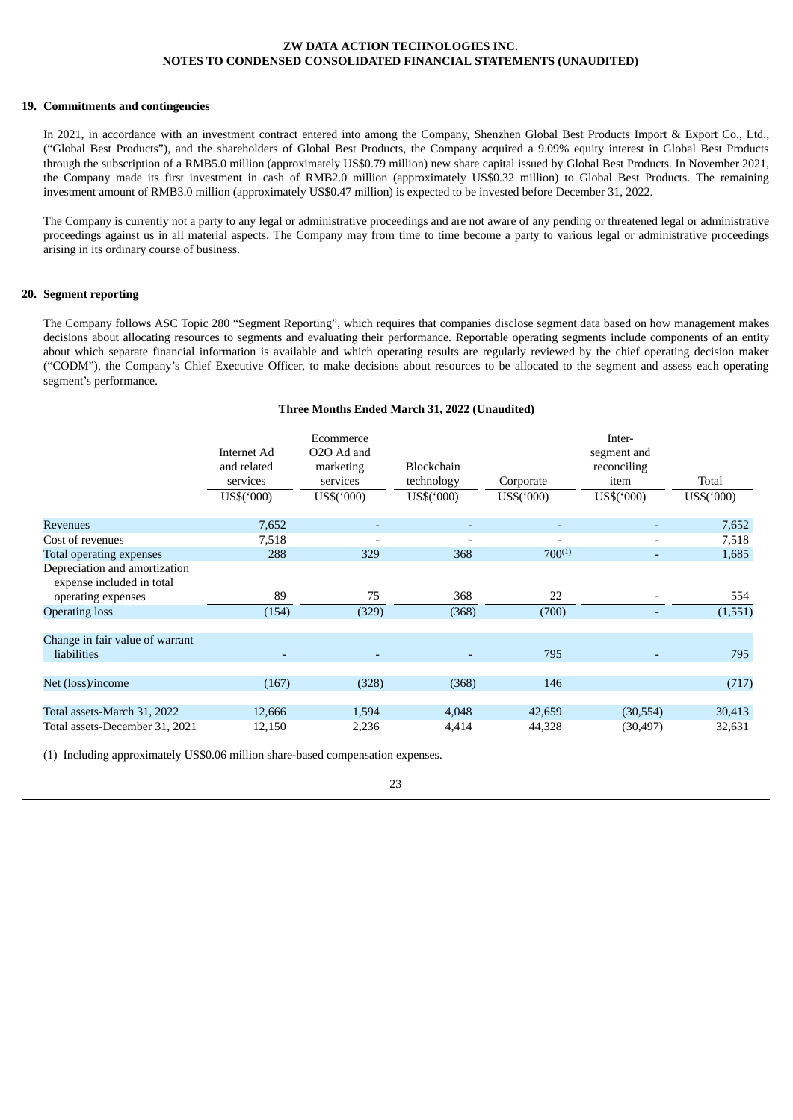#### **19. Commitments and contingencies**

In 2021, in accordance with an investment contract entered into among the Company, Shenzhen Global Best Products Import & Export Co., Ltd., ("Global Best Products"), and the shareholders of Global Best Products, the Company acquired a 9.09% equity interest in Global Best Products through the subscription of a RMB5.0 million (approximately US\$0.79 million) new share capital issued by Global Best Products. In November 2021, the Company made its first investment in cash of RMB2.0 million (approximately US\$0.32 million) to Global Best Products. The remaining investment amount of RMB3.0 million (approximately US\$0.47 million) is expected to be invested before December 31, 2022.

The Company is currently not a party to any legal or administrative proceedings and are not aware of any pending or threatened legal or administrative proceedings against us in all material aspects. The Company may from time to time become a party to various legal or administrative proceedings arising in its ordinary course of business.

### **20. Segment reporting**

The Company follows ASC Topic 280 "Segment Reporting", which requires that companies disclose segment data based on how management makes decisions about allocating resources to segments and evaluating their performance. Reportable operating segments include components of an entity about which separate financial information is available and which operating results are regularly reviewed by the chief operating decision maker ("CODM"), the Company's Chief Executive Officer, to make decisions about resources to be allocated to the segment and assess each operating segment's performance.

## **Three Months Ended March 31, 2022 (Unaudited)**

|                                                                                  | Internet Ad<br>and related<br>services<br>US\$('000) | Ecommerce<br>O <sub>2</sub> O Ad and<br>marketing<br>services<br>US\$(000) | Blockchain<br>technology<br>US\$(000) | Corporate<br>US\$('000)  | Inter-<br>segment and<br>reconciling<br>item<br>US\$('000) | Total<br>US\$('000) |
|----------------------------------------------------------------------------------|------------------------------------------------------|----------------------------------------------------------------------------|---------------------------------------|--------------------------|------------------------------------------------------------|---------------------|
| <b>Revenues</b>                                                                  | 7,652                                                |                                                                            |                                       |                          |                                                            | 7,652               |
| Cost of revenues                                                                 | 7,518                                                |                                                                            |                                       | $\overline{\phantom{a}}$ |                                                            | 7,518               |
| Total operating expenses                                                         | 288                                                  | 329                                                                        | 368                                   | $700^{(1)}$              | $\overline{\phantom{a}}$                                   | 1,685               |
| Depreciation and amortization<br>expense included in total<br>operating expenses | 89                                                   | 75                                                                         | 368                                   | 22                       |                                                            | 554                 |
| <b>Operating loss</b>                                                            | (154)                                                | (329)                                                                      | (368)                                 | (700)                    |                                                            | (1, 551)            |
|                                                                                  |                                                      |                                                                            |                                       |                          |                                                            |                     |
| Change in fair value of warrant<br>liabilities                                   |                                                      |                                                                            |                                       | 795                      |                                                            | 795                 |
| Net (loss)/income                                                                | (167)                                                | (328)                                                                      | (368)                                 | 146                      |                                                            | (717)               |
|                                                                                  |                                                      |                                                                            |                                       |                          |                                                            |                     |
| Total assets-March 31, 2022                                                      | 12,666                                               | 1,594                                                                      | 4,048                                 | 42,659                   | (30, 554)                                                  | 30,413              |
| Total assets-December 31, 2021                                                   | 12,150                                               | 2,236                                                                      | 4,414                                 | 44,328                   | (30, 497)                                                  | 32,631              |

(1) Including approximately US\$0.06 million share-based compensation expenses.

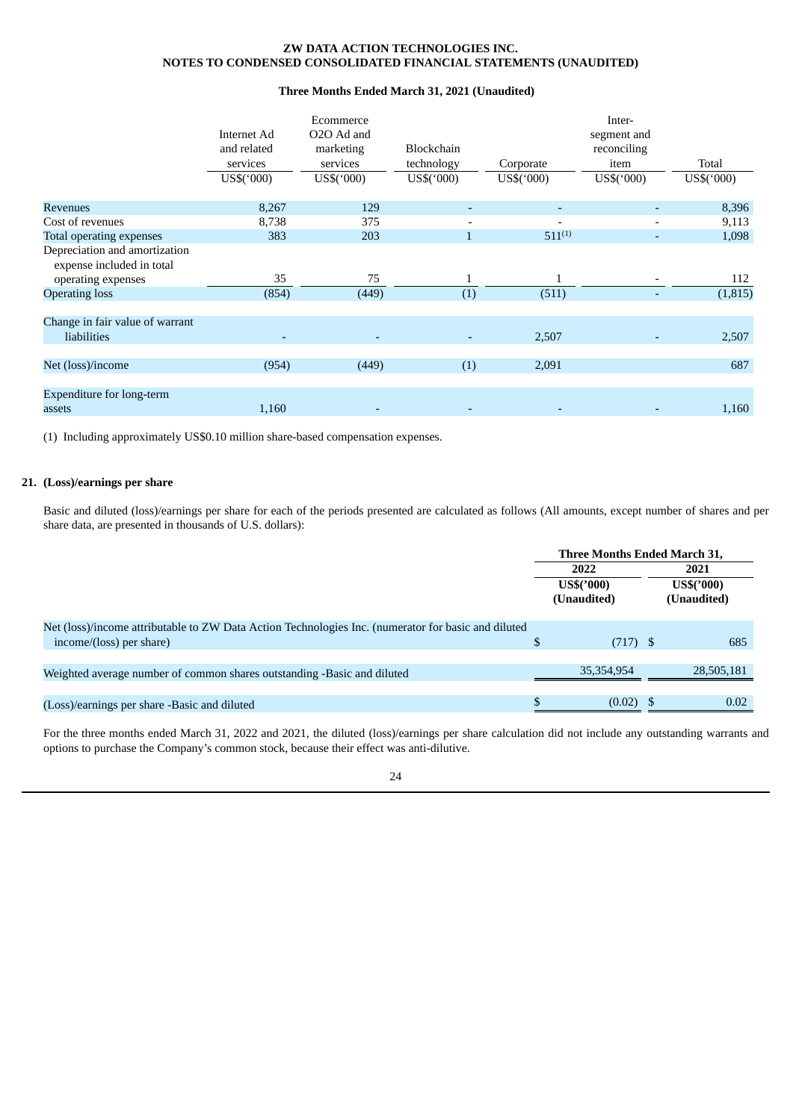## **Three Months Ended March 31, 2021 (Unaudited)**

|                                                                                  | Internet Ad<br>and related<br>services<br>US\$('000) | Ecommerce<br>O <sub>2</sub> O Ad and<br>marketing<br>services<br>US\$('000) | Blockchain<br>technology<br>US\$(000) | Corporate<br>US\$('000) | Inter-<br>segment and<br>reconciling<br>item<br>US\$('000) | Total<br>US\$('000) |
|----------------------------------------------------------------------------------|------------------------------------------------------|-----------------------------------------------------------------------------|---------------------------------------|-------------------------|------------------------------------------------------------|---------------------|
| <b>Revenues</b>                                                                  | 8,267                                                | 129                                                                         |                                       | ٠                       |                                                            | 8,396               |
| Cost of revenues                                                                 | 8,738                                                | 375                                                                         |                                       |                         |                                                            | 9,113               |
| Total operating expenses                                                         | 383                                                  | 203                                                                         |                                       | $511^{(1)}$             | $\overline{\phantom{0}}$                                   | 1,098               |
| Depreciation and amortization<br>expense included in total<br>operating expenses | 35                                                   | 75                                                                          |                                       | $\mathbf{1}$            |                                                            | 112                 |
| <b>Operating loss</b>                                                            | (854)                                                | (449)                                                                       | (1)                                   | (511)                   |                                                            | (1, 815)            |
|                                                                                  |                                                      |                                                                             |                                       |                         |                                                            |                     |
| Change in fair value of warrant<br>liabilities                                   |                                                      |                                                                             |                                       | 2,507                   |                                                            | 2,507               |
| Net (loss)/income                                                                | (954)                                                | (449)                                                                       | (1)                                   | 2,091                   |                                                            | 687                 |
| Expenditure for long-term<br>assets                                              | 1,160                                                |                                                                             |                                       |                         |                                                            | 1,160               |

(1) Including approximately US\$0.10 million share-based compensation expenses.

## **21. (Loss)/earnings per share**

Basic and diluted (loss)/earnings per share for each of the periods presented are calculated as follows (All amounts, except number of shares and per share data, are presented in thousands of U.S. dollars):

|                                                                                                                                 |                                   | Three Months Ended March 31, |                                   |            |  |
|---------------------------------------------------------------------------------------------------------------------------------|-----------------------------------|------------------------------|-----------------------------------|------------|--|
|                                                                                                                                 | 2022<br>US\$('000)<br>(Unaudited) |                              | 2021<br>US\$('000)<br>(Unaudited) |            |  |
| Net (loss)/income attributable to ZW Data Action Technologies Inc. (numerator for basic and diluted<br>income/(loss) per share) | \$                                | $(717)$ \$                   |                                   | 685        |  |
| Weighted average number of common shares outstanding -Basic and diluted                                                         |                                   | 35.354.954                   |                                   | 28,505,181 |  |
| (Loss)/earnings per share -Basic and diluted                                                                                    |                                   | $(0.02)$ \$                  |                                   | 0.02       |  |

For the three months ended March 31, 2022 and 2021, the diluted (loss)/earnings per share calculation did not include any outstanding warrants and options to purchase the Company's common stock, because their effect was anti-dilutive.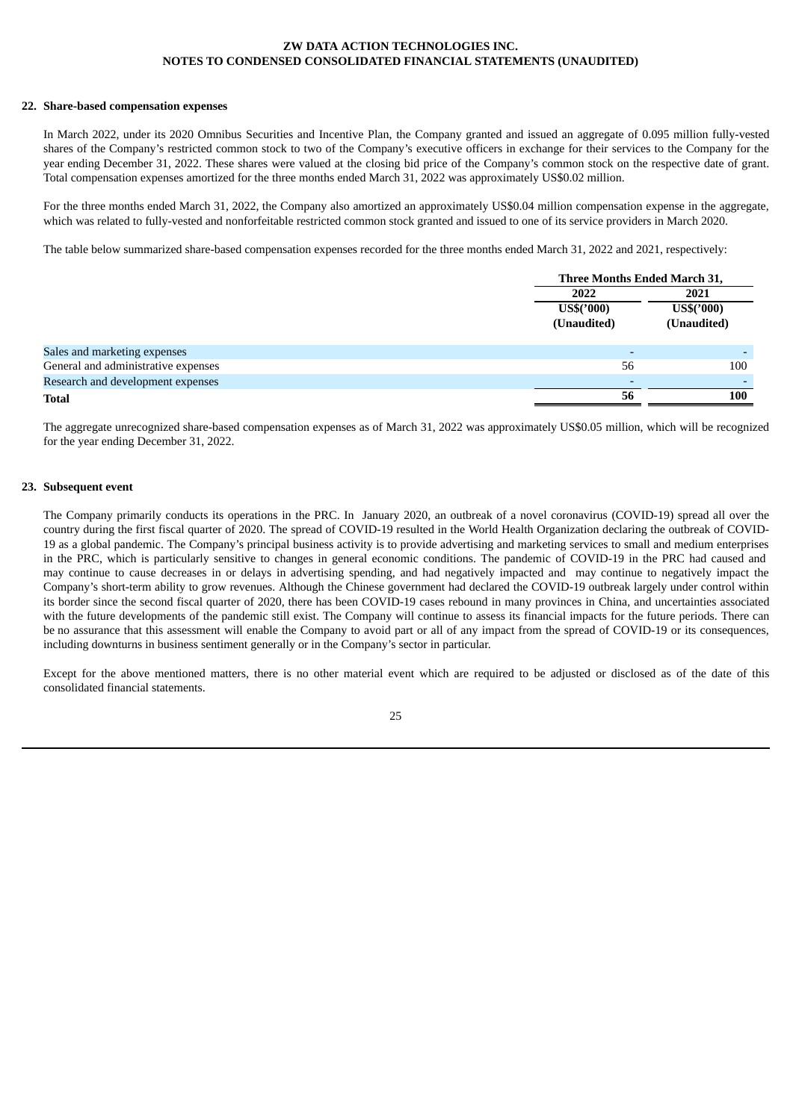#### **22. Share-based compensation expenses**

In March 2022, under its 2020 Omnibus Securities and Incentive Plan, the Company granted and issued an aggregate of 0.095 million fully-vested shares of the Company's restricted common stock to two of the Company's executive officers in exchange for their services to the Company for the year ending December 31, 2022. These shares were valued at the closing bid price of the Company's common stock on the respective date of grant. Total compensation expenses amortized for the three months ended March 31, 2022 was approximately US\$0.02 million.

For the three months ended March 31, 2022, the Company also amortized an approximately US\$0.04 million compensation expense in the aggregate, which was related to fully-vested and nonforfeitable restricted common stock granted and issued to one of its service providers in March 2020.

The table below summarized share-based compensation expenses recorded for the three months ended March 31, 2022 and 2021, respectively:

|                                     | Three Months Ended March 31, |              |  |
|-------------------------------------|------------------------------|--------------|--|
|                                     | 2022                         | 2021         |  |
|                                     | US\$('000)                   | $US\$('000)$ |  |
|                                     | (Unaudited)                  | (Unaudited)  |  |
|                                     |                              |              |  |
| Sales and marketing expenses        |                              |              |  |
| General and administrative expenses | 56                           | 100          |  |
| Research and development expenses   |                              |              |  |
| <b>Total</b>                        | 56                           | 100          |  |

The aggregate unrecognized share-based compensation expenses as of March 31, 2022 was approximately US\$0.05 million, which will be recognized for the year ending December 31, 2022.

#### **23. Subsequent event**

The Company primarily conducts its operations in the PRC. In January 2020, an outbreak of a novel coronavirus (COVID-19) spread all over the country during the first fiscal quarter of 2020. The spread of COVID-19 resulted in the World Health Organization declaring the outbreak of COVID-19 as a global pandemic. The Company's principal business activity is to provide advertising and marketing services to small and medium enterprises in the PRC, which is particularly sensitive to changes in general economic conditions. The pandemic of COVID-19 in the PRC had caused and may continue to cause decreases in or delays in advertising spending, and had negatively impacted and may continue to negatively impact the Company's short-term ability to grow revenues. Although the Chinese government had declared the COVID-19 outbreak largely under control within its border since the second fiscal quarter of 2020, there has been COVID-19 cases rebound in many provinces in China, and uncertainties associated with the future developments of the pandemic still exist. The Company will continue to assess its financial impacts for the future periods. There can be no assurance that this assessment will enable the Company to avoid part or all of any impact from the spread of COVID-19 or its consequences, including downturns in business sentiment generally or in the Company's sector in particular.

Except for the above mentioned matters, there is no other material event which are required to be adjusted or disclosed as of the date of this consolidated financial statements.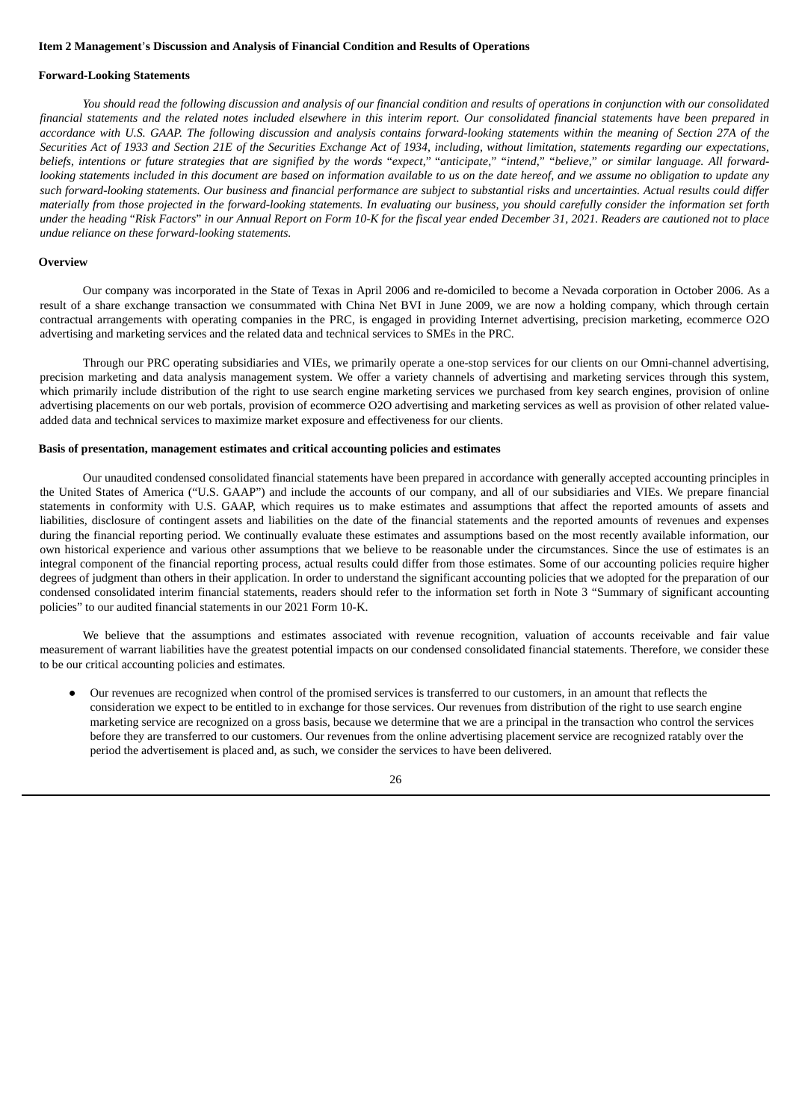#### <span id="page-30-0"></span>**Item 2 Management**'**s Discussion and Analysis of Financial Condition and Results of Operations**

#### **Forward-Looking Statements**

You should read the following discussion and analysis of our financial condition and results of operations in conjunction with our consolidated financial statements and the related notes included elsewhere in this interim report. Our consolidated financial statements have been prepared in accordance with U.S. GAAP. The following discussion and analysis contains forward-looking statements within the meaning of Section 27A of the Securities Act of 1933 and Section 21E of the Securities Exchange Act of 1934, including, without limitation, statements regarding our expectations, beliefs, intentions or future strategies that are signified by the words "expect," "anticipate," "intend," "believe," or similar language. All forwardlooking statements included in this document are based on information available to us on the date hereof, and we assume no obligation to update any such forward-looking statements. Our business and financial performance are subject to substantial risks and uncertainties. Actual results could differ materially from those projected in the forward-looking statements. In evaluating our business, you should carefully consider the information set forth under the heading "Risk Factors" in our Annual Report on Form 10-K for the fiscal year ended December 31, 2021. Readers are cautioned not to place *undue reliance on these forward-looking statements.*

#### **Overview**

Our company was incorporated in the State of Texas in April 2006 and re-domiciled to become a Nevada corporation in October 2006. As a result of a share exchange transaction we consummated with China Net BVI in June 2009, we are now a holding company, which through certain contractual arrangements with operating companies in the PRC, is engaged in providing Internet advertising, precision marketing, ecommerce O2O advertising and marketing services and the related data and technical services to SMEs in the PRC.

Through our PRC operating subsidiaries and VIEs, we primarily operate a one-stop services for our clients on our Omni-channel advertising, precision marketing and data analysis management system. We offer a variety channels of advertising and marketing services through this system, which primarily include distribution of the right to use search engine marketing services we purchased from key search engines, provision of online advertising placements on our web portals, provision of ecommerce O2O advertising and marketing services as well as provision of other related valueadded data and technical services to maximize market exposure and effectiveness for our clients.

## **Basis of presentation, management estimates and critical accounting policies and estimates**

Our unaudited condensed consolidated financial statements have been prepared in accordance with generally accepted accounting principles in the United States of America ("U.S. GAAP") and include the accounts of our company, and all of our subsidiaries and VIEs. We prepare financial statements in conformity with U.S. GAAP, which requires us to make estimates and assumptions that affect the reported amounts of assets and liabilities, disclosure of contingent assets and liabilities on the date of the financial statements and the reported amounts of revenues and expenses during the financial reporting period. We continually evaluate these estimates and assumptions based on the most recently available information, our own historical experience and various other assumptions that we believe to be reasonable under the circumstances. Since the use of estimates is an integral component of the financial reporting process, actual results could differ from those estimates. Some of our accounting policies require higher degrees of judgment than others in their application. In order to understand the significant accounting policies that we adopted for the preparation of our condensed consolidated interim financial statements, readers should refer to the information set forth in Note 3 "Summary of significant accounting policies" to our audited financial statements in our 2021 Form 10-K.

We believe that the assumptions and estimates associated with revenue recognition, valuation of accounts receivable and fair value measurement of warrant liabilities have the greatest potential impacts on our condensed consolidated financial statements. Therefore, we consider these to be our critical accounting policies and estimates.

● Our revenues are recognized when control of the promised services is transferred to our customers, in an amount that reflects the consideration we expect to be entitled to in exchange for those services. Our revenues from distribution of the right to use search engine marketing service are recognized on a gross basis, because we determine that we are a principal in the transaction who control the services before they are transferred to our customers. Our revenues from the online advertising placement service are recognized ratably over the period the advertisement is placed and, as such, we consider the services to have been delivered.

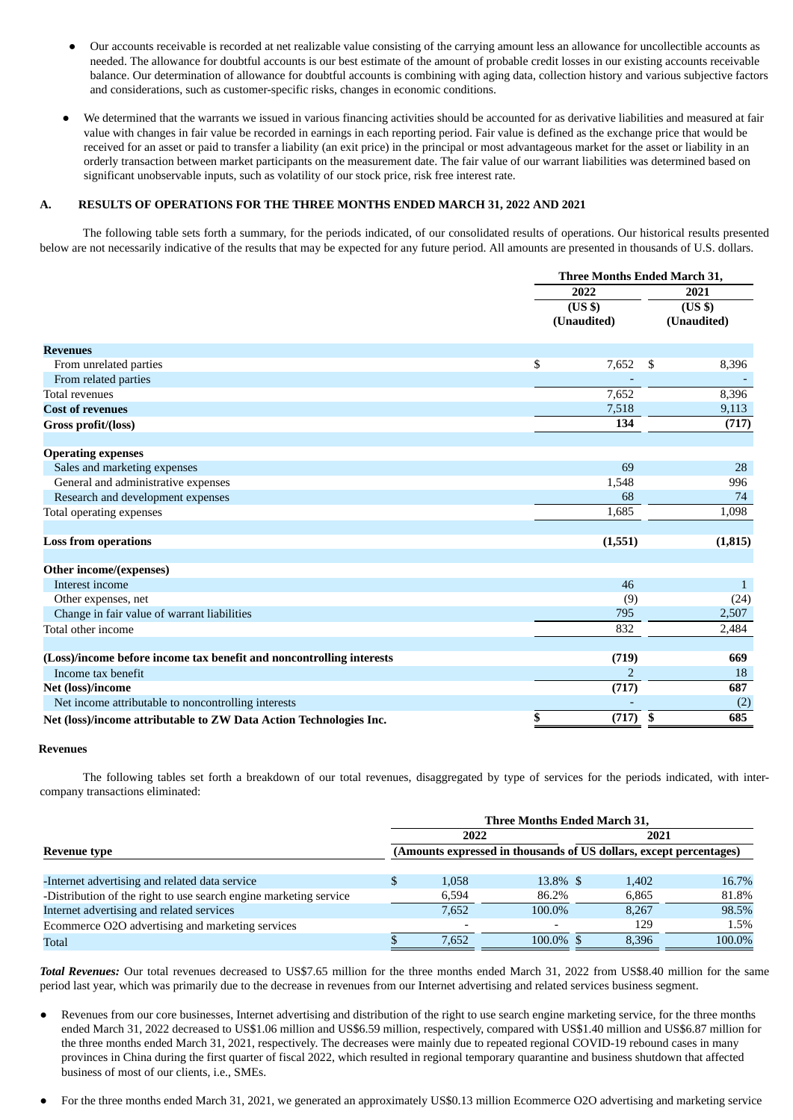- Our accounts receivable is recorded at net realizable value consisting of the carrying amount less an allowance for uncollectible accounts as needed. The allowance for doubtful accounts is our best estimate of the amount of probable credit losses in our existing accounts receivable balance. Our determination of allowance for doubtful accounts is combining with aging data, collection history and various subjective factors and considerations, such as customer-specific risks, changes in economic conditions.
- We determined that the warrants we issued in various financing activities should be accounted for as derivative liabilities and measured at fair value with changes in fair value be recorded in earnings in each reporting period. Fair value is defined as the exchange price that would be received for an asset or paid to transfer a liability (an exit price) in the principal or most advantageous market for the asset or liability in an orderly transaction between market participants on the measurement date. The fair value of our warrant liabilities was determined based on significant unobservable inputs, such as volatility of our stock price, risk free interest rate.

## **A. RESULTS OF OPERATIONS FOR THE THREE MONTHS ENDED MARCH 31, 2022 AND 2021**

The following table sets forth a summary, for the periods indicated, of our consolidated results of operations. Our historical results presented below are not necessarily indicative of the results that may be expected for any future period. All amounts are presented in thousands of U.S. dollars.

|                                                                      | <b>Three Months Ended March 31,</b> |             |              |  |
|----------------------------------------------------------------------|-------------------------------------|-------------|--------------|--|
|                                                                      | 2022                                | 2021        |              |  |
|                                                                      | (US <sub>3</sub> )                  | (US \$)     |              |  |
|                                                                      | (Unaudited)                         | (Unaudited) |              |  |
|                                                                      |                                     |             |              |  |
| <b>Revenues</b>                                                      |                                     |             |              |  |
| From unrelated parties                                               | \$<br>7,652                         | \$          | 8,396        |  |
| From related parties                                                 |                                     |             |              |  |
| <b>Total revenues</b>                                                | 7.652                               |             | 8,396        |  |
| <b>Cost of revenues</b>                                              | 7,518                               |             | 9,113        |  |
| Gross profit/(loss)                                                  | 134                                 |             | (717)        |  |
|                                                                      |                                     |             |              |  |
| <b>Operating expenses</b>                                            |                                     |             |              |  |
| Sales and marketing expenses                                         | 69                                  |             | 28           |  |
| General and administrative expenses                                  | 1,548                               |             | 996          |  |
| Research and development expenses                                    | 68                                  |             | 74           |  |
| Total operating expenses                                             | 1,685                               |             | 1,098        |  |
|                                                                      |                                     |             |              |  |
| <b>Loss from operations</b>                                          | (1,551)                             |             | (1, 815)     |  |
|                                                                      |                                     |             |              |  |
| Other income/(expenses)                                              |                                     |             |              |  |
| Interest income                                                      | 46                                  |             | $\mathbf{1}$ |  |
| Other expenses, net                                                  | (9)                                 |             | (24)         |  |
| Change in fair value of warrant liabilities                          | 795                                 |             | 2,507        |  |
| Total other income                                                   | 832                                 |             | 2,484        |  |
|                                                                      |                                     |             |              |  |
| (Loss)/income before income tax benefit and noncontrolling interests | (719)                               |             | 669          |  |
| Income tax benefit                                                   | 2                                   |             | 18           |  |
| Net (loss)/income                                                    | (717)                               |             | 687          |  |
| Net income attributable to noncontrolling interests                  |                                     |             | (2)          |  |
| Net (loss)/income attributable to ZW Data Action Technologies Inc.   | \$<br>(717)                         | \$          | 685          |  |

#### **Revenues**

The following tables set forth a breakdown of our total revenues, disaggregated by type of services for the periods indicated, with intercompany transactions eliminated:

|                                                                   | Three Months Ended March 31, |       |                                                                    |       |        |  |  |  |
|-------------------------------------------------------------------|------------------------------|-------|--------------------------------------------------------------------|-------|--------|--|--|--|
|                                                                   |                              | 2022  |                                                                    | 2021  |        |  |  |  |
| Revenue type                                                      |                              |       | (Amounts expressed in thousands of US dollars, except percentages) |       |        |  |  |  |
|                                                                   |                              |       |                                                                    |       |        |  |  |  |
| -Internet advertising and related data service                    |                              | 1.058 | $13.8\%$ \$                                                        | 1.402 | 16.7%  |  |  |  |
| -Distribution of the right to use search engine marketing service |                              | 6,594 | 86.2%                                                              | 6.865 | 81.8%  |  |  |  |
| Internet advertising and related services                         |                              | 7.652 | 100.0%                                                             | 8.267 | 98.5%  |  |  |  |
| Ecommerce O2O advertising and marketing services                  |                              | -     |                                                                    | 129   | 1.5%   |  |  |  |
| Total                                                             |                              | 7.652 | $100.0\%$ \$                                                       | 8.396 | 100.0% |  |  |  |

*Total Revenues:* Our total revenues decreased to US\$7.65 million for the three months ended March 31, 2022 from US\$8.40 million for the same period last year, which was primarily due to the decrease in revenues from our Internet advertising and related services business segment.

- Revenues from our core businesses, Internet advertising and distribution of the right to use search engine marketing service, for the three months ended March 31, 2022 decreased to US\$1.06 million and US\$6.59 million, respectively, compared with US\$1.40 million and US\$6.87 million for the three months ended March 31, 2021, respectively. The decreases were mainly due to repeated regional COVID-19 rebound cases in many provinces in China during the first quarter of fiscal 2022, which resulted in regional temporary quarantine and business shutdown that affected business of most of our clients, i.e., SMEs.
- For the three months ended March 31, 2021, we generated an approximately US\$0.13 million Ecommerce O2O advertising and marketing service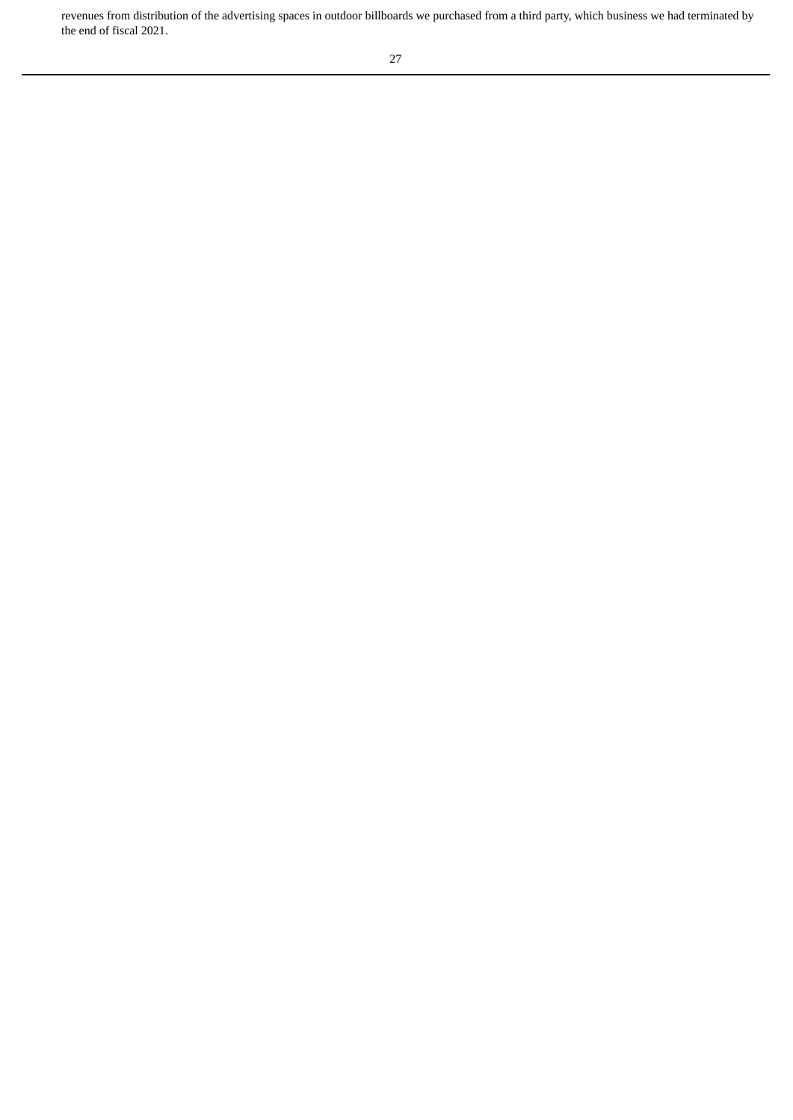revenues from distribution of the advertising spaces in outdoor billboards we purchased from a third party, which business we had terminated by the end of fiscal 2021.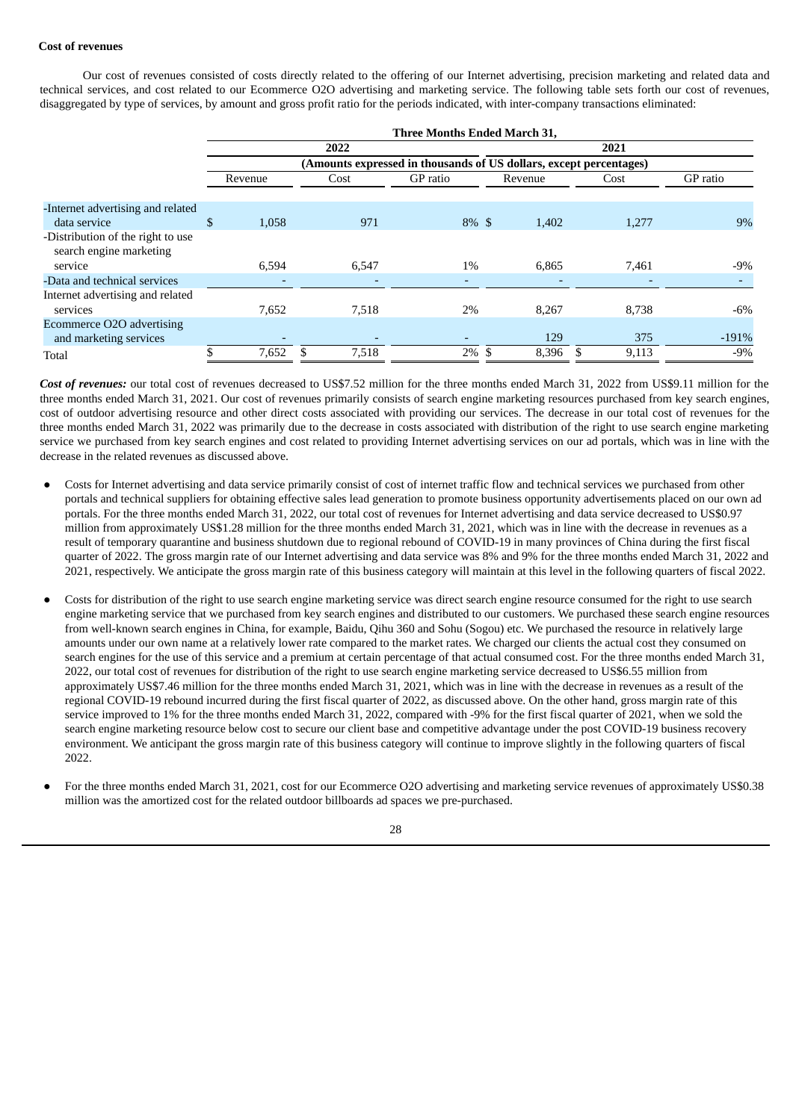## **Cost of revenues**

Our cost of revenues consisted of costs directly related to the offering of our Internet advertising, precision marketing and related data and technical services, and cost related to our Ecommerce O2O advertising and marketing service. The following table sets forth our cost of revenues, disaggregated by type of services, by amount and gross profit ratio for the periods indicated, with inter-company transactions eliminated:

|                                                              | Three Months Ended March 31,                                       |         |  |       |                          |  |         |  |       |          |  |  |
|--------------------------------------------------------------|--------------------------------------------------------------------|---------|--|-------|--------------------------|--|---------|--|-------|----------|--|--|
|                                                              |                                                                    |         |  | 2022  |                          |  |         |  | 2021  |          |  |  |
|                                                              | (Amounts expressed in thousands of US dollars, except percentages) |         |  |       |                          |  |         |  |       |          |  |  |
|                                                              |                                                                    | Revenue |  | Cost  | GP ratio                 |  | Revenue |  | Cost  | GP ratio |  |  |
| -Internet advertising and related                            |                                                                    |         |  |       |                          |  |         |  |       |          |  |  |
| data service                                                 | \$                                                                 | 1,058   |  | 971   | $8\%$ \$                 |  | 1,402   |  | 1,277 | 9%       |  |  |
| -Distribution of the right to use<br>search engine marketing |                                                                    |         |  |       |                          |  |         |  |       |          |  |  |
| service                                                      |                                                                    | 6,594   |  | 6,547 | 1%                       |  | 6,865   |  | 7,461 | $-9\%$   |  |  |
| -Data and technical services                                 |                                                                    |         |  |       | ٠                        |  |         |  |       |          |  |  |
| Internet advertising and related                             |                                                                    |         |  |       |                          |  |         |  |       |          |  |  |
| services                                                     |                                                                    | 7,652   |  | 7,518 | 2%                       |  | 8,267   |  | 8,738 | $-6\%$   |  |  |
| Ecommerce O2O advertising                                    |                                                                    |         |  |       |                          |  |         |  |       |          |  |  |
| and marketing services                                       |                                                                    |         |  |       | $\overline{\phantom{0}}$ |  | 129     |  | 375   | $-191%$  |  |  |
| Total                                                        |                                                                    | 7,652   |  | 7,518 | $2\%$ \$                 |  | 8,396   |  | 9,113 | $-9%$    |  |  |

*Cost of revenues:* our total cost of revenues decreased to US\$7.52 million for the three months ended March 31, 2022 from US\$9.11 million for the three months ended March 31, 2021. Our cost of revenues primarily consists of search engine marketing resources purchased from key search engines, cost of outdoor advertising resource and other direct costs associated with providing our services. The decrease in our total cost of revenues for the three months ended March 31, 2022 was primarily due to the decrease in costs associated with distribution of the right to use search engine marketing service we purchased from key search engines and cost related to providing Internet advertising services on our ad portals, which was in line with the decrease in the related revenues as discussed above.

- Costs for Internet advertising and data service primarily consist of cost of internet traffic flow and technical services we purchased from other portals and technical suppliers for obtaining effective sales lead generation to promote business opportunity advertisements placed on our own ad portals. For the three months ended March 31, 2022, our total cost of revenues for Internet advertising and data service decreased to US\$0.97 million from approximately US\$1.28 million for the three months ended March 31, 2021, which was in line with the decrease in revenues as a result of temporary quarantine and business shutdown due to regional rebound of COVID-19 in many provinces of China during the first fiscal quarter of 2022. The gross margin rate of our Internet advertising and data service was 8% and 9% for the three months ended March 31, 2022 and 2021, respectively. We anticipate the gross margin rate of this business category will maintain at this level in the following quarters of fiscal 2022.
- Costs for distribution of the right to use search engine marketing service was direct search engine resource consumed for the right to use search engine marketing service that we purchased from key search engines and distributed to our customers. We purchased these search engine resources from well-known search engines in China, for example, Baidu, Qihu 360 and Sohu (Sogou) etc. We purchased the resource in relatively large amounts under our own name at a relatively lower rate compared to the market rates. We charged our clients the actual cost they consumed on search engines for the use of this service and a premium at certain percentage of that actual consumed cost. For the three months ended March 31, 2022, our total cost of revenues for distribution of the right to use search engine marketing service decreased to US\$6.55 million from approximately US\$7.46 million for the three months ended March 31, 2021, which was in line with the decrease in revenues as a result of the regional COVID-19 rebound incurred during the first fiscal quarter of 2022, as discussed above. On the other hand, gross margin rate of this service improved to 1% for the three months ended March 31, 2022, compared with -9% for the first fiscal quarter of 2021, when we sold the search engine marketing resource below cost to secure our client base and competitive advantage under the post COVID-19 business recovery environment. We anticipant the gross margin rate of this business category will continue to improve slightly in the following quarters of fiscal 2022.
- For the three months ended March 31, 2021, cost for our Ecommerce O2O advertising and marketing service revenues of approximately US\$0.38 million was the amortized cost for the related outdoor billboards ad spaces we pre-purchased.

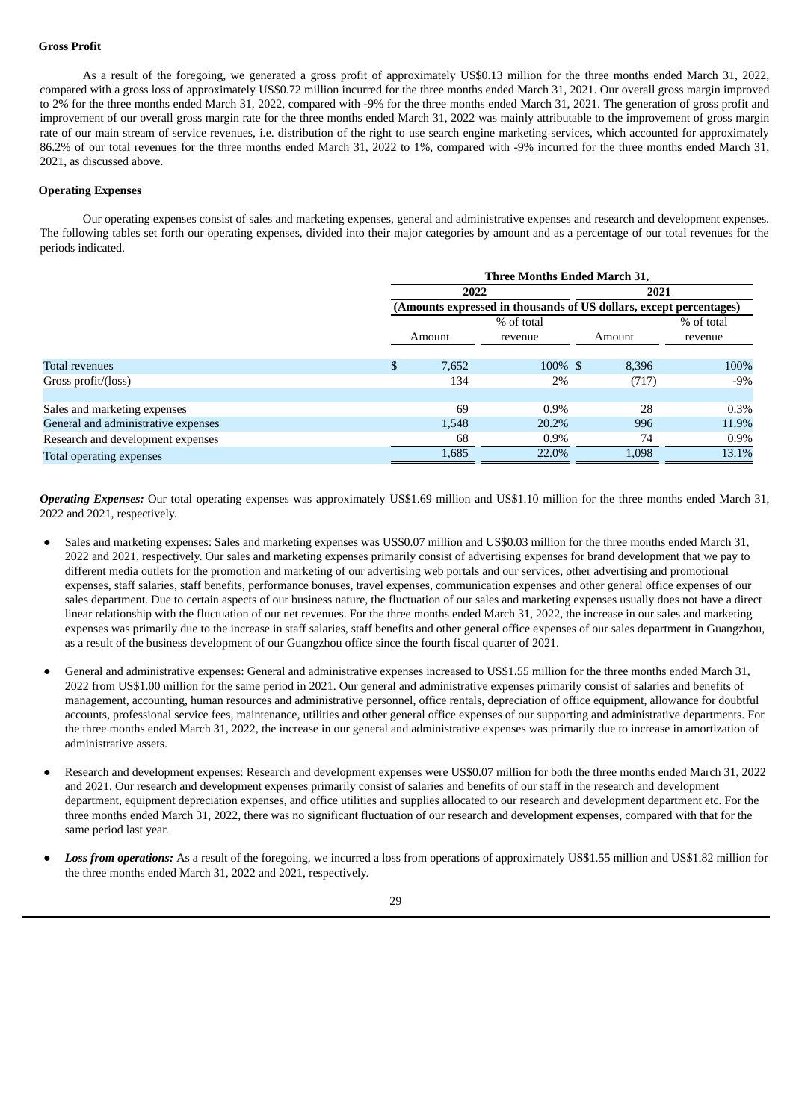#### **Gross Profit**

As a result of the foregoing, we generated a gross profit of approximately US\$0.13 million for the three months ended March 31, 2022, compared with a gross loss of approximately US\$0.72 million incurred for the three months ended March 31, 2021. Our overall gross margin improved to 2% for the three months ended March 31, 2022, compared with -9% for the three months ended March 31, 2021. The generation of gross profit and improvement of our overall gross margin rate for the three months ended March 31, 2022 was mainly attributable to the improvement of gross margin rate of our main stream of service revenues, i.e. distribution of the right to use search engine marketing services, which accounted for approximately 86.2% of our total revenues for the three months ended March 31, 2022 to 1%, compared with -9% incurred for the three months ended March 31, 2021, as discussed above.

### **Operating Expenses**

Our operating expenses consist of sales and marketing expenses, general and administrative expenses and research and development expenses. The following tables set forth our operating expenses, divided into their major categories by amount and as a percentage of our total revenues for the periods indicated.

|                                     |                                                                    | <b>Three Months Ended March 31,</b> |            |        |            |  |  |
|-------------------------------------|--------------------------------------------------------------------|-------------------------------------|------------|--------|------------|--|--|
|                                     | 2022<br>2021                                                       |                                     |            |        |            |  |  |
|                                     | (Amounts expressed in thousands of US dollars, except percentages) |                                     |            |        |            |  |  |
|                                     |                                                                    |                                     | % of total |        | % of total |  |  |
|                                     |                                                                    | Amount                              | revenue    | Amount | revenue    |  |  |
| <b>Total revenues</b>               | \$.                                                                | 7,652                               | 100% \$    | 8,396  | 100%       |  |  |
| Gross profit/(loss)                 |                                                                    | 134                                 | 2%         | (717)  | $-9\%$     |  |  |
|                                     |                                                                    |                                     |            |        |            |  |  |
| Sales and marketing expenses        |                                                                    | 69                                  | $0.9\%$    | 28     | $0.3\%$    |  |  |
| General and administrative expenses |                                                                    | 1,548                               | 20.2%      | 996    | 11.9%      |  |  |
| Research and development expenses   |                                                                    | 68                                  | $0.9\%$    | 74     | $0.9\%$    |  |  |
| Total operating expenses            |                                                                    | 1,685                               | 22.0%      | 1,098  | 13.1%      |  |  |

*Operating Expenses:* Our total operating expenses was approximately US\$1.69 million and US\$1.10 million for the three months ended March 31, 2022 and 2021, respectively.

- Sales and marketing expenses: Sales and marketing expenses was US\$0.07 million and US\$0.03 million for the three months ended March 31, 2022 and 2021, respectively. Our sales and marketing expenses primarily consist of advertising expenses for brand development that we pay to different media outlets for the promotion and marketing of our advertising web portals and our services, other advertising and promotional expenses, staff salaries, staff benefits, performance bonuses, travel expenses, communication expenses and other general office expenses of our sales department. Due to certain aspects of our business nature, the fluctuation of our sales and marketing expenses usually does not have a direct linear relationship with the fluctuation of our net revenues. For the three months ended March 31, 2022, the increase in our sales and marketing expenses was primarily due to the increase in staff salaries, staff benefits and other general office expenses of our sales department in Guangzhou, as a result of the business development of our Guangzhou office since the fourth fiscal quarter of 2021.
- General and administrative expenses: General and administrative expenses increased to US\$1.55 million for the three months ended March 31, 2022 from US\$1.00 million for the same period in 2021. Our general and administrative expenses primarily consist of salaries and benefits of management, accounting, human resources and administrative personnel, office rentals, depreciation of office equipment, allowance for doubtful accounts, professional service fees, maintenance, utilities and other general office expenses of our supporting and administrative departments. For the three months ended March 31, 2022, the increase in our general and administrative expenses was primarily due to increase in amortization of administrative assets.
- Research and development expenses: Research and development expenses were US\$0.07 million for both the three months ended March 31, 2022 and 2021. Our research and development expenses primarily consist of salaries and benefits of our staff in the research and development department, equipment depreciation expenses, and office utilities and supplies allocated to our research and development department etc. For the three months ended March 31, 2022, there was no significant fluctuation of our research and development expenses, compared with that for the same period last year.
- Loss *from operations:* As a result of the foregoing, we incurred a loss from operations of approximately US\$1.55 million and US\$1.82 million for the three months ended March 31, 2022 and 2021, respectively.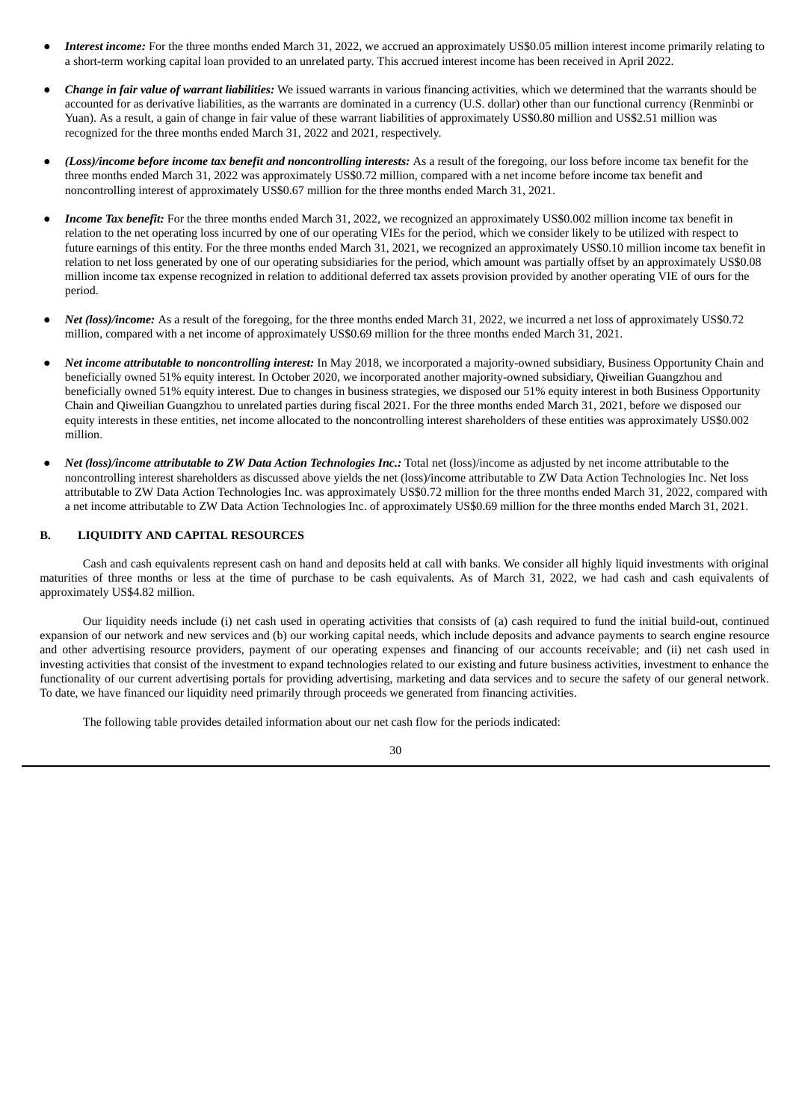- Interest *income*: For the three months ended March 31, 2022, we accrued an approximately US\$0.05 million interest income primarily relating to a short-term working capital loan provided to an unrelated party. This accrued interest income has been received in April 2022.
- *Change in fair value of warrant liabilities:* We issued warrants in various financing activities, which we determined that the warrants should be accounted for as derivative liabilities, as the warrants are dominated in a currency (U.S. dollar) other than our functional currency (Renminbi or Yuan). As a result, a gain of change in fair value of these warrant liabilities of approximately US\$0.80 million and US\$2.51 million was recognized for the three months ended March 31, 2022 and 2021, respectively.
- *(Loss)/income before income tax benefit and noncontrolling interests:* As a result of the foregoing, our loss before income tax benefit for the three months ended March 31, 2022 was approximately US\$0.72 million, compared with a net income before income tax benefit and noncontrolling interest of approximately US\$0.67 million for the three months ended March 31, 2021.
- *Income Tax benefit:* For the three months ended March 31, 2022, we recognized an approximately US\$0.002 million income tax benefit in relation to the net operating loss incurred by one of our operating VIEs for the period, which we consider likely to be utilized with respect to future earnings of this entity. For the three months ended March 31, 2021, we recognized an approximately US\$0.10 million income tax benefit in relation to net loss generated by one of our operating subsidiaries for the period, which amount was partially offset by an approximately US\$0.08 million income tax expense recognized in relation to additional deferred tax assets provision provided by another operating VIE of ours for the period.
- *Net (loss)/income:* As a result of the foregoing, for the three months ended March 31, 2022, we incurred a net loss of approximately US\$0.72 million, compared with a net income of approximately US\$0.69 million for the three months ended March 31, 2021.
- *Net income attributable to noncontrolling interest:* In May 2018, we incorporated a majority-owned subsidiary, Business Opportunity Chain and beneficially owned 51% equity interest. In October 2020, we incorporated another majority-owned subsidiary, Qiweilian Guangzhou and beneficially owned 51% equity interest. Due to changes in business strategies, we disposed our 51% equity interest in both Business Opportunity Chain and Qiweilian Guangzhou to unrelated parties during fiscal 2021. For the three months ended March 31, 2021, before we disposed our equity interests in these entities, net income allocated to the noncontrolling interest shareholders of these entities was approximately US\$0.002 million.
- *Net (loss)/income attributable to ZW Data Action Technologies Inc.:* Total net (loss)/income as adjusted by net income attributable to the noncontrolling interest shareholders as discussed above yields the net (loss)/income attributable to ZW Data Action Technologies Inc. Net loss attributable to ZW Data Action Technologies Inc. was approximately US\$0.72 million for the three months ended March 31, 2022, compared with a net income attributable to ZW Data Action Technologies Inc. of approximately US\$0.69 million for the three months ended March 31, 2021.

## **B. LIQUIDITY AND CAPITAL RESOURCES**

Cash and cash equivalents represent cash on hand and deposits held at call with banks. We consider all highly liquid investments with original maturities of three months or less at the time of purchase to be cash equivalents. As of March 31, 2022, we had cash and cash equivalents of approximately US\$4.82 million.

Our liquidity needs include (i) net cash used in operating activities that consists of (a) cash required to fund the initial build-out, continued expansion of our network and new services and (b) our working capital needs, which include deposits and advance payments to search engine resource and other advertising resource providers, payment of our operating expenses and financing of our accounts receivable; and (ii) net cash used in investing activities that consist of the investment to expand technologies related to our existing and future business activities, investment to enhance the functionality of our current advertising portals for providing advertising, marketing and data services and to secure the safety of our general network. To date, we have financed our liquidity need primarily through proceeds we generated from financing activities.

The following table provides detailed information about our net cash flow for the periods indicated: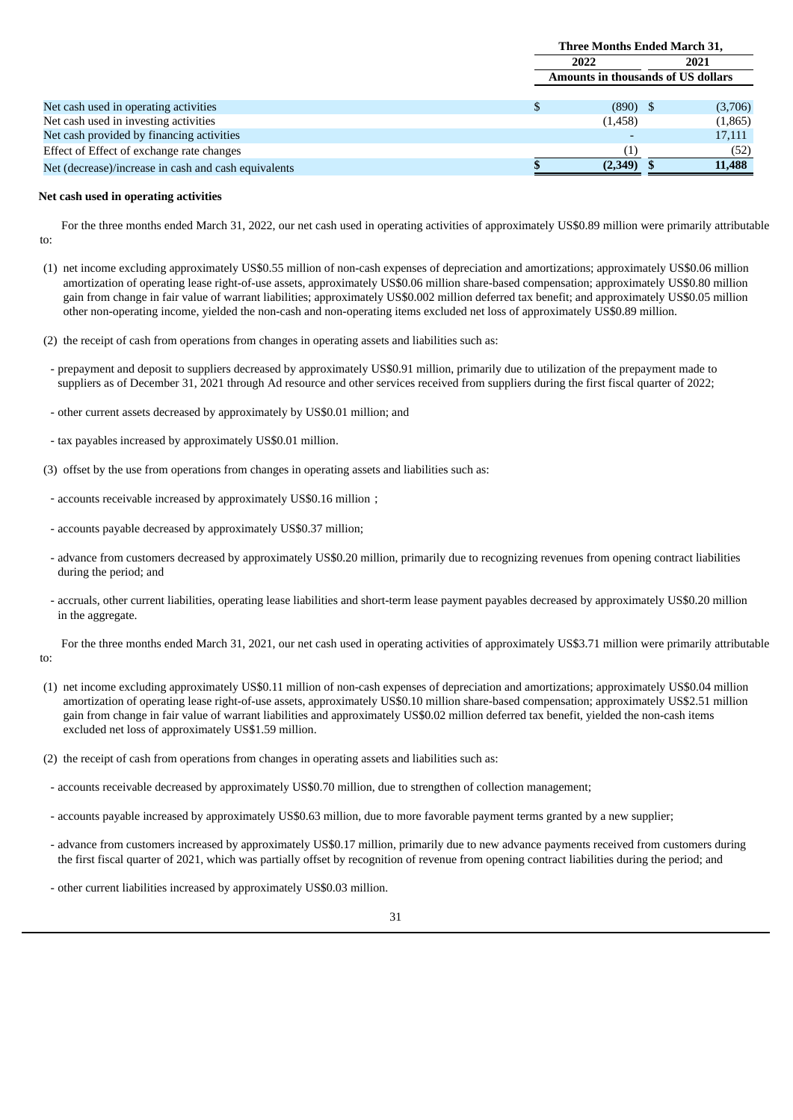|                                                      | <b>Three Months Ended March 31,</b> |  |         |
|------------------------------------------------------|-------------------------------------|--|---------|
|                                                      | 2022<br>2021                        |  |         |
|                                                      | Amounts in thousands of US dollars  |  |         |
|                                                      |                                     |  |         |
| Net cash used in operating activities                | $(890)$ \$                          |  | (3,706) |
| Net cash used in investing activities                | (1,458)                             |  | (1,865) |
| Net cash provided by financing activities            |                                     |  | 17,111  |
| Effect of Effect of exchange rate changes            |                                     |  | (52)    |
| Net (decrease)/increase in cash and cash equivalents | (2,349)                             |  | 11,488  |

#### **Net cash used in operating activities**

For the three months ended March 31, 2022, our net cash used in operating activities of approximately US\$0.89 million were primarily attributable to:

- (1) net income excluding approximately US\$0.55 million of non-cash expenses of depreciation and amortizations; approximately US\$0.06 million amortization of operating lease right-of-use assets, approximately US\$0.06 million share-based compensation; approximately US\$0.80 million gain from change in fair value of warrant liabilities; approximately US\$0.002 million deferred tax benefit; and approximately US\$0.05 million other non-operating income, yielded the non-cash and non-operating items excluded net loss of approximately US\$0.89 million.
- (2) the receipt of cash from operations from changes in operating assets and liabilities such as:
	- prepayment and deposit to suppliers decreased by approximately US\$0.91 million, primarily due to utilization of the prepayment made to suppliers as of December 31, 2021 through Ad resource and other services received from suppliers during the first fiscal quarter of 2022;
	- other current assets decreased by approximately by US\$0.01 million; and
	- tax payables increased by approximately US\$0.01 million.
- (3) offset by the use from operations from changes in operating assets and liabilities such as:
- accounts receivable increased by approximately US\$0.16 million;
- accounts payable decreased by approximately US\$0.37 million;
- advance from customers decreased by approximately US\$0.20 million, primarily due to recognizing revenues from opening contract liabilities during the period; and
- accruals, other current liabilities, operating lease liabilities and short-term lease payment payables decreased by approximately US\$0.20 million in the aggregate.

For the three months ended March 31, 2021, our net cash used in operating activities of approximately US\$3.71 million were primarily attributable to:

- (1) net income excluding approximately US\$0.11 million of non-cash expenses of depreciation and amortizations; approximately US\$0.04 million amortization of operating lease right-of-use assets, approximately US\$0.10 million share-based compensation; approximately US\$2.51 million gain from change in fair value of warrant liabilities and approximately US\$0.02 million deferred tax benefit, yielded the non-cash items excluded net loss of approximately US\$1.59 million.
- (2) the receipt of cash from operations from changes in operating assets and liabilities such as:
- accounts receivable decreased by approximately US\$0.70 million, due to strengthen of collection management;
- accounts payable increased by approximately US\$0.63 million, due to more favorable payment terms granted by a new supplier;
- advance from customers increased by approximately US\$0.17 million, primarily due to new advance payments received from customers during the first fiscal quarter of 2021, which was partially offset by recognition of revenue from opening contract liabilities during the period; and
- other current liabilities increased by approximately US\$0.03 million.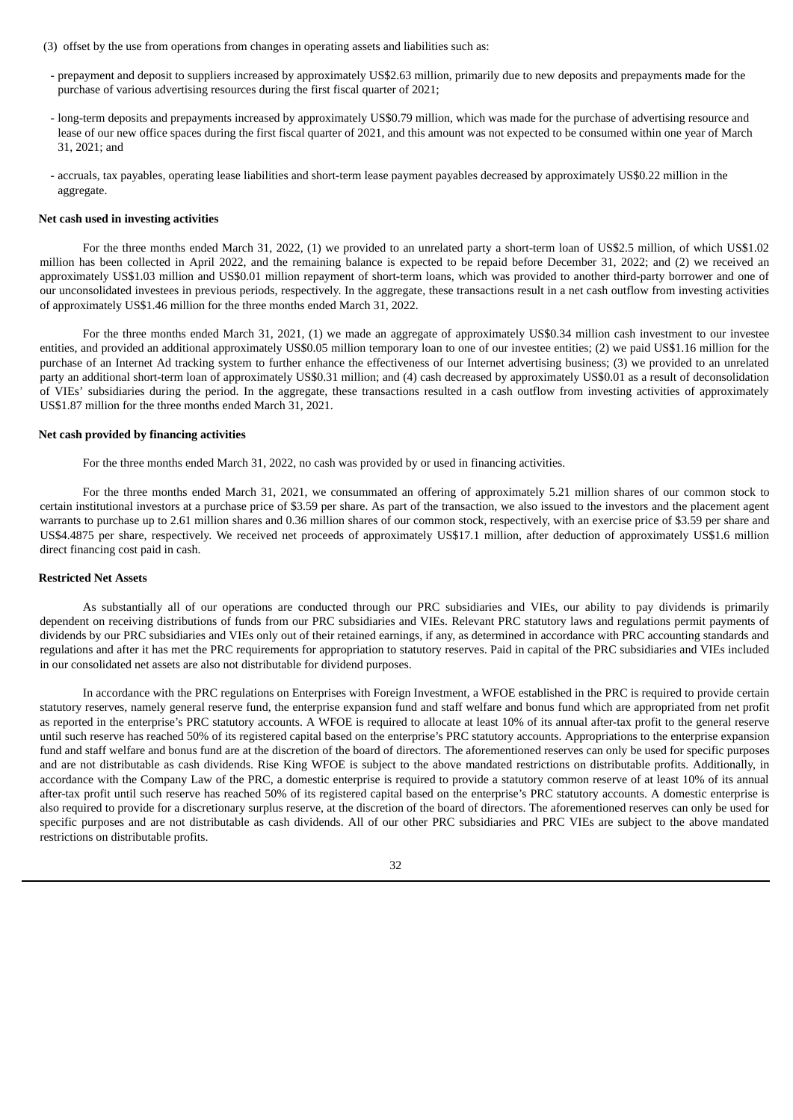- (3) offset by the use from operations from changes in operating assets and liabilities such as:
	- prepayment and deposit to suppliers increased by approximately US\$2.63 million, primarily due to new deposits and prepayments made for the purchase of various advertising resources during the first fiscal quarter of 2021;
	- long-term deposits and prepayments increased by approximately US\$0.79 million, which was made for the purchase of advertising resource and lease of our new office spaces during the first fiscal quarter of 2021, and this amount was not expected to be consumed within one year of March 31, 2021; and
	- accruals, tax payables, operating lease liabilities and short-term lease payment payables decreased by approximately US\$0.22 million in the aggregate.

#### **Net cash used in investing activities**

For the three months ended March 31, 2022, (1) we provided to an unrelated party a short-term loan of US\$2.5 million, of which US\$1.02 million has been collected in April 2022, and the remaining balance is expected to be repaid before December 31, 2022; and (2) we received an approximately US\$1.03 million and US\$0.01 million repayment of short-term loans, which was provided to another third-party borrower and one of our unconsolidated investees in previous periods, respectively. In the aggregate, these transactions result in a net cash outflow from investing activities of approximately US\$1.46 million for the three months ended March 31, 2022.

For the three months ended March 31, 2021, (1) we made an aggregate of approximately US\$0.34 million cash investment to our investee entities, and provided an additional approximately US\$0.05 million temporary loan to one of our investee entities; (2) we paid US\$1.16 million for the purchase of an Internet Ad tracking system to further enhance the effectiveness of our Internet advertising business; (3) we provided to an unrelated party an additional short-term loan of approximately US\$0.31 million; and (4) cash decreased by approximately US\$0.01 as a result of deconsolidation of VIEs' subsidiaries during the period. In the aggregate, these transactions resulted in a cash outflow from investing activities of approximately US\$1.87 million for the three months ended March 31, 2021.

#### **Net cash provided by financing activities**

For the three months ended March 31, 2022, no cash was provided by or used in financing activities.

For the three months ended March 31, 2021, we consummated an offering of approximately 5.21 million shares of our common stock to certain institutional investors at a purchase price of \$3.59 per share. As part of the transaction, we also issued to the investors and the placement agent warrants to purchase up to 2.61 million shares and 0.36 million shares of our common stock, respectively, with an exercise price of \$3.59 per share and US\$4.4875 per share, respectively. We received net proceeds of approximately US\$17.1 million, after deduction of approximately US\$1.6 million direct financing cost paid in cash.

### **Restricted Net Assets**

As substantially all of our operations are conducted through our PRC subsidiaries and VIEs, our ability to pay dividends is primarily dependent on receiving distributions of funds from our PRC subsidiaries and VIEs. Relevant PRC statutory laws and regulations permit payments of dividends by our PRC subsidiaries and VIEs only out of their retained earnings, if any, as determined in accordance with PRC accounting standards and regulations and after it has met the PRC requirements for appropriation to statutory reserves. Paid in capital of the PRC subsidiaries and VIEs included in our consolidated net assets are also not distributable for dividend purposes.

In accordance with the PRC regulations on Enterprises with Foreign Investment, a WFOE established in the PRC is required to provide certain statutory reserves, namely general reserve fund, the enterprise expansion fund and staff welfare and bonus fund which are appropriated from net profit as reported in the enterprise's PRC statutory accounts. A WFOE is required to allocate at least 10% of its annual after-tax profit to the general reserve until such reserve has reached 50% of its registered capital based on the enterprise's PRC statutory accounts. Appropriations to the enterprise expansion fund and staff welfare and bonus fund are at the discretion of the board of directors. The aforementioned reserves can only be used for specific purposes and are not distributable as cash dividends. Rise King WFOE is subject to the above mandated restrictions on distributable profits. Additionally, in accordance with the Company Law of the PRC, a domestic enterprise is required to provide a statutory common reserve of at least 10% of its annual after-tax profit until such reserve has reached 50% of its registered capital based on the enterprise's PRC statutory accounts. A domestic enterprise is also required to provide for a discretionary surplus reserve, at the discretion of the board of directors. The aforementioned reserves can only be used for specific purposes and are not distributable as cash dividends. All of our other PRC subsidiaries and PRC VIEs are subject to the above mandated restrictions on distributable profits.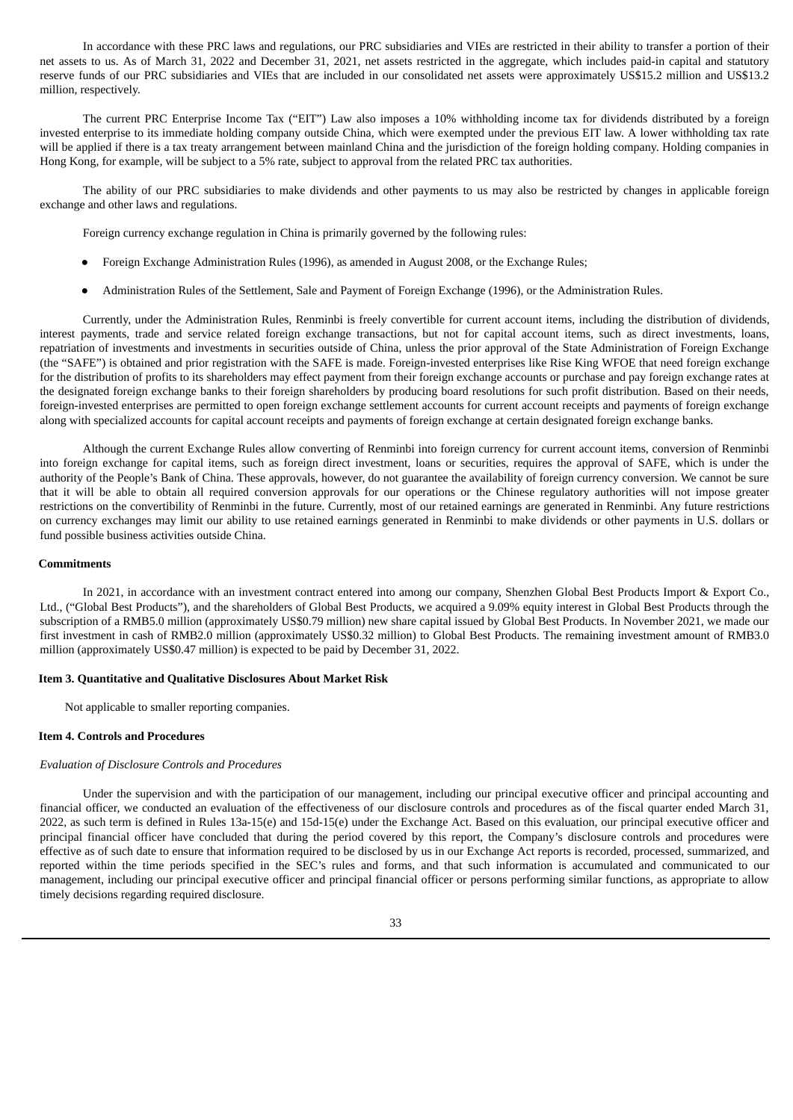In accordance with these PRC laws and regulations, our PRC subsidiaries and VIEs are restricted in their ability to transfer a portion of their net assets to us. As of March 31, 2022 and December 31, 2021, net assets restricted in the aggregate, which includes paid-in capital and statutory reserve funds of our PRC subsidiaries and VIEs that are included in our consolidated net assets were approximately US\$15.2 million and US\$13.2 million, respectively.

The current PRC Enterprise Income Tax ("EIT") Law also imposes a 10% withholding income tax for dividends distributed by a foreign invested enterprise to its immediate holding company outside China, which were exempted under the previous EIT law. A lower withholding tax rate will be applied if there is a tax treaty arrangement between mainland China and the jurisdiction of the foreign holding company. Holding companies in Hong Kong, for example, will be subject to a 5% rate, subject to approval from the related PRC tax authorities.

The ability of our PRC subsidiaries to make dividends and other payments to us may also be restricted by changes in applicable foreign exchange and other laws and regulations.

Foreign currency exchange regulation in China is primarily governed by the following rules:

- Foreign Exchange Administration Rules (1996), as amended in August 2008, or the Exchange Rules;
- Administration Rules of the Settlement, Sale and Payment of Foreign Exchange (1996), or the Administration Rules.

Currently, under the Administration Rules, Renminbi is freely convertible for current account items, including the distribution of dividends, interest payments, trade and service related foreign exchange transactions, but not for capital account items, such as direct investments, loans, repatriation of investments and investments in securities outside of China, unless the prior approval of the State Administration of Foreign Exchange (the "SAFE") is obtained and prior registration with the SAFE is made. Foreign-invested enterprises like Rise King WFOE that need foreign exchange for the distribution of profits to its shareholders may effect payment from their foreign exchange accounts or purchase and pay foreign exchange rates at the designated foreign exchange banks to their foreign shareholders by producing board resolutions for such profit distribution. Based on their needs, foreign-invested enterprises are permitted to open foreign exchange settlement accounts for current account receipts and payments of foreign exchange along with specialized accounts for capital account receipts and payments of foreign exchange at certain designated foreign exchange banks.

Although the current Exchange Rules allow converting of Renminbi into foreign currency for current account items, conversion of Renminbi into foreign exchange for capital items, such as foreign direct investment, loans or securities, requires the approval of SAFE, which is under the authority of the People's Bank of China. These approvals, however, do not guarantee the availability of foreign currency conversion. We cannot be sure that it will be able to obtain all required conversion approvals for our operations or the Chinese regulatory authorities will not impose greater restrictions on the convertibility of Renminbi in the future. Currently, most of our retained earnings are generated in Renminbi. Any future restrictions on currency exchanges may limit our ability to use retained earnings generated in Renminbi to make dividends or other payments in U.S. dollars or fund possible business activities outside China.

## **Commitments**

In 2021, in accordance with an investment contract entered into among our company, Shenzhen Global Best Products Import & Export Co., Ltd., ("Global Best Products"), and the shareholders of Global Best Products, we acquired a 9.09% equity interest in Global Best Products through the subscription of a RMB5.0 million (approximately US\$0.79 million) new share capital issued by Global Best Products. In November 2021, we made our first investment in cash of RMB2.0 million (approximately US\$0.32 million) to Global Best Products. The remaining investment amount of RMB3.0 million (approximately US\$0.47 million) is expected to be paid by December 31, 2022.

## **Item 3. Quantitative and Qualitative Disclosures About Market Risk**

<span id="page-38-1"></span><span id="page-38-0"></span>Not applicable to smaller reporting companies.

#### **Item 4. Controls and Procedures**

#### *Evaluation of Disclosure Controls and Procedures*

Under the supervision and with the participation of our management, including our principal executive officer and principal accounting and financial officer, we conducted an evaluation of the effectiveness of our disclosure controls and procedures as of the fiscal quarter ended March 31, 2022, as such term is defined in Rules 13a-15(e) and 15d-15(e) under the Exchange Act. Based on this evaluation, our principal executive officer and principal financial officer have concluded that during the period covered by this report, the Company's disclosure controls and procedures were effective as of such date to ensure that information required to be disclosed by us in our Exchange Act reports is recorded, processed, summarized, and reported within the time periods specified in the SEC's rules and forms, and that such information is accumulated and communicated to our management, including our principal executive officer and principal financial officer or persons performing similar functions, as appropriate to allow timely decisions regarding required disclosure.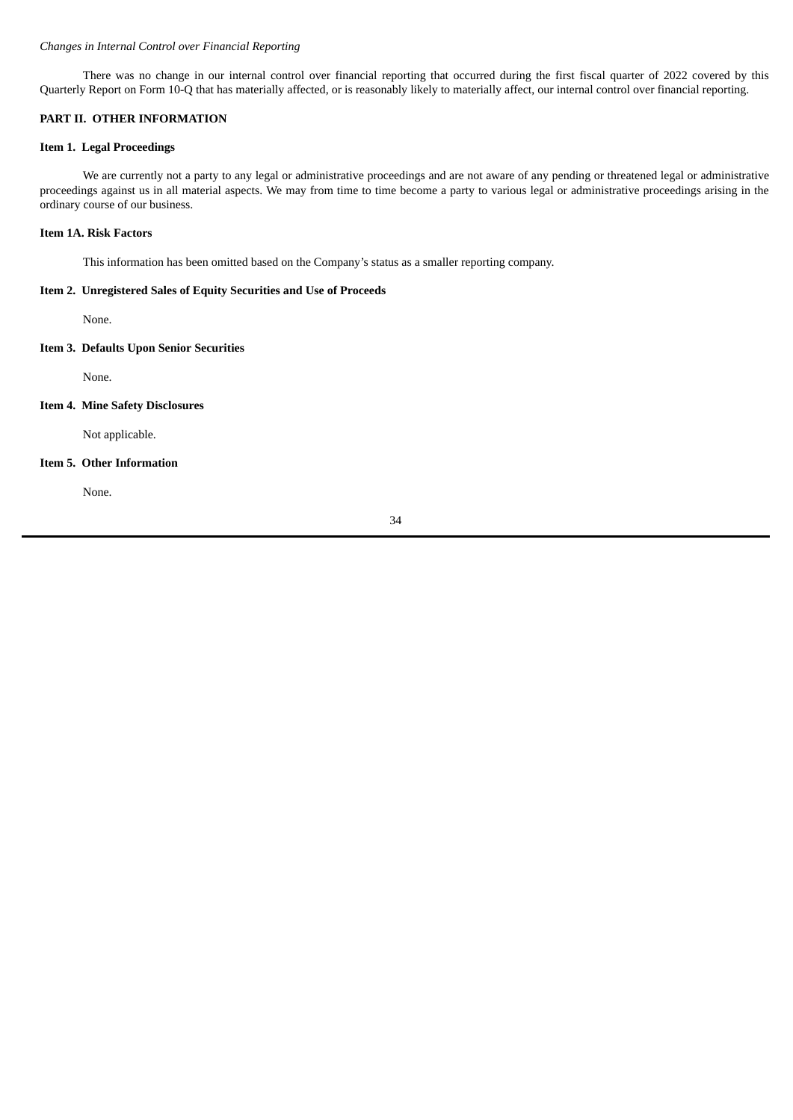# *Changes in Internal Control over Financial Reporting*

There was no change in our internal control over financial reporting that occurred during the first fiscal quarter of 2022 covered by this Quarterly Report on Form 10-Q that has materially affected, or is reasonably likely to materially affect, our internal control over financial reporting.

#### <span id="page-39-0"></span>**PART II. OTHER INFORMATION**

## <span id="page-39-1"></span>**Item 1. Legal Proceedings**

We are currently not a party to any legal or administrative proceedings and are not aware of any pending or threatened legal or administrative proceedings against us in all material aspects. We may from time to time become a party to various legal or administrative proceedings arising in the ordinary course of our business.

#### <span id="page-39-2"></span>**Item 1A. Risk Factors**

This information has been omitted based on the Company's status as a smaller reporting company.

#### <span id="page-39-3"></span>**Item 2. Unregistered Sales of Equity Securities and Use of Proceeds**

None.

# <span id="page-39-4"></span>**Item 3. Defaults Upon Senior Securities**

None.

#### <span id="page-39-5"></span>**Item 4. Mine Safety Disclosures**

Not applicable.

## <span id="page-39-6"></span>**Item 5. Other Information**

None.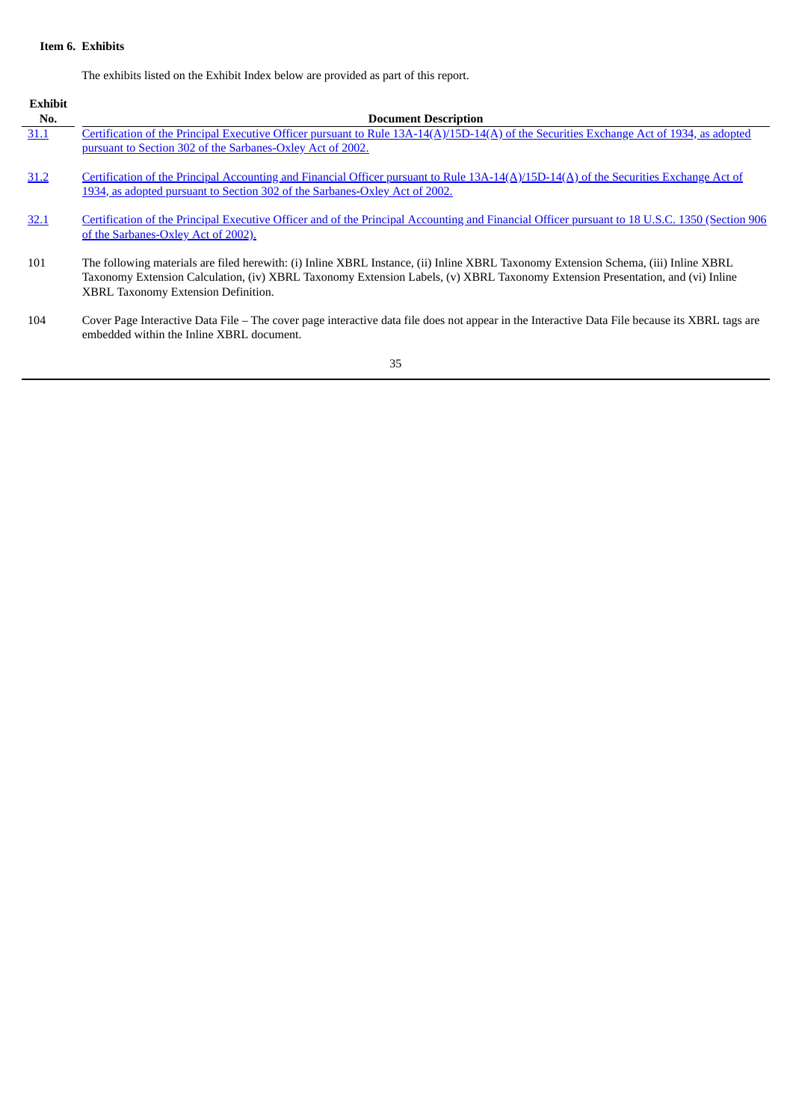# <span id="page-40-0"></span>**Item 6. Exhibits**

The exhibits listed on the Exhibit Index below are provided as part of this report.

| Exhibit<br>No. | <b>Document Description</b>                                                                                                                                                                                                                                                                                  |
|----------------|--------------------------------------------------------------------------------------------------------------------------------------------------------------------------------------------------------------------------------------------------------------------------------------------------------------|
| 31.1           | Certification of the Principal Executive Officer pursuant to Rule 13A-14(A)/15D-14(A) of the Securities Exchange Act of 1934, as adopted<br>pursuant to Section 302 of the Sarbanes-Oxley Act of 2002.                                                                                                       |
| 31.2           | Certification of the Principal Accounting and Financial Officer pursuant to Rule 13A-14(A)/15D-14(A) of the Securities Exchange Act of<br>1934, as adopted pursuant to Section 302 of the Sarbanes-Oxley Act of 2002.                                                                                        |
| 32.1           | Certification of the Principal Executive Officer and of the Principal Accounting and Financial Officer pursuant to 18 U.S.C. 1350 (Section 906<br>of the Sarbanes-Oxley Act of 2002).                                                                                                                        |
| 101            | The following materials are filed herewith: (i) Inline XBRL Instance, (ii) Inline XBRL Taxonomy Extension Schema, (iii) Inline XBRL<br>Taxonomy Extension Calculation, (iv) XBRL Taxonomy Extension Labels, (v) XBRL Taxonomy Extension Presentation, and (vi) Inline<br>XBRL Taxonomy Extension Definition. |
| 104            | Cover Page Interactive Data File - The cover page interactive data file does not appear in the Interactive Data File because its XBRL tags are<br>embedded within the Inline XBRL document.                                                                                                                  |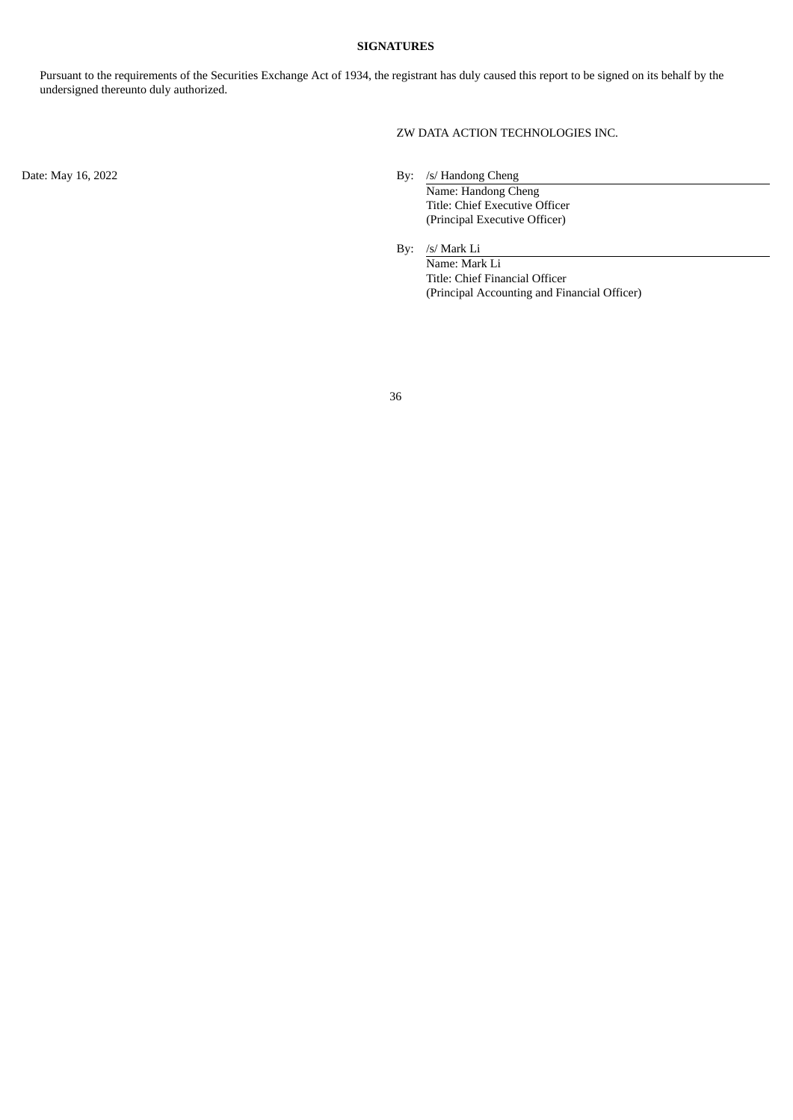## **SIGNATURES**

<span id="page-41-0"></span>Pursuant to the requirements of the Securities Exchange Act of 1934, the registrant has duly caused this report to be signed on its behalf by the undersigned thereunto duly authorized.

ZW DATA ACTION TECHNOLOGIES INC.

Date: May 16, 2022 By: /s/ Handong Cheng

Name: Handong Cheng Title: Chief Executive Officer (Principal Executive Officer)

By: /s/ Mark Li

Name: Mark Li Title: Chief Financial Officer (Principal Accounting and Financial Officer)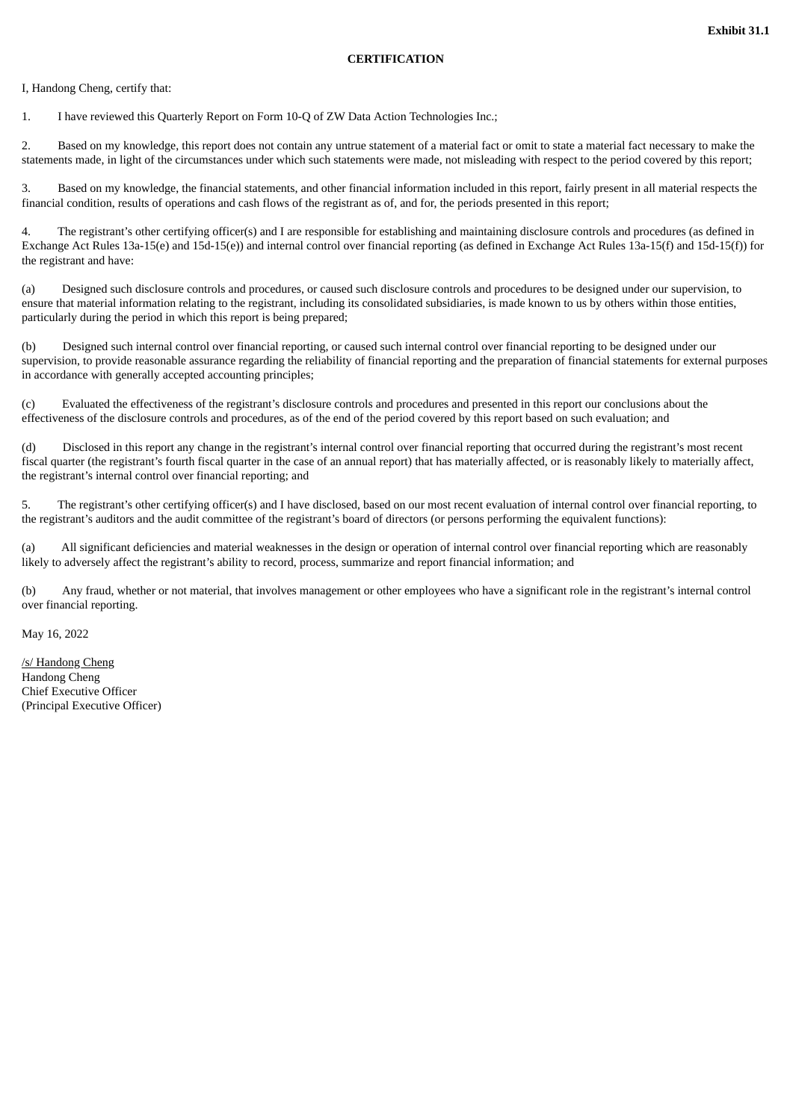#### **CERTIFICATION**

<span id="page-42-0"></span>I, Handong Cheng, certify that:

1. I have reviewed this Quarterly Report on Form 10-Q of ZW Data Action Technologies Inc.;

2. Based on my knowledge, this report does not contain any untrue statement of a material fact or omit to state a material fact necessary to make the statements made, in light of the circumstances under which such statements were made, not misleading with respect to the period covered by this report;

3. Based on my knowledge, the financial statements, and other financial information included in this report, fairly present in all material respects the financial condition, results of operations and cash flows of the registrant as of, and for, the periods presented in this report;

4. The registrant's other certifying officer(s) and I are responsible for establishing and maintaining disclosure controls and procedures (as defined in Exchange Act Rules 13a-15(e) and 15d-15(e)) and internal control over financial reporting (as defined in Exchange Act Rules 13a-15(f) and 15d-15(f)) for the registrant and have:

(a) Designed such disclosure controls and procedures, or caused such disclosure controls and procedures to be designed under our supervision, to ensure that material information relating to the registrant, including its consolidated subsidiaries, is made known to us by others within those entities, particularly during the period in which this report is being prepared;

(b) Designed such internal control over financial reporting, or caused such internal control over financial reporting to be designed under our supervision, to provide reasonable assurance regarding the reliability of financial reporting and the preparation of financial statements for external purposes in accordance with generally accepted accounting principles;

(c) Evaluated the effectiveness of the registrant's disclosure controls and procedures and presented in this report our conclusions about the effectiveness of the disclosure controls and procedures, as of the end of the period covered by this report based on such evaluation; and

(d) Disclosed in this report any change in the registrant's internal control over financial reporting that occurred during the registrant's most recent fiscal quarter (the registrant's fourth fiscal quarter in the case of an annual report) that has materially affected, or is reasonably likely to materially affect, the registrant's internal control over financial reporting; and

5. The registrant's other certifying officer(s) and I have disclosed, based on our most recent evaluation of internal control over financial reporting, to the registrant's auditors and the audit committee of the registrant's board of directors (or persons performing the equivalent functions):

(a) All significant deficiencies and material weaknesses in the design or operation of internal control over financial reporting which are reasonably likely to adversely affect the registrant's ability to record, process, summarize and report financial information; and

(b) Any fraud, whether or not material, that involves management or other employees who have a significant role in the registrant's internal control over financial reporting.

May 16, 2022

/s/ Handong Cheng Handong Cheng Chief Executive Officer (Principal Executive Officer)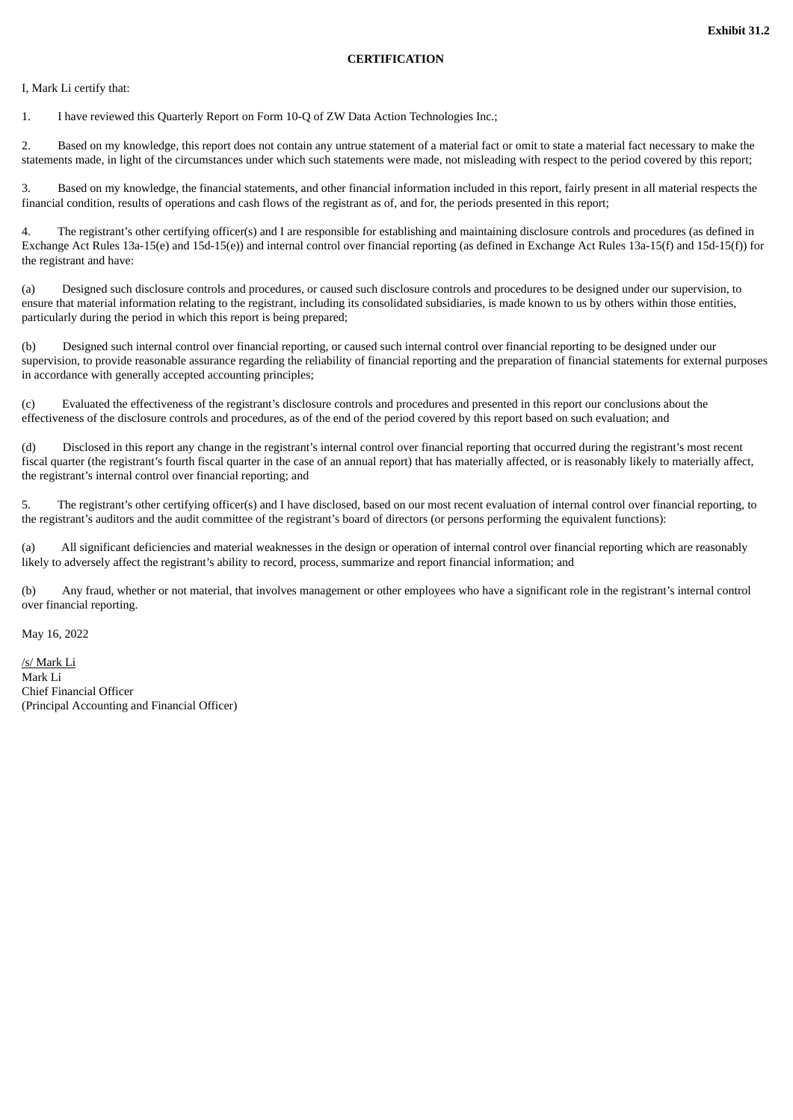#### **CERTIFICATION**

<span id="page-43-0"></span>I, Mark Li certify that:

1. I have reviewed this Quarterly Report on Form 10-Q of ZW Data Action Technologies Inc.;

2. Based on my knowledge, this report does not contain any untrue statement of a material fact or omit to state a material fact necessary to make the statements made, in light of the circumstances under which such statements were made, not misleading with respect to the period covered by this report;

3. Based on my knowledge, the financial statements, and other financial information included in this report, fairly present in all material respects the financial condition, results of operations and cash flows of the registrant as of, and for, the periods presented in this report;

4. The registrant's other certifying officer(s) and I are responsible for establishing and maintaining disclosure controls and procedures (as defined in Exchange Act Rules 13a-15(e) and 15d-15(e)) and internal control over financial reporting (as defined in Exchange Act Rules 13a-15(f) and 15d-15(f)) for the registrant and have:

(a) Designed such disclosure controls and procedures, or caused such disclosure controls and procedures to be designed under our supervision, to ensure that material information relating to the registrant, including its consolidated subsidiaries, is made known to us by others within those entities, particularly during the period in which this report is being prepared;

(b) Designed such internal control over financial reporting, or caused such internal control over financial reporting to be designed under our supervision, to provide reasonable assurance regarding the reliability of financial reporting and the preparation of financial statements for external purposes in accordance with generally accepted accounting principles;

(c) Evaluated the effectiveness of the registrant's disclosure controls and procedures and presented in this report our conclusions about the effectiveness of the disclosure controls and procedures, as of the end of the period covered by this report based on such evaluation; and

(d) Disclosed in this report any change in the registrant's internal control over financial reporting that occurred during the registrant's most recent fiscal quarter (the registrant's fourth fiscal quarter in the case of an annual report) that has materially affected, or is reasonably likely to materially affect, the registrant's internal control over financial reporting; and

5. The registrant's other certifying officer(s) and I have disclosed, based on our most recent evaluation of internal control over financial reporting, to the registrant's auditors and the audit committee of the registrant's board of directors (or persons performing the equivalent functions):

(a) All significant deficiencies and material weaknesses in the design or operation of internal control over financial reporting which are reasonably likely to adversely affect the registrant's ability to record, process, summarize and report financial information; and

(b) Any fraud, whether or not material, that involves management or other employees who have a significant role in the registrant's internal control over financial reporting.

May 16, 2022

/s/ Mark Li Mark Li Chief Financial Officer (Principal Accounting and Financial Officer)